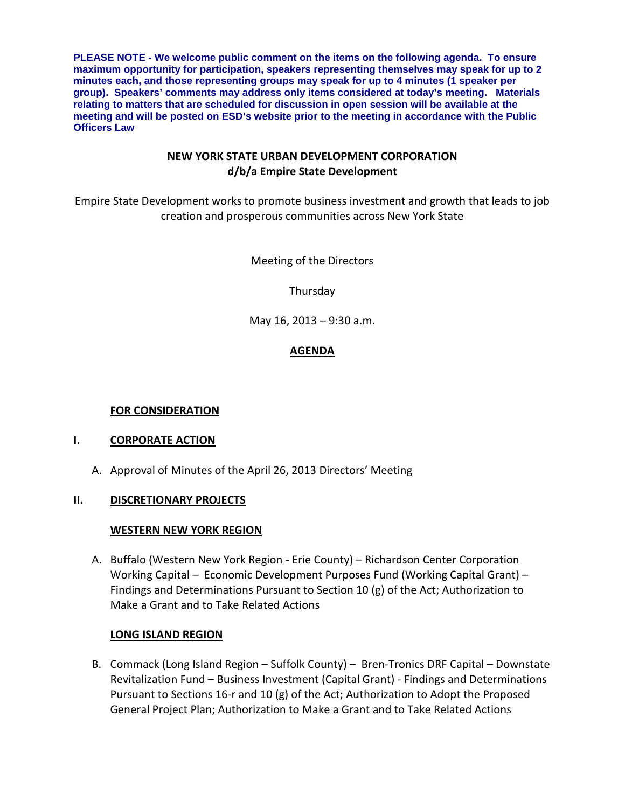**PLEASE NOTE - We welcome public comment on the items on the following agenda. To ensure maximum opportunity for participation, speakers representing themselves may speak for up to 2 minutes each, and those representing groups may speak for up to 4 minutes (1 speaker per group). Speakers' comments may address only items considered at today's meeting. Materials relating to matters that are scheduled for discussion in open session will be available at the meeting and will be posted on ESD's website prior to the meeting in accordance with the Public Officers Law**

## **NEW YORK STATE URBAN DEVELOPMENT CORPORATION d/b/a Empire State Development**

Empire State Development works to promote business investment and growth that leads to job creation and prosperous communities across New York State

Meeting of the Directors

Thursday

May 16, 2013 – 9:30 a.m.

# **AGENDA**

## **FOR CONSIDERATION**

## **I. CORPORATE ACTION**

A. Approval of Minutes of the April 26, 2013 Directors' Meeting

## **II. DISCRETIONARY PROJECTS**

## **WESTERN NEW YORK REGION**

A. Buffalo (Western New York Region - Erie County) – Richardson Center Corporation Working Capital – Economic Development Purposes Fund (Working Capital Grant) – Findings and Determinations Pursuant to Section 10 (g) of the Act; Authorization to Make a Grant and to Take Related Actions

# **LONG ISLAND REGION**

B. Commack (Long Island Region – Suffolk County) – Bren-Tronics DRF Capital – Downstate Revitalization Fund – Business Investment (Capital Grant) - Findings and Determinations Pursuant to Sections 16-r and 10 (g) of the Act; Authorization to Adopt the Proposed General Project Plan; Authorization to Make a Grant and to Take Related Actions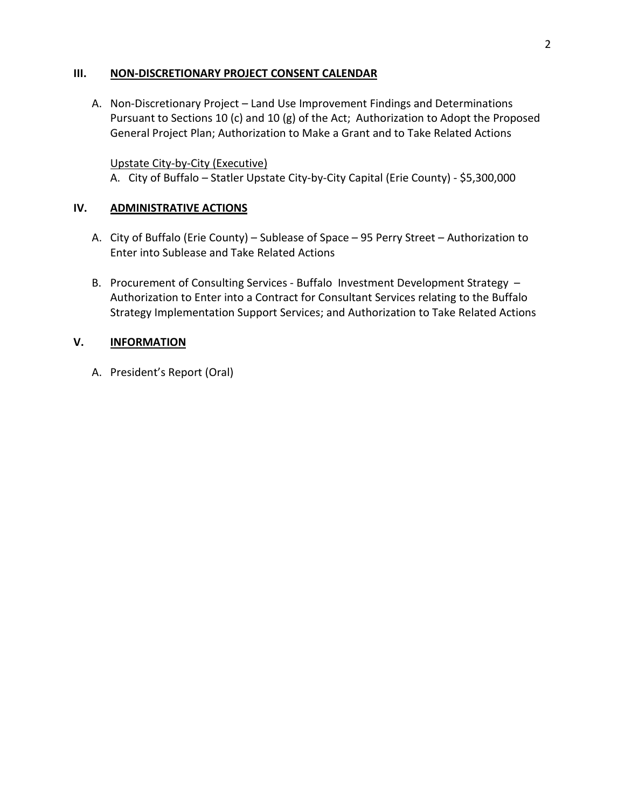## **III. NON-DISCRETIONARY PROJECT CONSENT CALENDAR**

A. Non-Discretionary Project – Land Use Improvement Findings and Determinations Pursuant to Sections 10 (c) and 10 (g) of the Act; Authorization to Adopt the Proposed General Project Plan; Authorization to Make a Grant and to Take Related Actions

Upstate City-by-City (Executive) A. City of Buffalo – Statler Upstate City-by-City Capital (Erie County) - \$5,300,000

### **IV. ADMINISTRATIVE ACTIONS**

- A. City of Buffalo (Erie County) Sublease of Space 95 Perry Street Authorization to Enter into Sublease and Take Related Actions
- B. Procurement of Consulting Services Buffalo Investment Development Strategy Authorization to Enter into a Contract for Consultant Services relating to the Buffalo Strategy Implementation Support Services; and Authorization to Take Related Actions

### **V. INFORMATION**

A. President's Report (Oral)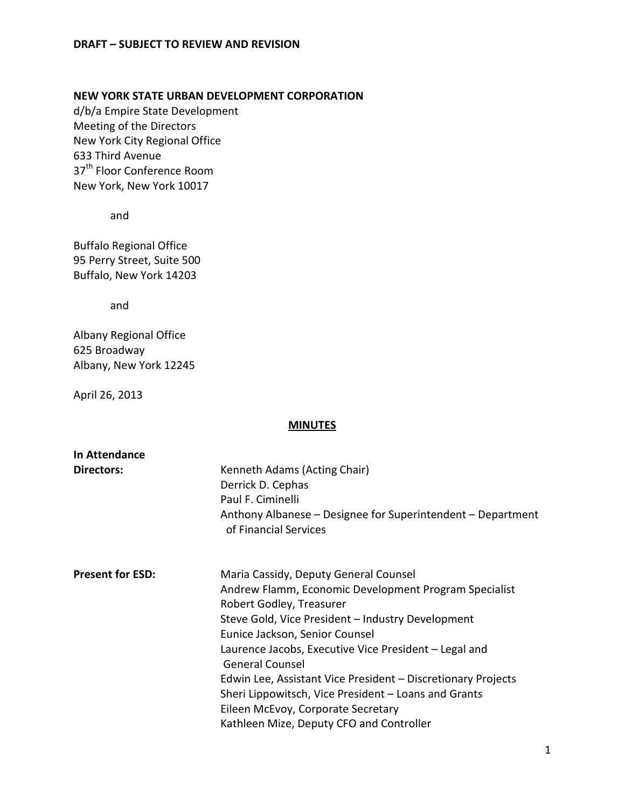# **NEW YORK STATE URBAN DEVELOPMENT CORPORATION**

d/b/a Empire State Development Meeting of the Directors New York City Regional Office 633 Third Avenue 37<sup>th</sup> Floor Conference Room New York, New York 10017

and

Buffalo Regional Office 95 Perry Street, Suite 500 Buffalo, New York 14203

and

Albany Regional Office 625 Broadway Albany, New York 12245

April 26, 2013

#### **MINUTES**

| In Attendance           |                                                                                                                                                                                                                                                                                           |  |  |
|-------------------------|-------------------------------------------------------------------------------------------------------------------------------------------------------------------------------------------------------------------------------------------------------------------------------------------|--|--|
| Directors:              | Kenneth Adams (Acting Chair)<br>Derrick D. Cephas<br>Paul F. Ciminelli<br>Anthony Albanese – Designee for Superintendent – Department<br>of Financial Services                                                                                                                            |  |  |
| <b>Present for ESD:</b> | Maria Cassidy, Deputy General Counsel<br>Andrew Flamm, Economic Development Program Specialist<br>Robert Godley, Treasurer<br>Steve Gold, Vice President - Industry Development<br>Eunice Jackson, Senior Counsel                                                                         |  |  |
|                         | Laurence Jacobs, Executive Vice President - Legal and<br><b>General Counsel</b><br>Edwin Lee, Assistant Vice President - Discretionary Projects<br>Sheri Lippowitsch, Vice President – Loans and Grants<br>Eileen McEvoy, Corporate Secretary<br>Kathleen Mize, Deputy CFO and Controller |  |  |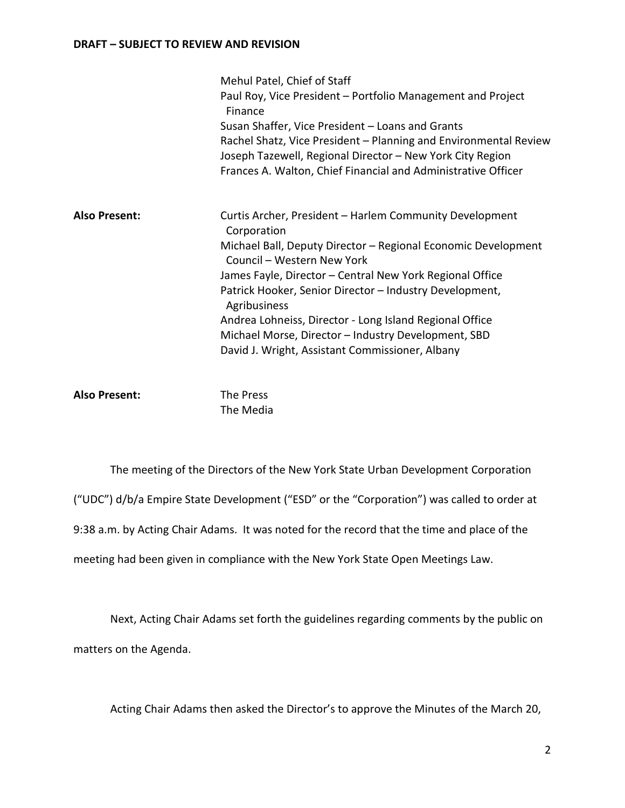|                      | Mehul Patel, Chief of Staff<br>Paul Roy, Vice President - Portfolio Management and Project<br>Finance<br>Susan Shaffer, Vice President - Loans and Grants<br>Rachel Shatz, Vice President - Planning and Environmental Review<br>Joseph Tazewell, Regional Director - New York City Region<br>Frances A. Walton, Chief Financial and Administrative Officer                                                                                                                       |
|----------------------|-----------------------------------------------------------------------------------------------------------------------------------------------------------------------------------------------------------------------------------------------------------------------------------------------------------------------------------------------------------------------------------------------------------------------------------------------------------------------------------|
| <b>Also Present:</b> | Curtis Archer, President - Harlem Community Development<br>Corporation<br>Michael Ball, Deputy Director - Regional Economic Development<br>Council - Western New York<br>James Fayle, Director - Central New York Regional Office<br>Patrick Hooker, Senior Director - Industry Development,<br>Agribusiness<br>Andrea Lohneiss, Director - Long Island Regional Office<br>Michael Morse, Director - Industry Development, SBD<br>David J. Wright, Assistant Commissioner, Albany |

Also Present: The Press The Media

The meeting of the Directors of the New York State Urban Development Corporation ("UDC") d/b/a Empire State Development ("ESD" or the "Corporation") was called to order at 9:38 a.m. by Acting Chair Adams. It was noted for the record that the time and place of the meeting had been given in compliance with the New York State Open Meetings Law.

Next, Acting Chair Adams set forth the guidelines regarding comments by the public on matters on the Agenda.

Acting Chair Adams then asked the Director's to approve the Minutes of the March 20,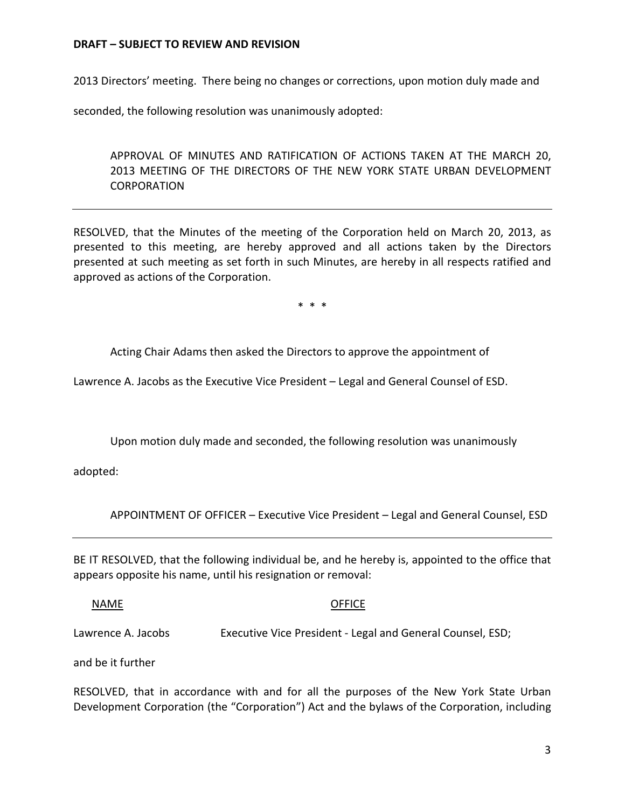2013 Directors' meeting. There being no changes or corrections, upon motion duly made and

seconded, the following resolution was unanimously adopted:

APPROVAL OF MINUTES AND RATIFICATION OF ACTIONS TAKEN AT THE MARCH 20, 2013 MEETING OF THE DIRECTORS OF THE NEW YORK STATE URBAN DEVELOPMENT **CORPORATION** 

RESOLVED, that the Minutes of the meeting of the Corporation held on March 20, 2013, as presented to this meeting, are hereby approved and all actions taken by the Directors presented at such meeting as set forth in such Minutes, are hereby in all respects ratified and approved as actions of the Corporation.

\* \* \*

Acting Chair Adams then asked the Directors to approve the appointment of

Lawrence A. Jacobs as the Executive Vice President – Legal and General Counsel of ESD.

Upon motion duly made and seconded, the following resolution was unanimously

adopted:

APPOINTMENT OF OFFICER – Executive Vice President – Legal and General Counsel, ESD

BE IT RESOLVED, that the following individual be, and he hereby is, appointed to the office that appears opposite his name, until his resignation or removal:

NAME OFFICE

Lawrence A. Jacobs Executive Vice President - Legal and General Counsel, ESD;

and be it further

RESOLVED, that in accordance with and for all the purposes of the New York State Urban Development Corporation (the "Corporation") Act and the bylaws of the Corporation, including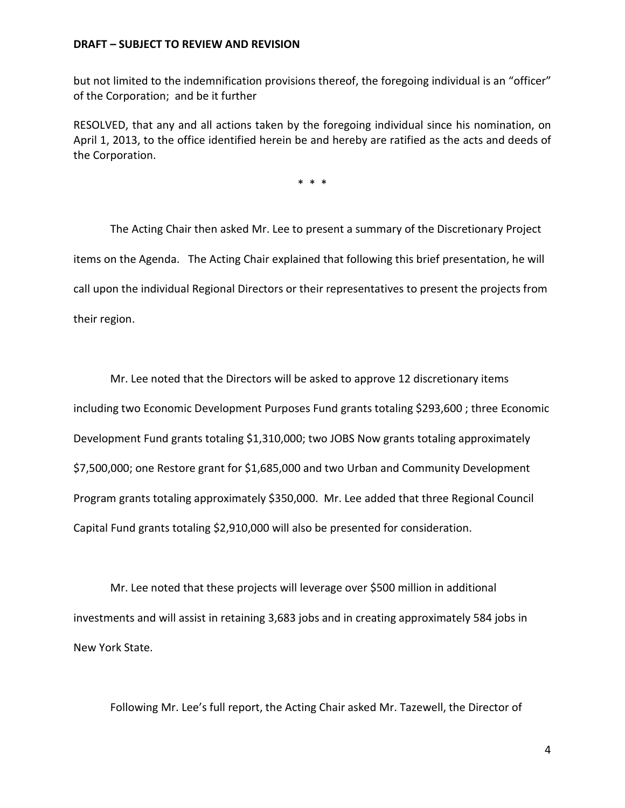but not limited to the indemnification provisions thereof, the foregoing individual is an "officer" of the Corporation; and be it further

RESOLVED, that any and all actions taken by the foregoing individual since his nomination, on April 1, 2013, to the office identified herein be and hereby are ratified as the acts and deeds of the Corporation.

\* \* \*

The Acting Chair then asked Mr. Lee to present a summary of the Discretionary Project items on the Agenda. The Acting Chair explained that following this brief presentation, he will call upon the individual Regional Directors or their representatives to present the projects from their region.

Mr. Lee noted that the Directors will be asked to approve 12 discretionary items including two Economic Development Purposes Fund grants totaling \$293,600 ; three Economic Development Fund grants totaling \$1,310,000; two JOBS Now grants totaling approximately \$7,500,000; one Restore grant for \$1,685,000 and two Urban and Community Development Program grants totaling approximately \$350,000. Mr. Lee added that three Regional Council Capital Fund grants totaling \$2,910,000 will also be presented for consideration.

Mr. Lee noted that these projects will leverage over \$500 million in additional investments and will assist in retaining 3,683 jobs and in creating approximately 584 jobs in New York State.

Following Mr. Lee's full report, the Acting Chair asked Mr. Tazewell, the Director of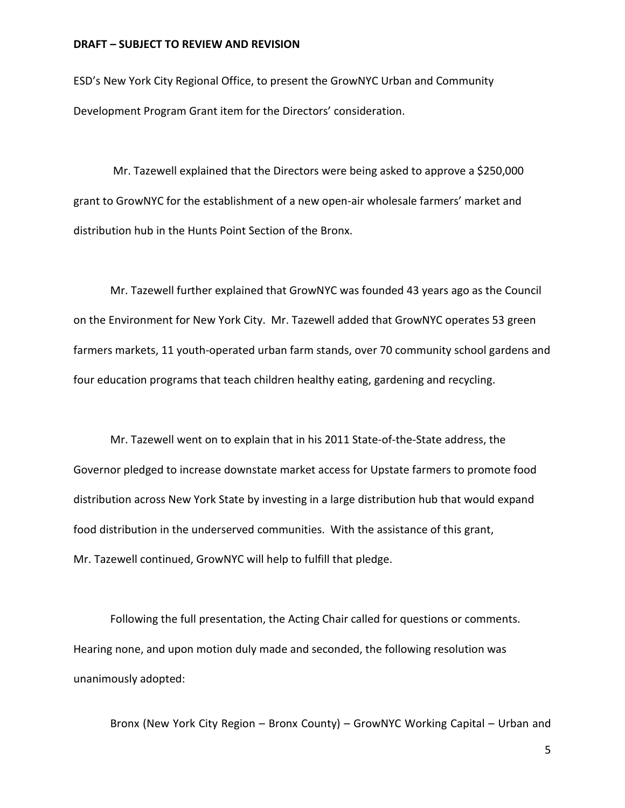ESD's New York City Regional Office, to present the GrowNYC Urban and Community Development Program Grant item for the Directors' consideration.

Mr. Tazewell explained that the Directors were being asked to approve a \$250,000 grant to GrowNYC for the establishment of a new open-air wholesale farmers' market and distribution hub in the Hunts Point Section of the Bronx.

Mr. Tazewell further explained that GrowNYC was founded 43 years ago as the Council on the Environment for New York City. Mr. Tazewell added that GrowNYC operates 53 green farmers markets, 11 youth-operated urban farm stands, over 70 community school gardens and four education programs that teach children healthy eating, gardening and recycling.

Mr. Tazewell went on to explain that in his 2011 State-of-the-State address, the Governor pledged to increase downstate market access for Upstate farmers to promote food distribution across New York State by investing in a large distribution hub that would expand food distribution in the underserved communities. With the assistance of this grant, Mr. Tazewell continued, GrowNYC will help to fulfill that pledge.

Following the full presentation, the Acting Chair called for questions or comments. Hearing none, and upon motion duly made and seconded, the following resolution was unanimously adopted:

Bronx (New York City Region – Bronx County) – GrowNYC Working Capital – Urban and

5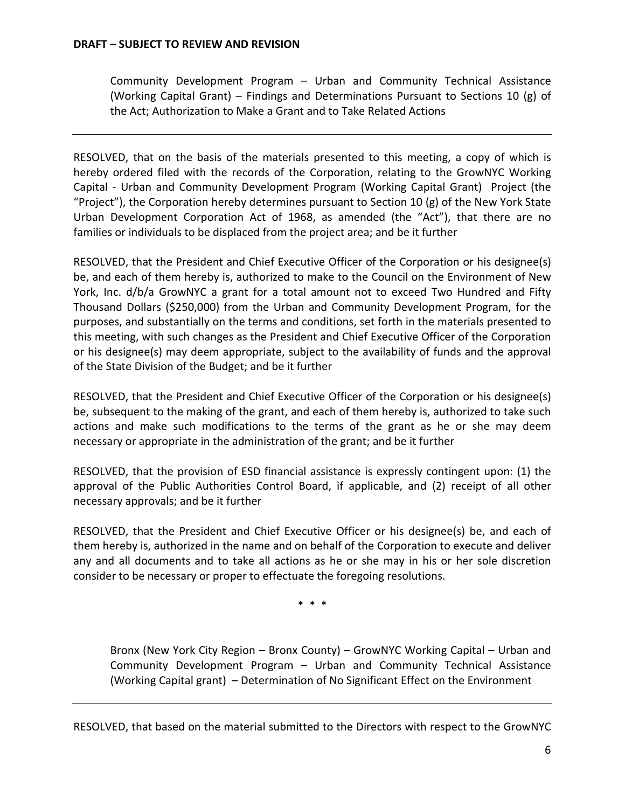Community Development Program – Urban and Community Technical Assistance (Working Capital Grant) – Findings and Determinations Pursuant to Sections 10 (g) of the Act; Authorization to Make a Grant and to Take Related Actions

RESOLVED, that on the basis of the materials presented to this meeting, a copy of which is hereby ordered filed with the records of the Corporation, relating to the GrowNYC Working Capital - Urban and Community Development Program (Working Capital Grant) Project (the "Project"), the Corporation hereby determines pursuant to Section 10 (g) of the New York State Urban Development Corporation Act of 1968, as amended (the "Act"), that there are no families or individuals to be displaced from the project area; and be it further

RESOLVED, that the President and Chief Executive Officer of the Corporation or his designee(s) be, and each of them hereby is, authorized to make to the Council on the Environment of New York, Inc. d/b/a GrowNYC a grant for a total amount not to exceed Two Hundred and Fifty Thousand Dollars (\$250,000) from the Urban and Community Development Program, for the purposes, and substantially on the terms and conditions, set forth in the materials presented to this meeting, with such changes as the President and Chief Executive Officer of the Corporation or his designee(s) may deem appropriate, subject to the availability of funds and the approval of the State Division of the Budget; and be it further

RESOLVED, that the President and Chief Executive Officer of the Corporation or his designee(s) be, subsequent to the making of the grant, and each of them hereby is, authorized to take such actions and make such modifications to the terms of the grant as he or she may deem necessary or appropriate in the administration of the grant; and be it further

RESOLVED, that the provision of ESD financial assistance is expressly contingent upon: (1) the approval of the Public Authorities Control Board, if applicable, and (2) receipt of all other necessary approvals; and be it further

RESOLVED, that the President and Chief Executive Officer or his designee(s) be, and each of them hereby is, authorized in the name and on behalf of the Corporation to execute and deliver any and all documents and to take all actions as he or she may in his or her sole discretion consider to be necessary or proper to effectuate the foregoing resolutions.

\* \* \*

Bronx (New York City Region – Bronx County) – GrowNYC Working Capital – Urban and Community Development Program – Urban and Community Technical Assistance (Working Capital grant) – Determination of No Significant Effect on the Environment

RESOLVED, that based on the material submitted to the Directors with respect to the GrowNYC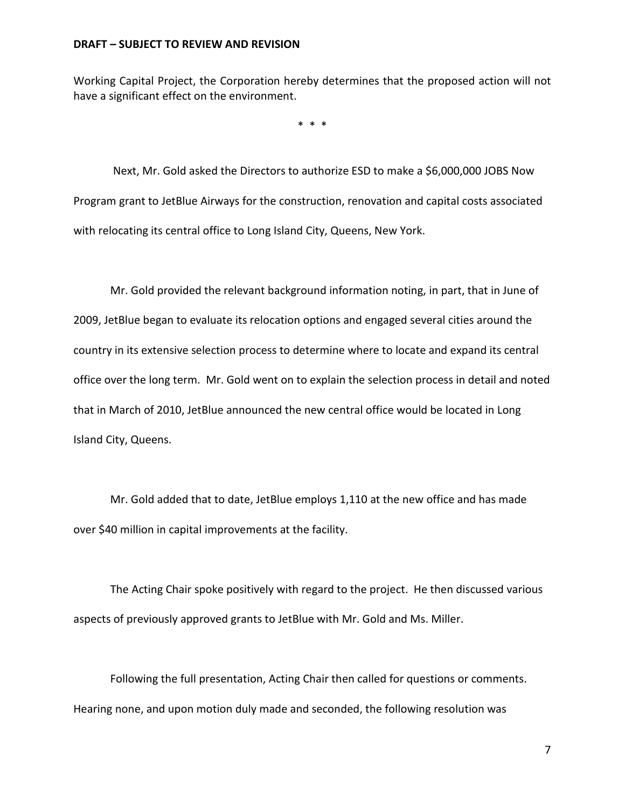Working Capital Project, the Corporation hereby determines that the proposed action will not have a significant effect on the environment.

\* \* \*

Next, Mr. Gold asked the Directors to authorize ESD to make a \$6,000,000 JOBS Now Program grant to JetBlue Airways for the construction, renovation and capital costs associated with relocating its central office to Long Island City, Queens, New York.

Mr. Gold provided the relevant background information noting, in part, that in June of 2009, JetBlue began to evaluate its relocation options and engaged several cities around the country in its extensive selection process to determine where to locate and expand its central office over the long term. Mr. Gold went on to explain the selection process in detail and noted that in March of 2010, JetBlue announced the new central office would be located in Long Island City, Queens.

Mr. Gold added that to date, JetBlue employs 1,110 at the new office and has made over \$40 million in capital improvements at the facility.

The Acting Chair spoke positively with regard to the project. He then discussed various aspects of previously approved grants to JetBlue with Mr. Gold and Ms. Miller.

Following the full presentation, Acting Chair then called for questions or comments. Hearing none, and upon motion duly made and seconded, the following resolution was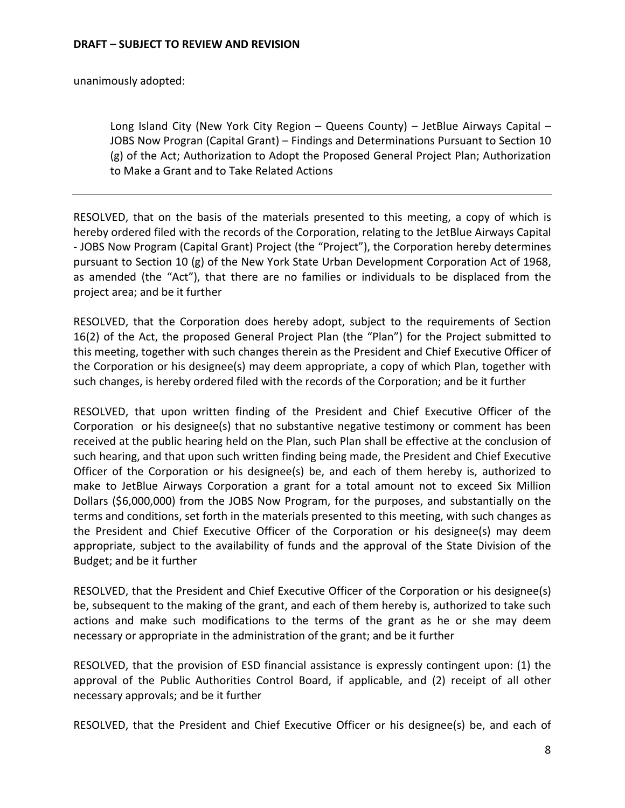unanimously adopted:

Long Island City (New York City Region – Queens County) – JetBlue Airways Capital – JOBS Now Progran (Capital Grant) – Findings and Determinations Pursuant to Section 10 (g) of the Act; Authorization to Adopt the Proposed General Project Plan; Authorization to Make a Grant and to Take Related Actions

RESOLVED, that on the basis of the materials presented to this meeting, a copy of which is hereby ordered filed with the records of the Corporation, relating to the JetBlue Airways Capital - JOBS Now Program (Capital Grant) Project (the "Project"), the Corporation hereby determines pursuant to Section 10 (g) of the New York State Urban Development Corporation Act of 1968, as amended (the "Act"), that there are no families or individuals to be displaced from the project area; and be it further

RESOLVED, that the Corporation does hereby adopt, subject to the requirements of Section 16(2) of the Act, the proposed General Project Plan (the "Plan") for the Project submitted to this meeting, together with such changes therein as the President and Chief Executive Officer of the Corporation or his designee(s) may deem appropriate, a copy of which Plan, together with such changes, is hereby ordered filed with the records of the Corporation; and be it further

RESOLVED, that upon written finding of the President and Chief Executive Officer of the Corporation or his designee(s) that no substantive negative testimony or comment has been received at the public hearing held on the Plan, such Plan shall be effective at the conclusion of such hearing, and that upon such written finding being made, the President and Chief Executive Officer of the Corporation or his designee(s) be, and each of them hereby is, authorized to make to JetBlue Airways Corporation a grant for a total amount not to exceed Six Million Dollars (\$6,000,000) from the JOBS Now Program, for the purposes, and substantially on the terms and conditions, set forth in the materials presented to this meeting, with such changes as the President and Chief Executive Officer of the Corporation or his designee(s) may deem appropriate, subject to the availability of funds and the approval of the State Division of the Budget; and be it further

RESOLVED, that the President and Chief Executive Officer of the Corporation or his designee(s) be, subsequent to the making of the grant, and each of them hereby is, authorized to take such actions and make such modifications to the terms of the grant as he or she may deem necessary or appropriate in the administration of the grant; and be it further

RESOLVED, that the provision of ESD financial assistance is expressly contingent upon: (1) the approval of the Public Authorities Control Board, if applicable, and (2) receipt of all other necessary approvals; and be it further

RESOLVED, that the President and Chief Executive Officer or his designee(s) be, and each of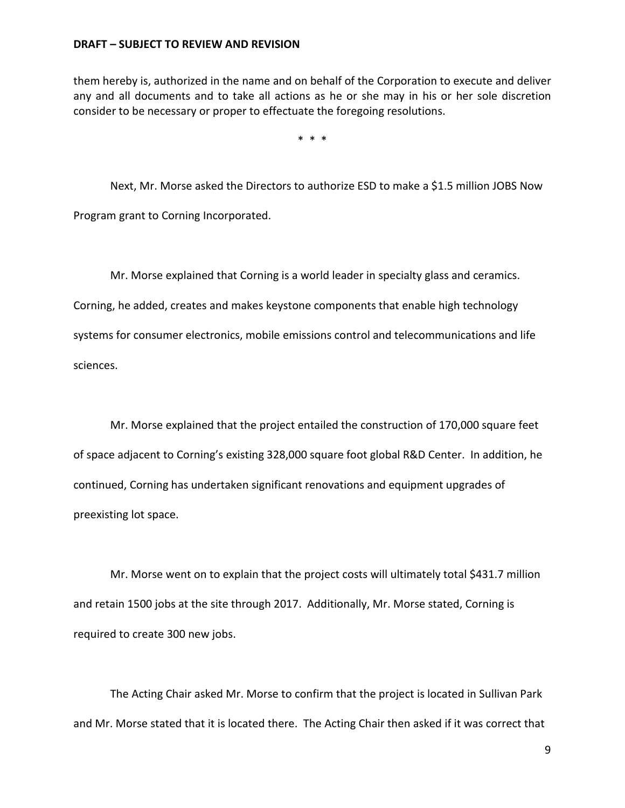them hereby is, authorized in the name and on behalf of the Corporation to execute and deliver any and all documents and to take all actions as he or she may in his or her sole discretion consider to be necessary or proper to effectuate the foregoing resolutions.

\* \* \*

Next, Mr. Morse asked the Directors to authorize ESD to make a \$1.5 million JOBS Now Program grant to Corning Incorporated.

Mr. Morse explained that Corning is a world leader in specialty glass and ceramics. Corning, he added, creates and makes keystone components that enable high technology systems for consumer electronics, mobile emissions control and telecommunications and life sciences.

Mr. Morse explained that the project entailed the construction of 170,000 square feet of space adjacent to Corning's existing 328,000 square foot global R&D Center. In addition, he continued, Corning has undertaken significant renovations and equipment upgrades of preexisting lot space.

Mr. Morse went on to explain that the project costs will ultimately total \$431.7 million and retain 1500 jobs at the site through 2017. Additionally, Mr. Morse stated, Corning is required to create 300 new jobs.

The Acting Chair asked Mr. Morse to confirm that the project is located in Sullivan Park and Mr. Morse stated that it is located there. The Acting Chair then asked if it was correct that

9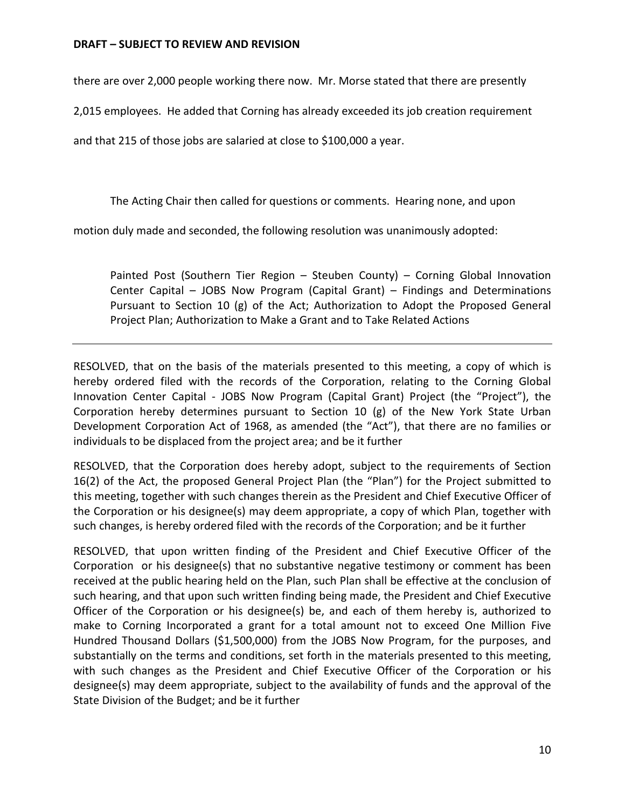there are over 2,000 people working there now. Mr. Morse stated that there are presently

2,015 employees. He added that Corning has already exceeded its job creation requirement

and that 215 of those jobs are salaried at close to \$100,000 a year.

The Acting Chair then called for questions or comments. Hearing none, and upon

motion duly made and seconded, the following resolution was unanimously adopted:

Painted Post (Southern Tier Region – Steuben County) – Corning Global Innovation Center Capital – JOBS Now Program (Capital Grant) – Findings and Determinations Pursuant to Section 10 (g) of the Act; Authorization to Adopt the Proposed General Project Plan; Authorization to Make a Grant and to Take Related Actions

RESOLVED, that on the basis of the materials presented to this meeting, a copy of which is hereby ordered filed with the records of the Corporation, relating to the Corning Global Innovation Center Capital - JOBS Now Program (Capital Grant) Project (the "Project"), the Corporation hereby determines pursuant to Section 10 (g) of the New York State Urban Development Corporation Act of 1968, as amended (the "Act"), that there are no families or individuals to be displaced from the project area; and be it further

RESOLVED, that the Corporation does hereby adopt, subject to the requirements of Section 16(2) of the Act, the proposed General Project Plan (the "Plan") for the Project submitted to this meeting, together with such changes therein as the President and Chief Executive Officer of the Corporation or his designee(s) may deem appropriate, a copy of which Plan, together with such changes, is hereby ordered filed with the records of the Corporation; and be it further

RESOLVED, that upon written finding of the President and Chief Executive Officer of the Corporation or his designee(s) that no substantive negative testimony or comment has been received at the public hearing held on the Plan, such Plan shall be effective at the conclusion of such hearing, and that upon such written finding being made, the President and Chief Executive Officer of the Corporation or his designee(s) be, and each of them hereby is, authorized to make to Corning Incorporated a grant for a total amount not to exceed One Million Five Hundred Thousand Dollars (\$1,500,000) from the JOBS Now Program, for the purposes, and substantially on the terms and conditions, set forth in the materials presented to this meeting, with such changes as the President and Chief Executive Officer of the Corporation or his designee(s) may deem appropriate, subject to the availability of funds and the approval of the State Division of the Budget; and be it further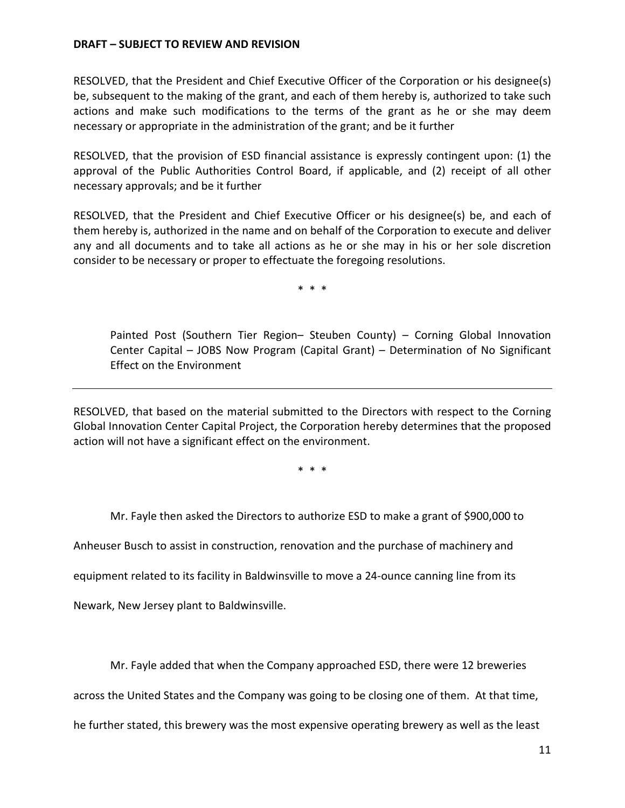RESOLVED, that the President and Chief Executive Officer of the Corporation or his designee(s) be, subsequent to the making of the grant, and each of them hereby is, authorized to take such actions and make such modifications to the terms of the grant as he or she may deem necessary or appropriate in the administration of the grant; and be it further

RESOLVED, that the provision of ESD financial assistance is expressly contingent upon: (1) the approval of the Public Authorities Control Board, if applicable, and (2) receipt of all other necessary approvals; and be it further

RESOLVED, that the President and Chief Executive Officer or his designee(s) be, and each of them hereby is, authorized in the name and on behalf of the Corporation to execute and deliver any and all documents and to take all actions as he or she may in his or her sole discretion consider to be necessary or proper to effectuate the foregoing resolutions.

\* \* \*

Painted Post (Southern Tier Region– Steuben County) – Corning Global Innovation Center Capital – JOBS Now Program (Capital Grant) – Determination of No Significant Effect on the Environment

RESOLVED, that based on the material submitted to the Directors with respect to the Corning Global Innovation Center Capital Project, the Corporation hereby determines that the proposed action will not have a significant effect on the environment.

\* \* \*

Mr. Fayle then asked the Directors to authorize ESD to make a grant of \$900,000 to

Anheuser Busch to assist in construction, renovation and the purchase of machinery and

equipment related to its facility in Baldwinsville to move a 24-ounce canning line from its

Newark, New Jersey plant to Baldwinsville.

Mr. Fayle added that when the Company approached ESD, there were 12 breweries

across the United States and the Company was going to be closing one of them. At that time,

he further stated, this brewery was the most expensive operating brewery as well as the least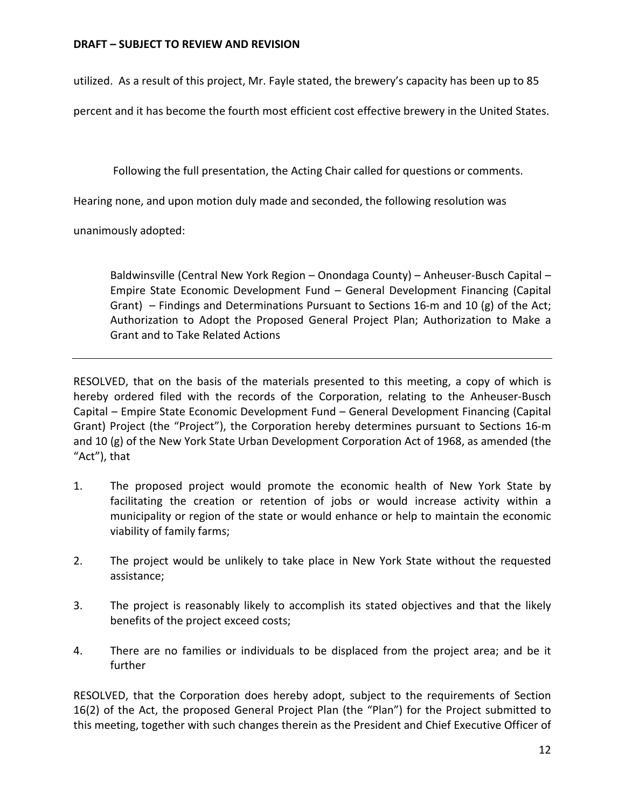utilized. As a result of this project, Mr. Fayle stated, the brewery's capacity has been up to 85

percent and it has become the fourth most efficient cost effective brewery in the United States.

Following the full presentation, the Acting Chair called for questions or comments.

Hearing none, and upon motion duly made and seconded, the following resolution was

unanimously adopted:

Baldwinsville (Central New York Region – Onondaga County) – Anheuser-Busch Capital – Empire State Economic Development Fund – General Development Financing (Capital Grant) – Findings and Determinations Pursuant to Sections 16-m and 10 (g) of the Act; Authorization to Adopt the Proposed General Project Plan; Authorization to Make a Grant and to Take Related Actions

RESOLVED, that on the basis of the materials presented to this meeting, a copy of which is hereby ordered filed with the records of the Corporation, relating to the Anheuser-Busch Capital – Empire State Economic Development Fund – General Development Financing (Capital Grant) Project (the "Project"), the Corporation hereby determines pursuant to Sections 16-m and 10 (g) of the New York State Urban Development Corporation Act of 1968, as amended (the "Act"), that

- 1. The proposed project would promote the economic health of New York State by facilitating the creation or retention of jobs or would increase activity within a municipality or region of the state or would enhance or help to maintain the economic viability of family farms;
- 2. The project would be unlikely to take place in New York State without the requested assistance;
- 3. The project is reasonably likely to accomplish its stated objectives and that the likely benefits of the project exceed costs;
- 4. There are no families or individuals to be displaced from the project area; and be it further

RESOLVED, that the Corporation does hereby adopt, subject to the requirements of Section 16(2) of the Act, the proposed General Project Plan (the "Plan") for the Project submitted to this meeting, together with such changes therein as the President and Chief Executive Officer of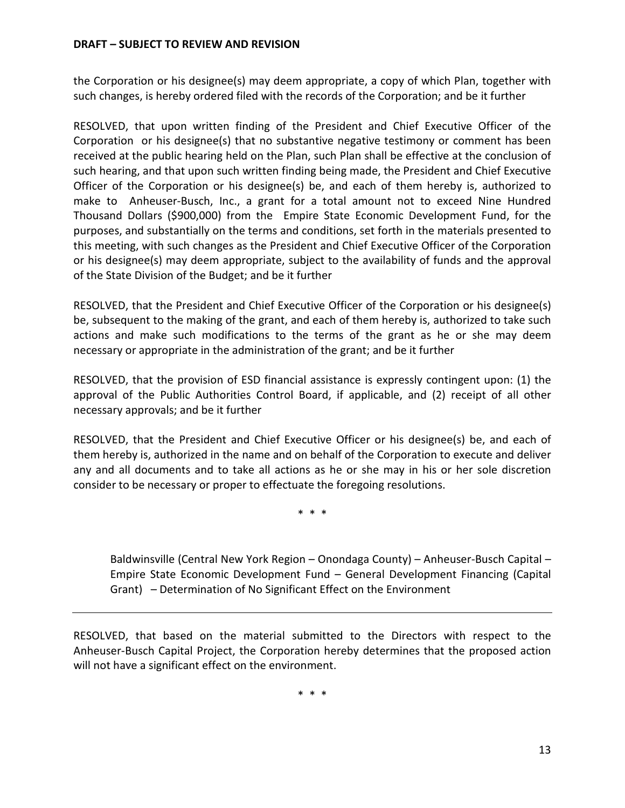the Corporation or his designee(s) may deem appropriate, a copy of which Plan, together with such changes, is hereby ordered filed with the records of the Corporation; and be it further

RESOLVED, that upon written finding of the President and Chief Executive Officer of the Corporation or his designee(s) that no substantive negative testimony or comment has been received at the public hearing held on the Plan, such Plan shall be effective at the conclusion of such hearing, and that upon such written finding being made, the President and Chief Executive Officer of the Corporation or his designee(s) be, and each of them hereby is, authorized to make to Anheuser-Busch, Inc., a grant for a total amount not to exceed Nine Hundred Thousand Dollars (\$900,000) from the Empire State Economic Development Fund, for the purposes, and substantially on the terms and conditions, set forth in the materials presented to this meeting, with such changes as the President and Chief Executive Officer of the Corporation or his designee(s) may deem appropriate, subject to the availability of funds and the approval of the State Division of the Budget; and be it further

RESOLVED, that the President and Chief Executive Officer of the Corporation or his designee(s) be, subsequent to the making of the grant, and each of them hereby is, authorized to take such actions and make such modifications to the terms of the grant as he or she may deem necessary or appropriate in the administration of the grant; and be it further

RESOLVED, that the provision of ESD financial assistance is expressly contingent upon: (1) the approval of the Public Authorities Control Board, if applicable, and (2) receipt of all other necessary approvals; and be it further

RESOLVED, that the President and Chief Executive Officer or his designee(s) be, and each of them hereby is, authorized in the name and on behalf of the Corporation to execute and deliver any and all documents and to take all actions as he or she may in his or her sole discretion consider to be necessary or proper to effectuate the foregoing resolutions.

\* \* \*

Baldwinsville (Central New York Region – Onondaga County) – Anheuser-Busch Capital – Empire State Economic Development Fund – General Development Financing (Capital Grant) – Determination of No Significant Effect on the Environment

RESOLVED, that based on the material submitted to the Directors with respect to the Anheuser-Busch Capital Project, the Corporation hereby determines that the proposed action will not have a significant effect on the environment.

\* \* \*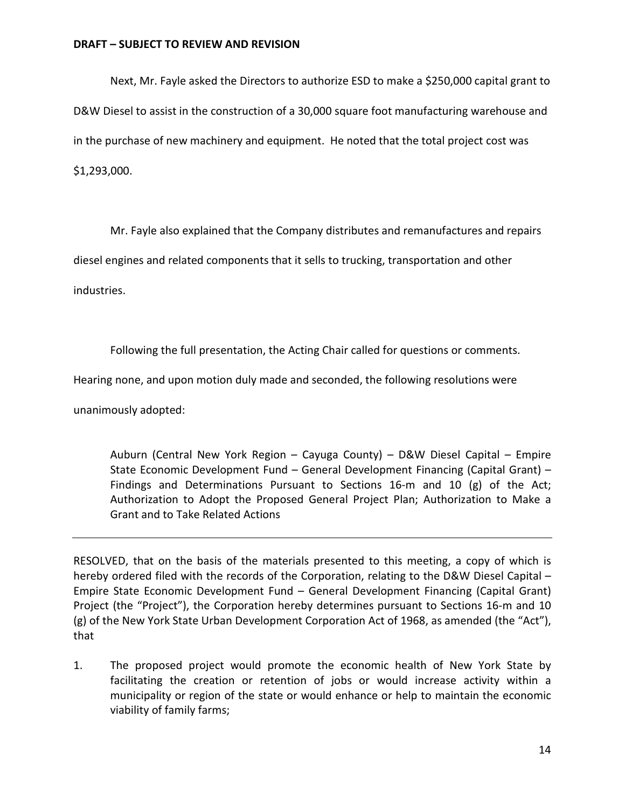Next, Mr. Fayle asked the Directors to authorize ESD to make a \$250,000 capital grant to D&W Diesel to assist in the construction of a 30,000 square foot manufacturing warehouse and in the purchase of new machinery and equipment. He noted that the total project cost was \$1,293,000.

Mr. Fayle also explained that the Company distributes and remanufactures and repairs

diesel engines and related components that it sells to trucking, transportation and other

industries.

Following the full presentation, the Acting Chair called for questions or comments.

Hearing none, and upon motion duly made and seconded, the following resolutions were

unanimously adopted:

Auburn (Central New York Region – Cayuga County) – D&W Diesel Capital – Empire State Economic Development Fund – General Development Financing (Capital Grant) – Findings and Determinations Pursuant to Sections 16-m and 10 (g) of the Act; Authorization to Adopt the Proposed General Project Plan; Authorization to Make a Grant and to Take Related Actions

RESOLVED, that on the basis of the materials presented to this meeting, a copy of which is hereby ordered filed with the records of the Corporation, relating to the D&W Diesel Capital – Empire State Economic Development Fund – General Development Financing (Capital Grant) Project (the "Project"), the Corporation hereby determines pursuant to Sections 16-m and 10 (g) of the New York State Urban Development Corporation Act of 1968, as amended (the "Act"), that

1. The proposed project would promote the economic health of New York State by facilitating the creation or retention of jobs or would increase activity within a municipality or region of the state or would enhance or help to maintain the economic viability of family farms;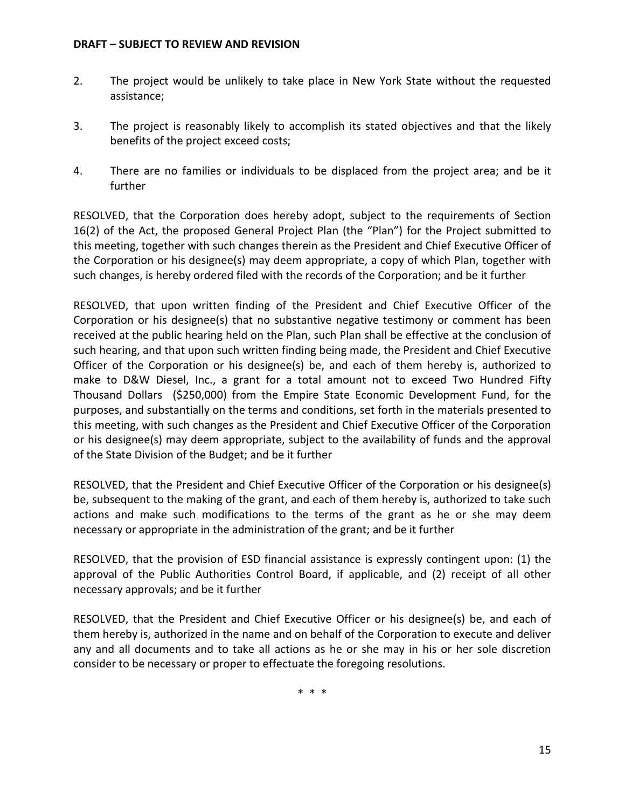- 2. The project would be unlikely to take place in New York State without the requested assistance;
- 3. The project is reasonably likely to accomplish its stated objectives and that the likely benefits of the project exceed costs;
- 4. There are no families or individuals to be displaced from the project area; and be it further

RESOLVED, that the Corporation does hereby adopt, subject to the requirements of Section 16(2) of the Act, the proposed General Project Plan (the "Plan") for the Project submitted to this meeting, together with such changes therein as the President and Chief Executive Officer of the Corporation or his designee(s) may deem appropriate, a copy of which Plan, together with such changes, is hereby ordered filed with the records of the Corporation; and be it further

RESOLVED, that upon written finding of the President and Chief Executive Officer of the Corporation or his designee(s) that no substantive negative testimony or comment has been received at the public hearing held on the Plan, such Plan shall be effective at the conclusion of such hearing, and that upon such written finding being made, the President and Chief Executive Officer of the Corporation or his designee(s) be, and each of them hereby is, authorized to make to D&W Diesel, Inc., a grant for a total amount not to exceed Two Hundred Fifty Thousand Dollars (\$250,000) from the Empire State Economic Development Fund, for the purposes, and substantially on the terms and conditions, set forth in the materials presented to this meeting, with such changes as the President and Chief Executive Officer of the Corporation or his designee(s) may deem appropriate, subject to the availability of funds and the approval of the State Division of the Budget; and be it further

RESOLVED, that the President and Chief Executive Officer of the Corporation or his designee(s) be, subsequent to the making of the grant, and each of them hereby is, authorized to take such actions and make such modifications to the terms of the grant as he or she may deem necessary or appropriate in the administration of the grant; and be it further

RESOLVED, that the provision of ESD financial assistance is expressly contingent upon: (1) the approval of the Public Authorities Control Board, if applicable, and (2) receipt of all other necessary approvals; and be it further

RESOLVED, that the President and Chief Executive Officer or his designee(s) be, and each of them hereby is, authorized in the name and on behalf of the Corporation to execute and deliver any and all documents and to take all actions as he or she may in his or her sole discretion consider to be necessary or proper to effectuate the foregoing resolutions.

\* \* \*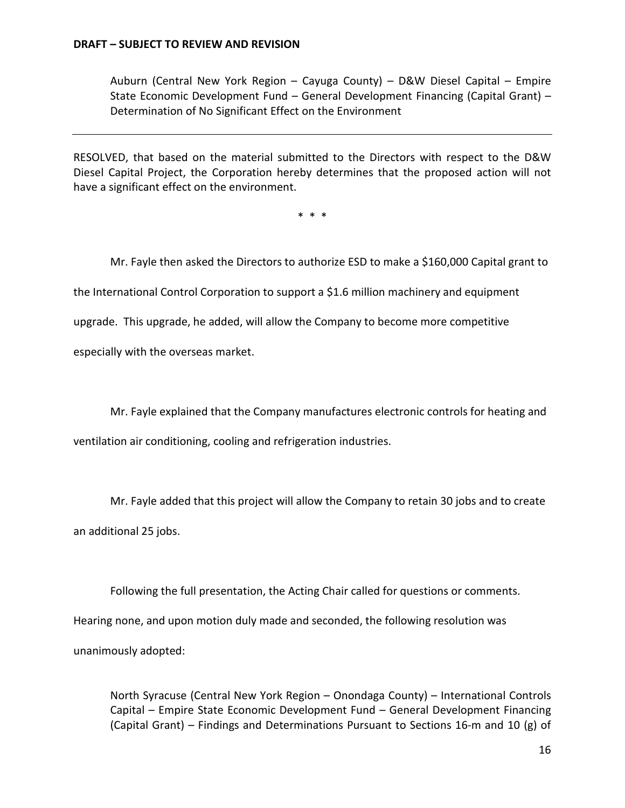Auburn (Central New York Region – Cayuga County) – D&W Diesel Capital – Empire State Economic Development Fund – General Development Financing (Capital Grant) – Determination of No Significant Effect on the Environment

RESOLVED, that based on the material submitted to the Directors with respect to the D&W Diesel Capital Project, the Corporation hereby determines that the proposed action will not have a significant effect on the environment.

\* \* \*

Mr. Fayle then asked the Directors to authorize ESD to make a \$160,000 Capital grant to

the International Control Corporation to support a \$1.6 million machinery and equipment

upgrade. This upgrade, he added, will allow the Company to become more competitive

especially with the overseas market.

Mr. Fayle explained that the Company manufactures electronic controls for heating and ventilation air conditioning, cooling and refrigeration industries.

Mr. Fayle added that this project will allow the Company to retain 30 jobs and to create an additional 25 jobs.

Following the full presentation, the Acting Chair called for questions or comments.

Hearing none, and upon motion duly made and seconded, the following resolution was

unanimously adopted:

North Syracuse (Central New York Region – Onondaga County) – International Controls Capital – Empire State Economic Development Fund – General Development Financing (Capital Grant) – Findings and Determinations Pursuant to Sections 16-m and 10 (g) of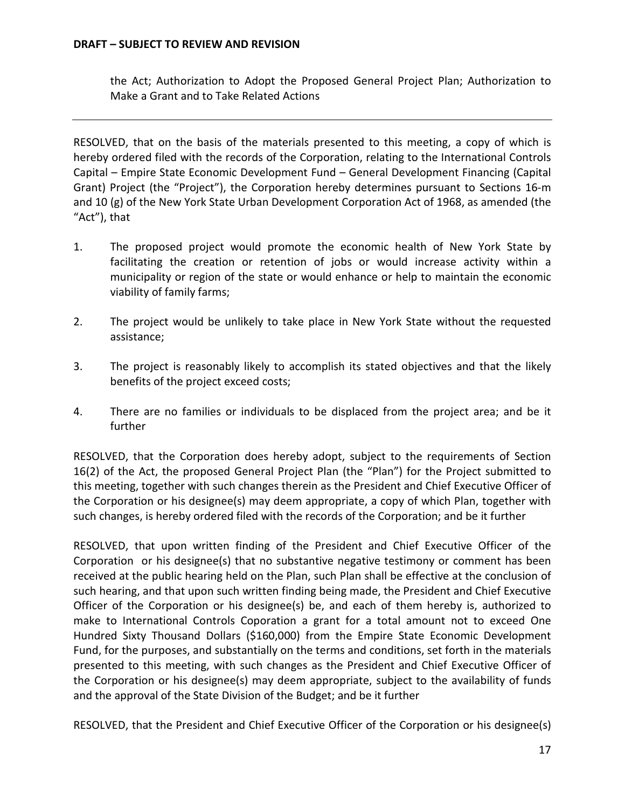the Act; Authorization to Adopt the Proposed General Project Plan; Authorization to Make a Grant and to Take Related Actions

RESOLVED, that on the basis of the materials presented to this meeting, a copy of which is hereby ordered filed with the records of the Corporation, relating to the International Controls Capital – Empire State Economic Development Fund – General Development Financing (Capital Grant) Project (the "Project"), the Corporation hereby determines pursuant to Sections 16-m and 10 (g) of the New York State Urban Development Corporation Act of 1968, as amended (the "Act"), that

- 1. The proposed project would promote the economic health of New York State by facilitating the creation or retention of jobs or would increase activity within a municipality or region of the state or would enhance or help to maintain the economic viability of family farms;
- 2. The project would be unlikely to take place in New York State without the requested assistance;
- 3. The project is reasonably likely to accomplish its stated objectives and that the likely benefits of the project exceed costs;
- 4. There are no families or individuals to be displaced from the project area; and be it further

RESOLVED, that the Corporation does hereby adopt, subject to the requirements of Section 16(2) of the Act, the proposed General Project Plan (the "Plan") for the Project submitted to this meeting, together with such changes therein as the President and Chief Executive Officer of the Corporation or his designee(s) may deem appropriate, a copy of which Plan, together with such changes, is hereby ordered filed with the records of the Corporation; and be it further

RESOLVED, that upon written finding of the President and Chief Executive Officer of the Corporation or his designee(s) that no substantive negative testimony or comment has been received at the public hearing held on the Plan, such Plan shall be effective at the conclusion of such hearing, and that upon such written finding being made, the President and Chief Executive Officer of the Corporation or his designee(s) be, and each of them hereby is, authorized to make to International Controls Coporation a grant for a total amount not to exceed One Hundred Sixty Thousand Dollars (\$160,000) from the Empire State Economic Development Fund, for the purposes, and substantially on the terms and conditions, set forth in the materials presented to this meeting, with such changes as the President and Chief Executive Officer of the Corporation or his designee(s) may deem appropriate, subject to the availability of funds and the approval of the State Division of the Budget; and be it further

RESOLVED, that the President and Chief Executive Officer of the Corporation or his designee(s)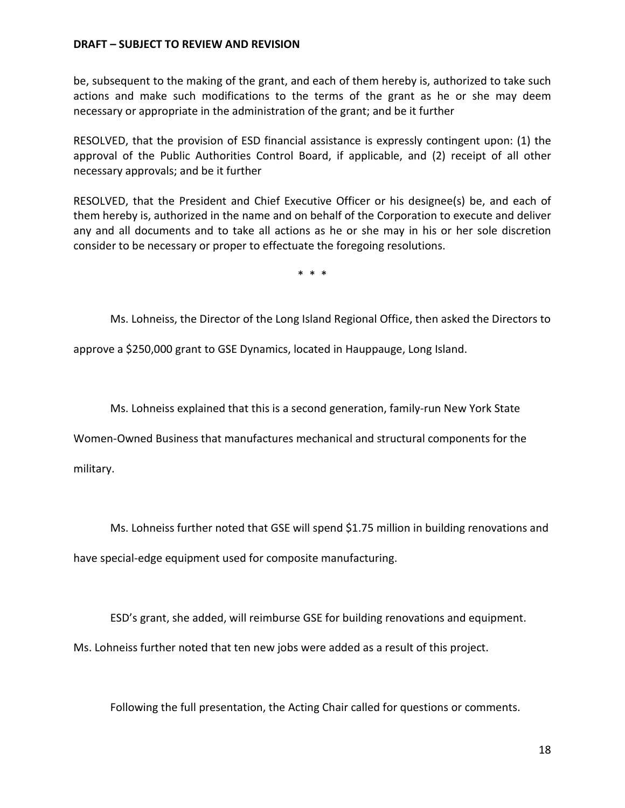be, subsequent to the making of the grant, and each of them hereby is, authorized to take such actions and make such modifications to the terms of the grant as he or she may deem necessary or appropriate in the administration of the grant; and be it further

RESOLVED, that the provision of ESD financial assistance is expressly contingent upon: (1) the approval of the Public Authorities Control Board, if applicable, and (2) receipt of all other necessary approvals; and be it further

RESOLVED, that the President and Chief Executive Officer or his designee(s) be, and each of them hereby is, authorized in the name and on behalf of the Corporation to execute and deliver any and all documents and to take all actions as he or she may in his or her sole discretion consider to be necessary or proper to effectuate the foregoing resolutions.

\* \* \*

Ms. Lohneiss, the Director of the Long Island Regional Office, then asked the Directors to

approve a \$250,000 grant to GSE Dynamics, located in Hauppauge, Long Island.

Ms. Lohneiss explained that this is a second generation, family-run New York State

Women-Owned Business that manufactures mechanical and structural components for the

military.

Ms. Lohneiss further noted that GSE will spend \$1.75 million in building renovations and have special-edge equipment used for composite manufacturing.

ESD's grant, she added, will reimburse GSE for building renovations and equipment.

Ms. Lohneiss further noted that ten new jobs were added as a result of this project.

Following the full presentation, the Acting Chair called for questions or comments.

18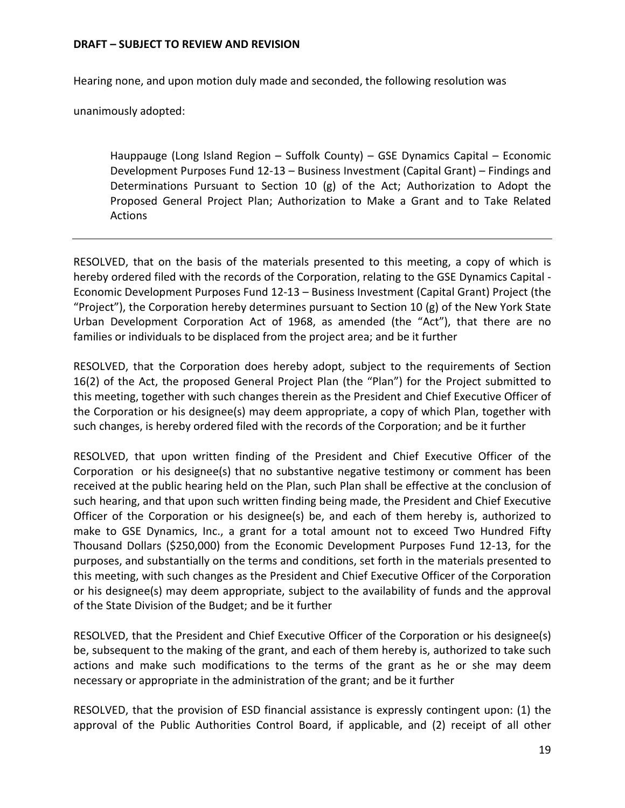Hearing none, and upon motion duly made and seconded, the following resolution was

unanimously adopted:

Hauppauge (Long Island Region – Suffolk County) – GSE Dynamics Capital – Economic Development Purposes Fund 12-13 – Business Investment (Capital Grant) – Findings and Determinations Pursuant to Section 10 (g) of the Act; Authorization to Adopt the Proposed General Project Plan; Authorization to Make a Grant and to Take Related Actions

RESOLVED, that on the basis of the materials presented to this meeting, a copy of which is hereby ordered filed with the records of the Corporation, relating to the GSE Dynamics Capital - Economic Development Purposes Fund 12-13 – Business Investment (Capital Grant) Project (the "Project"), the Corporation hereby determines pursuant to Section 10 (g) of the New York State Urban Development Corporation Act of 1968, as amended (the "Act"), that there are no families or individuals to be displaced from the project area; and be it further

RESOLVED, that the Corporation does hereby adopt, subject to the requirements of Section 16(2) of the Act, the proposed General Project Plan (the "Plan") for the Project submitted to this meeting, together with such changes therein as the President and Chief Executive Officer of the Corporation or his designee(s) may deem appropriate, a copy of which Plan, together with such changes, is hereby ordered filed with the records of the Corporation; and be it further

RESOLVED, that upon written finding of the President and Chief Executive Officer of the Corporation or his designee(s) that no substantive negative testimony or comment has been received at the public hearing held on the Plan, such Plan shall be effective at the conclusion of such hearing, and that upon such written finding being made, the President and Chief Executive Officer of the Corporation or his designee(s) be, and each of them hereby is, authorized to make to GSE Dynamics, Inc., a grant for a total amount not to exceed Two Hundred Fifty Thousand Dollars (\$250,000) from the Economic Development Purposes Fund 12-13, for the purposes, and substantially on the terms and conditions, set forth in the materials presented to this meeting, with such changes as the President and Chief Executive Officer of the Corporation or his designee(s) may deem appropriate, subject to the availability of funds and the approval of the State Division of the Budget; and be it further

RESOLVED, that the President and Chief Executive Officer of the Corporation or his designee(s) be, subsequent to the making of the grant, and each of them hereby is, authorized to take such actions and make such modifications to the terms of the grant as he or she may deem necessary or appropriate in the administration of the grant; and be it further

RESOLVED, that the provision of ESD financial assistance is expressly contingent upon: (1) the approval of the Public Authorities Control Board, if applicable, and (2) receipt of all other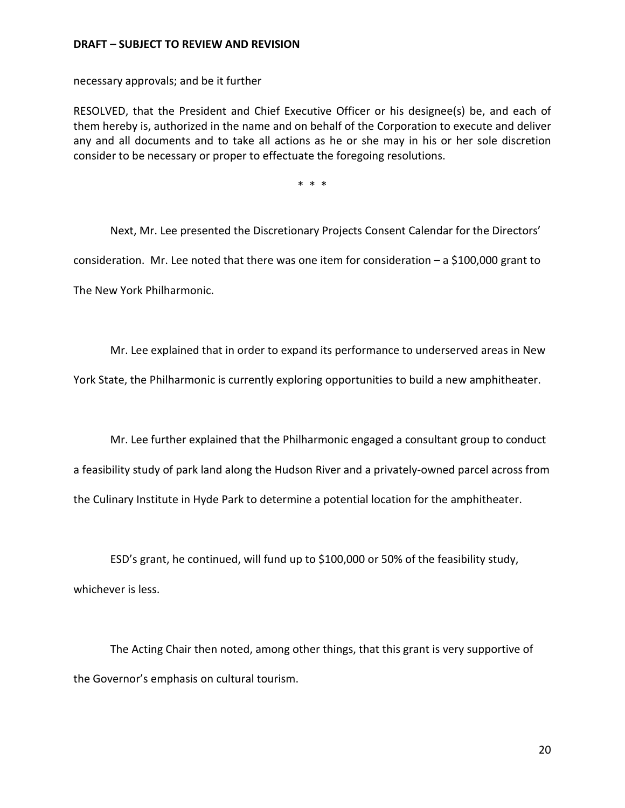necessary approvals; and be it further

RESOLVED, that the President and Chief Executive Officer or his designee(s) be, and each of them hereby is, authorized in the name and on behalf of the Corporation to execute and deliver any and all documents and to take all actions as he or she may in his or her sole discretion consider to be necessary or proper to effectuate the foregoing resolutions.

\* \* \*

Next, Mr. Lee presented the Discretionary Projects Consent Calendar for the Directors' consideration. Mr. Lee noted that there was one item for consideration  $-$  a \$100,000 grant to The New York Philharmonic.

Mr. Lee explained that in order to expand its performance to underserved areas in New

York State, the Philharmonic is currently exploring opportunities to build a new amphitheater.

Mr. Lee further explained that the Philharmonic engaged a consultant group to conduct a feasibility study of park land along the Hudson River and a privately-owned parcel across from the Culinary Institute in Hyde Park to determine a potential location for the amphitheater.

ESD's grant, he continued, will fund up to \$100,000 or 50% of the feasibility study, whichever is less.

The Acting Chair then noted, among other things, that this grant is very supportive of the Governor's emphasis on cultural tourism.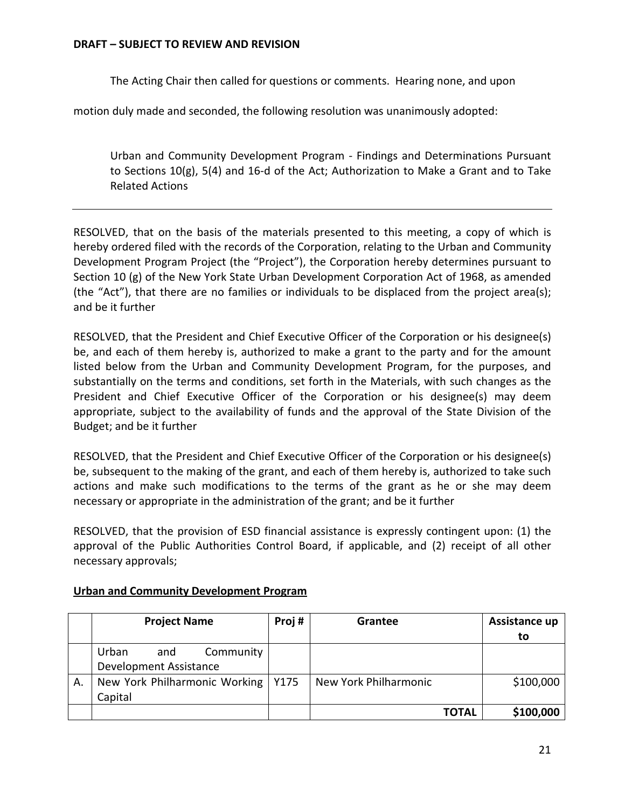The Acting Chair then called for questions or comments. Hearing none, and upon

motion duly made and seconded, the following resolution was unanimously adopted:

Urban and Community Development Program - Findings and Determinations Pursuant to Sections 10(g), 5(4) and 16-d of the Act; Authorization to Make a Grant and to Take Related Actions

RESOLVED, that on the basis of the materials presented to this meeting, a copy of which is hereby ordered filed with the records of the Corporation, relating to the Urban and Community Development Program Project (the "Project"), the Corporation hereby determines pursuant to Section 10 (g) of the New York State Urban Development Corporation Act of 1968, as amended (the "Act"), that there are no families or individuals to be displaced from the project area(s); and be it further

RESOLVED, that the President and Chief Executive Officer of the Corporation or his designee(s) be, and each of them hereby is, authorized to make a grant to the party and for the amount listed below from the Urban and Community Development Program, for the purposes, and substantially on the terms and conditions, set forth in the Materials, with such changes as the President and Chief Executive Officer of the Corporation or his designee(s) may deem appropriate, subject to the availability of funds and the approval of the State Division of the Budget; and be it further

RESOLVED, that the President and Chief Executive Officer of the Corporation or his designee(s) be, subsequent to the making of the grant, and each of them hereby is, authorized to take such actions and make such modifications to the terms of the grant as he or she may deem necessary or appropriate in the administration of the grant; and be it further

RESOLVED, that the provision of ESD financial assistance is expressly contingent upon: (1) the approval of the Public Authorities Control Board, if applicable, and (2) receipt of all other necessary approvals;

|    | <b>Project Name</b>                  | Proj# | Grantee               | Assistance up |
|----|--------------------------------------|-------|-----------------------|---------------|
|    |                                      |       |                       | to            |
|    | Urban<br>Community<br>and            |       |                       |               |
|    | Development Assistance               |       |                       |               |
| А. | New York Philharmonic Working   Y175 |       | New York Philharmonic | \$100,000     |
|    | Capital                              |       |                       |               |
|    |                                      |       | <b>TOTAL</b>          | \$100,000     |

## **Urban and Community Development Program**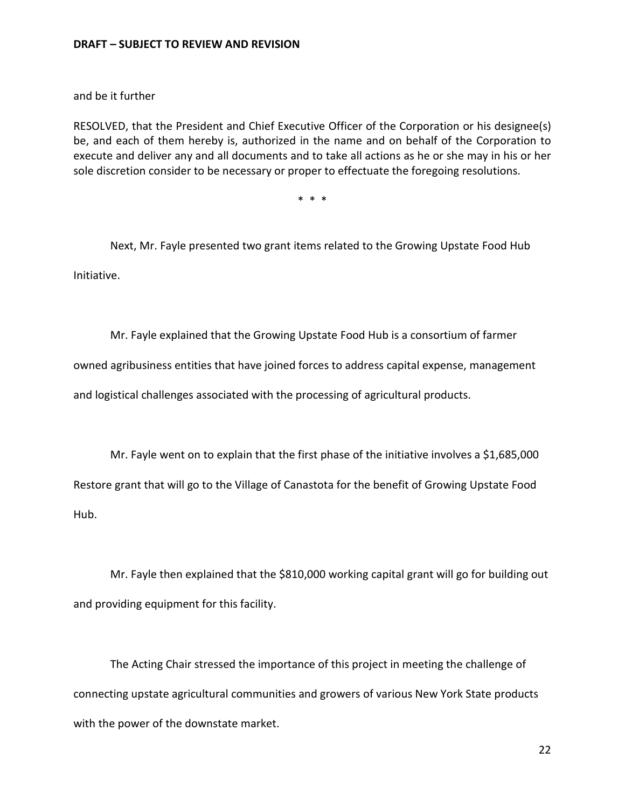and be it further

RESOLVED, that the President and Chief Executive Officer of the Corporation or his designee(s) be, and each of them hereby is, authorized in the name and on behalf of the Corporation to execute and deliver any and all documents and to take all actions as he or she may in his or her sole discretion consider to be necessary or proper to effectuate the foregoing resolutions.

\* \* \*

Next, Mr. Fayle presented two grant items related to the Growing Upstate Food Hub Initiative.

Mr. Fayle explained that the Growing Upstate Food Hub is a consortium of farmer

owned agribusiness entities that have joined forces to address capital expense, management

and logistical challenges associated with the processing of agricultural products.

Mr. Fayle went on to explain that the first phase of the initiative involves a \$1,685,000 Restore grant that will go to the Village of Canastota for the benefit of Growing Upstate Food Hub.

Mr. Fayle then explained that the \$810,000 working capital grant will go for building out and providing equipment for this facility.

The Acting Chair stressed the importance of this project in meeting the challenge of connecting upstate agricultural communities and growers of various New York State products with the power of the downstate market.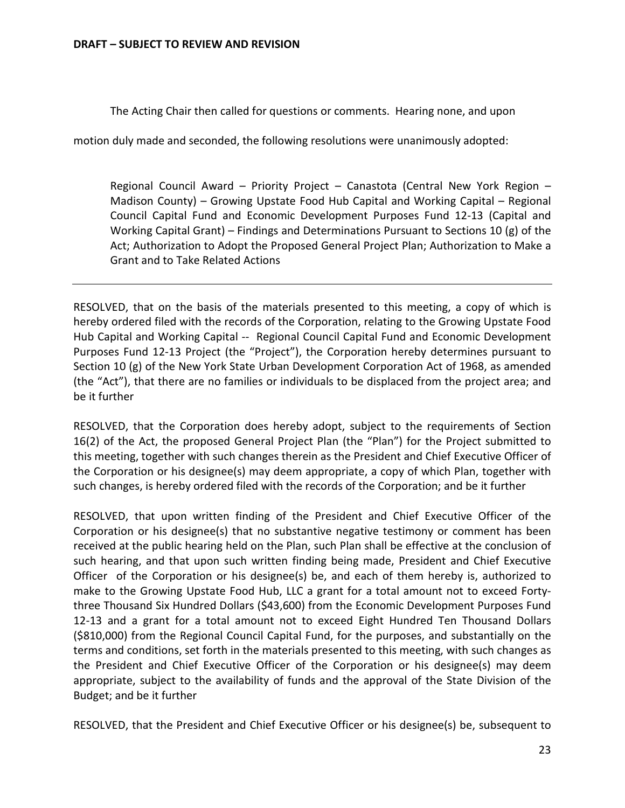The Acting Chair then called for questions or comments. Hearing none, and upon

motion duly made and seconded, the following resolutions were unanimously adopted:

Regional Council Award – Priority Project – Canastota (Central New York Region – Madison County) – Growing Upstate Food Hub Capital and Working Capital – Regional Council Capital Fund and Economic Development Purposes Fund 12-13 (Capital and Working Capital Grant) – Findings and Determinations Pursuant to Sections 10 (g) of the Act; Authorization to Adopt the Proposed General Project Plan; Authorization to Make a Grant and to Take Related Actions

RESOLVED, that on the basis of the materials presented to this meeting, a copy of which is hereby ordered filed with the records of the Corporation, relating to the Growing Upstate Food Hub Capital and Working Capital -- Regional Council Capital Fund and Economic Development Purposes Fund 12-13 Project (the "Project"), the Corporation hereby determines pursuant to Section 10 (g) of the New York State Urban Development Corporation Act of 1968, as amended (the "Act"), that there are no families or individuals to be displaced from the project area; and be it further

RESOLVED, that the Corporation does hereby adopt, subject to the requirements of Section 16(2) of the Act, the proposed General Project Plan (the "Plan") for the Project submitted to this meeting, together with such changes therein as the President and Chief Executive Officer of the Corporation or his designee(s) may deem appropriate, a copy of which Plan, together with such changes, is hereby ordered filed with the records of the Corporation; and be it further

RESOLVED, that upon written finding of the President and Chief Executive Officer of the Corporation or his designee(s) that no substantive negative testimony or comment has been received at the public hearing held on the Plan, such Plan shall be effective at the conclusion of such hearing, and that upon such written finding being made, President and Chief Executive Officer of the Corporation or his designee(s) be, and each of them hereby is, authorized to make to the Growing Upstate Food Hub, LLC a grant for a total amount not to exceed Fortythree Thousand Six Hundred Dollars (\$43,600) from the Economic Development Purposes Fund 12-13 and a grant for a total amount not to exceed Eight Hundred Ten Thousand Dollars (\$810,000) from the Regional Council Capital Fund, for the purposes, and substantially on the terms and conditions, set forth in the materials presented to this meeting, with such changes as the President and Chief Executive Officer of the Corporation or his designee(s) may deem appropriate, subject to the availability of funds and the approval of the State Division of the Budget; and be it further

RESOLVED, that the President and Chief Executive Officer or his designee(s) be, subsequent to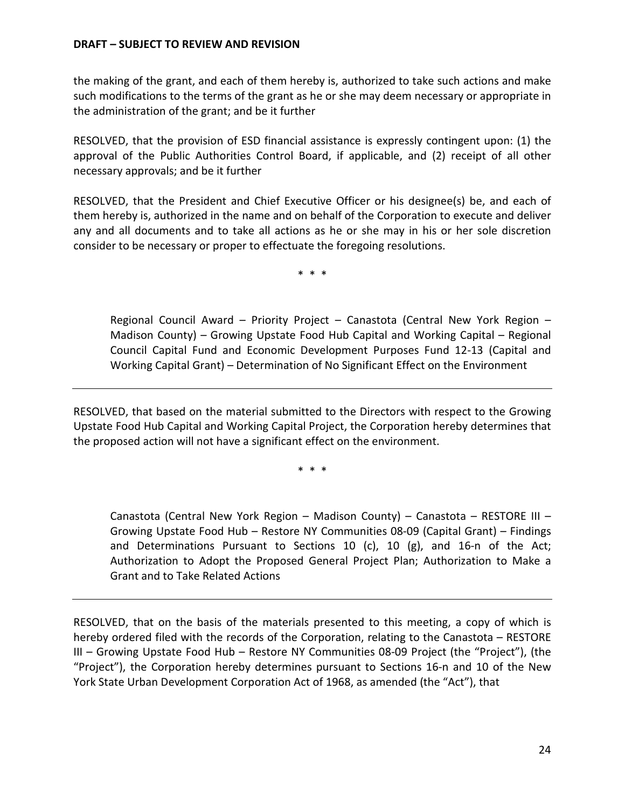the making of the grant, and each of them hereby is, authorized to take such actions and make such modifications to the terms of the grant as he or she may deem necessary or appropriate in the administration of the grant; and be it further

RESOLVED, that the provision of ESD financial assistance is expressly contingent upon: (1) the approval of the Public Authorities Control Board, if applicable, and (2) receipt of all other necessary approvals; and be it further

RESOLVED, that the President and Chief Executive Officer or his designee(s) be, and each of them hereby is, authorized in the name and on behalf of the Corporation to execute and deliver any and all documents and to take all actions as he or she may in his or her sole discretion consider to be necessary or proper to effectuate the foregoing resolutions.

\* \* \*

Regional Council Award – Priority Project – Canastota (Central New York Region – Madison County) – Growing Upstate Food Hub Capital and Working Capital – Regional Council Capital Fund and Economic Development Purposes Fund 12-13 (Capital and Working Capital Grant) – Determination of No Significant Effect on the Environment

RESOLVED, that based on the material submitted to the Directors with respect to the Growing Upstate Food Hub Capital and Working Capital Project, the Corporation hereby determines that the proposed action will not have a significant effect on the environment.

\* \* \*

Canastota (Central New York Region – Madison County) – Canastota – RESTORE III – Growing Upstate Food Hub – Restore NY Communities 08-09 (Capital Grant) – Findings and Determinations Pursuant to Sections 10 (c), 10 (g), and 16-n of the Act; Authorization to Adopt the Proposed General Project Plan; Authorization to Make a Grant and to Take Related Actions

RESOLVED, that on the basis of the materials presented to this meeting, a copy of which is hereby ordered filed with the records of the Corporation, relating to the Canastota – RESTORE III – Growing Upstate Food Hub – Restore NY Communities 08-09 Project (the "Project"), (the "Project"), the Corporation hereby determines pursuant to Sections 16-n and 10 of the New York State Urban Development Corporation Act of 1968, as amended (the "Act"), that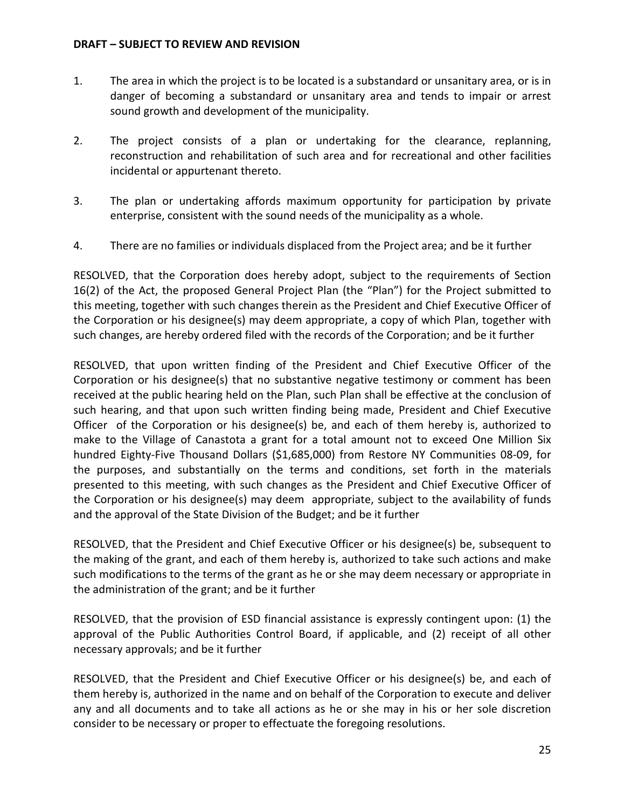- 1. The area in which the project is to be located is a substandard or unsanitary area, or is in danger of becoming a substandard or unsanitary area and tends to impair or arrest sound growth and development of the municipality.
- 2. The project consists of a plan or undertaking for the clearance, replanning, reconstruction and rehabilitation of such area and for recreational and other facilities incidental or appurtenant thereto.
- 3. The plan or undertaking affords maximum opportunity for participation by private enterprise, consistent with the sound needs of the municipality as a whole.
- 4. There are no families or individuals displaced from the Project area; and be it further

RESOLVED, that the Corporation does hereby adopt, subject to the requirements of Section 16(2) of the Act, the proposed General Project Plan (the "Plan") for the Project submitted to this meeting, together with such changes therein as the President and Chief Executive Officer of the Corporation or his designee(s) may deem appropriate, a copy of which Plan, together with such changes, are hereby ordered filed with the records of the Corporation; and be it further

RESOLVED, that upon written finding of the President and Chief Executive Officer of the Corporation or his designee(s) that no substantive negative testimony or comment has been received at the public hearing held on the Plan, such Plan shall be effective at the conclusion of such hearing, and that upon such written finding being made, President and Chief Executive Officer of the Corporation or his designee(s) be, and each of them hereby is, authorized to make to the Village of Canastota a grant for a total amount not to exceed One Million Six hundred Eighty-Five Thousand Dollars (\$1,685,000) from Restore NY Communities 08-09, for the purposes, and substantially on the terms and conditions, set forth in the materials presented to this meeting, with such changes as the President and Chief Executive Officer of the Corporation or his designee(s) may deem appropriate, subject to the availability of funds and the approval of the State Division of the Budget; and be it further

RESOLVED, that the President and Chief Executive Officer or his designee(s) be, subsequent to the making of the grant, and each of them hereby is, authorized to take such actions and make such modifications to the terms of the grant as he or she may deem necessary or appropriate in the administration of the grant; and be it further

RESOLVED, that the provision of ESD financial assistance is expressly contingent upon: (1) the approval of the Public Authorities Control Board, if applicable, and (2) receipt of all other necessary approvals; and be it further

RESOLVED, that the President and Chief Executive Officer or his designee(s) be, and each of them hereby is, authorized in the name and on behalf of the Corporation to execute and deliver any and all documents and to take all actions as he or she may in his or her sole discretion consider to be necessary or proper to effectuate the foregoing resolutions.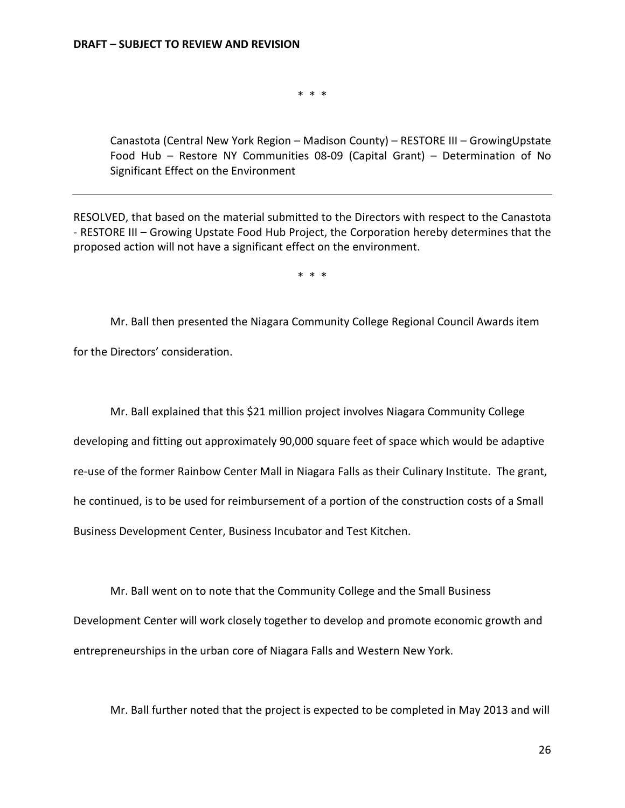\* \* \*

Canastota (Central New York Region – Madison County) – RESTORE III – GrowingUpstate Food Hub – Restore NY Communities 08-09 (Capital Grant) – Determination of No Significant Effect on the Environment

RESOLVED, that based on the material submitted to the Directors with respect to the Canastota - RESTORE III – Growing Upstate Food Hub Project, the Corporation hereby determines that the proposed action will not have a significant effect on the environment.

\* \* \*

Mr. Ball then presented the Niagara Community College Regional Council Awards item for the Directors' consideration.

Mr. Ball explained that this \$21 million project involves Niagara Community College developing and fitting out approximately 90,000 square feet of space which would be adaptive re-use of the former Rainbow Center Mall in Niagara Falls as their Culinary Institute. The grant, he continued, is to be used for reimbursement of a portion of the construction costs of a Small Business Development Center, Business Incubator and Test Kitchen.

Mr. Ball went on to note that the Community College and the Small Business Development Center will work closely together to develop and promote economic growth and entrepreneurships in the urban core of Niagara Falls and Western New York.

Mr. Ball further noted that the project is expected to be completed in May 2013 and will

26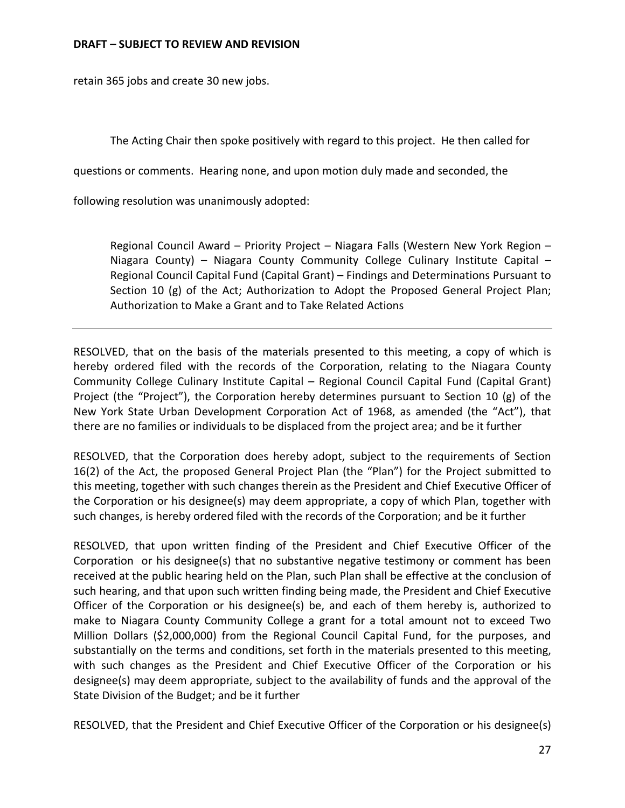retain 365 jobs and create 30 new jobs.

The Acting Chair then spoke positively with regard to this project. He then called for

questions or comments. Hearing none, and upon motion duly made and seconded, the

following resolution was unanimously adopted:

Regional Council Award – Priority Project – Niagara Falls (Western New York Region – Niagara County) – Niagara County Community College Culinary Institute Capital – Regional Council Capital Fund (Capital Grant) – Findings and Determinations Pursuant to Section 10 (g) of the Act; Authorization to Adopt the Proposed General Project Plan; Authorization to Make a Grant and to Take Related Actions

RESOLVED, that on the basis of the materials presented to this meeting, a copy of which is hereby ordered filed with the records of the Corporation, relating to the Niagara County Community College Culinary Institute Capital – Regional Council Capital Fund (Capital Grant) Project (the "Project"), the Corporation hereby determines pursuant to Section 10 (g) of the New York State Urban Development Corporation Act of 1968, as amended (the "Act"), that there are no families or individuals to be displaced from the project area; and be it further

RESOLVED, that the Corporation does hereby adopt, subject to the requirements of Section 16(2) of the Act, the proposed General Project Plan (the "Plan") for the Project submitted to this meeting, together with such changes therein as the President and Chief Executive Officer of the Corporation or his designee(s) may deem appropriate, a copy of which Plan, together with such changes, is hereby ordered filed with the records of the Corporation; and be it further

RESOLVED, that upon written finding of the President and Chief Executive Officer of the Corporation or his designee(s) that no substantive negative testimony or comment has been received at the public hearing held on the Plan, such Plan shall be effective at the conclusion of such hearing, and that upon such written finding being made, the President and Chief Executive Officer of the Corporation or his designee(s) be, and each of them hereby is, authorized to make to Niagara County Community College a grant for a total amount not to exceed Two Million Dollars (\$2,000,000) from the Regional Council Capital Fund, for the purposes, and substantially on the terms and conditions, set forth in the materials presented to this meeting, with such changes as the President and Chief Executive Officer of the Corporation or his designee(s) may deem appropriate, subject to the availability of funds and the approval of the State Division of the Budget; and be it further

RESOLVED, that the President and Chief Executive Officer of the Corporation or his designee(s)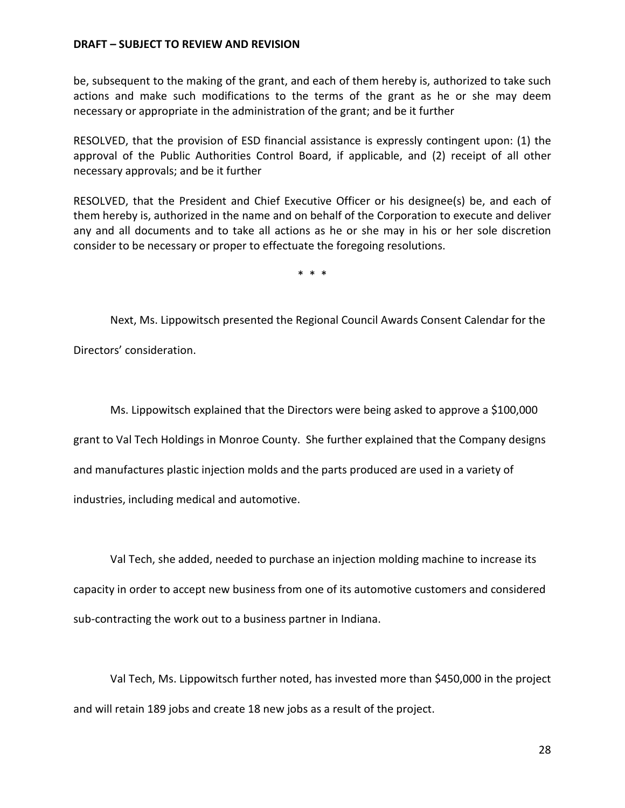be, subsequent to the making of the grant, and each of them hereby is, authorized to take such actions and make such modifications to the terms of the grant as he or she may deem necessary or appropriate in the administration of the grant; and be it further

RESOLVED, that the provision of ESD financial assistance is expressly contingent upon: (1) the approval of the Public Authorities Control Board, if applicable, and (2) receipt of all other necessary approvals; and be it further

RESOLVED, that the President and Chief Executive Officer or his designee(s) be, and each of them hereby is, authorized in the name and on behalf of the Corporation to execute and deliver any and all documents and to take all actions as he or she may in his or her sole discretion consider to be necessary or proper to effectuate the foregoing resolutions.

\* \* \*

Next, Ms. Lippowitsch presented the Regional Council Awards Consent Calendar for the Directors' consideration.

Ms. Lippowitsch explained that the Directors were being asked to approve a \$100,000 grant to Val Tech Holdings in Monroe County. She further explained that the Company designs and manufactures plastic injection molds and the parts produced are used in a variety of industries, including medical and automotive.

Val Tech, she added, needed to purchase an injection molding machine to increase its capacity in order to accept new business from one of its automotive customers and considered sub-contracting the work out to a business partner in Indiana.

Val Tech, Ms. Lippowitsch further noted, has invested more than \$450,000 in the project and will retain 189 jobs and create 18 new jobs as a result of the project.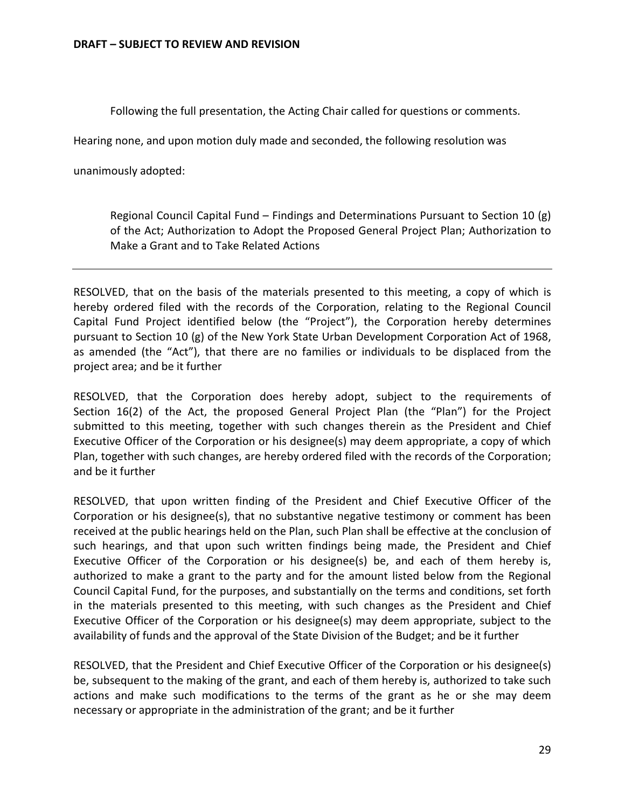Following the full presentation, the Acting Chair called for questions or comments.

Hearing none, and upon motion duly made and seconded, the following resolution was

unanimously adopted:

Regional Council Capital Fund – Findings and Determinations Pursuant to Section 10 (g) of the Act; Authorization to Adopt the Proposed General Project Plan; Authorization to Make a Grant and to Take Related Actions

RESOLVED, that on the basis of the materials presented to this meeting, a copy of which is hereby ordered filed with the records of the Corporation, relating to the Regional Council Capital Fund Project identified below (the "Project"), the Corporation hereby determines pursuant to Section 10 (g) of the New York State Urban Development Corporation Act of 1968, as amended (the "Act"), that there are no families or individuals to be displaced from the project area; and be it further

RESOLVED, that the Corporation does hereby adopt, subject to the requirements of Section 16(2) of the Act, the proposed General Project Plan (the "Plan") for the Project submitted to this meeting, together with such changes therein as the President and Chief Executive Officer of the Corporation or his designee(s) may deem appropriate, a copy of which Plan, together with such changes, are hereby ordered filed with the records of the Corporation; and be it further

RESOLVED, that upon written finding of the President and Chief Executive Officer of the Corporation or his designee(s), that no substantive negative testimony or comment has been received at the public hearings held on the Plan, such Plan shall be effective at the conclusion of such hearings, and that upon such written findings being made, the President and Chief Executive Officer of the Corporation or his designee(s) be, and each of them hereby is, authorized to make a grant to the party and for the amount listed below from the Regional Council Capital Fund, for the purposes, and substantially on the terms and conditions, set forth in the materials presented to this meeting, with such changes as the President and Chief Executive Officer of the Corporation or his designee(s) may deem appropriate, subject to the availability of funds and the approval of the State Division of the Budget; and be it further

RESOLVED, that the President and Chief Executive Officer of the Corporation or his designee(s) be, subsequent to the making of the grant, and each of them hereby is, authorized to take such actions and make such modifications to the terms of the grant as he or she may deem necessary or appropriate in the administration of the grant; and be it further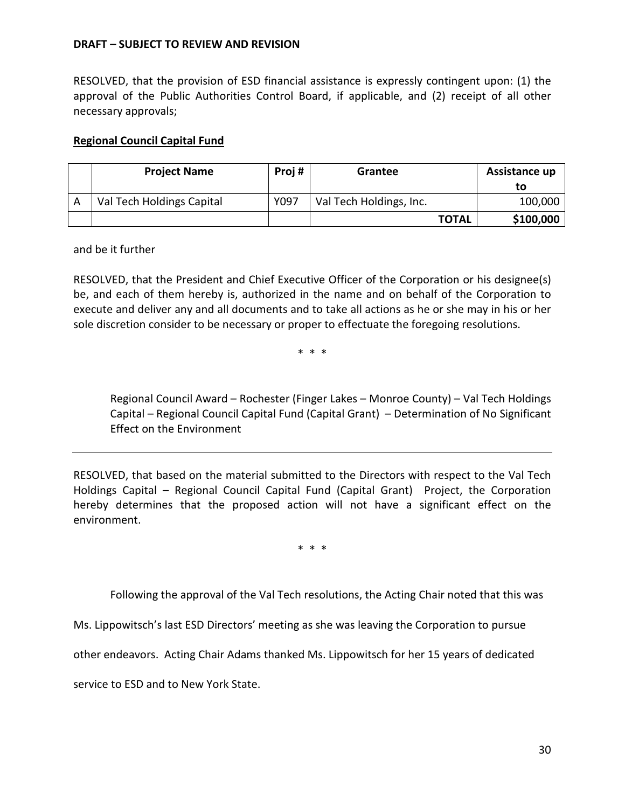RESOLVED, that the provision of ESD financial assistance is expressly contingent upon: (1) the approval of the Public Authorities Control Board, if applicable, and (2) receipt of all other necessary approvals;

## **Regional Council Capital Fund**

| <b>Project Name</b>       | Proj# | Grantee                 | Assistance up<br>τo |
|---------------------------|-------|-------------------------|---------------------|
| Val Tech Holdings Capital | Y097  | Val Tech Holdings, Inc. | 100,000             |
|                           |       | <b>TOTAL</b>            | \$100,000           |

and be it further

RESOLVED, that the President and Chief Executive Officer of the Corporation or his designee(s) be, and each of them hereby is, authorized in the name and on behalf of the Corporation to execute and deliver any and all documents and to take all actions as he or she may in his or her sole discretion consider to be necessary or proper to effectuate the foregoing resolutions.

\* \* \*

Regional Council Award – Rochester (Finger Lakes – Monroe County) – Val Tech Holdings Capital – Regional Council Capital Fund (Capital Grant) – Determination of No Significant Effect on the Environment

RESOLVED, that based on the material submitted to the Directors with respect to the Val Tech Holdings Capital – Regional Council Capital Fund (Capital Grant) Project, the Corporation hereby determines that the proposed action will not have a significant effect on the environment.

\* \* \*

Following the approval of the Val Tech resolutions, the Acting Chair noted that this was

Ms. Lippowitsch's last ESD Directors' meeting as she was leaving the Corporation to pursue

other endeavors. Acting Chair Adams thanked Ms. Lippowitsch for her 15 years of dedicated

service to ESD and to New York State.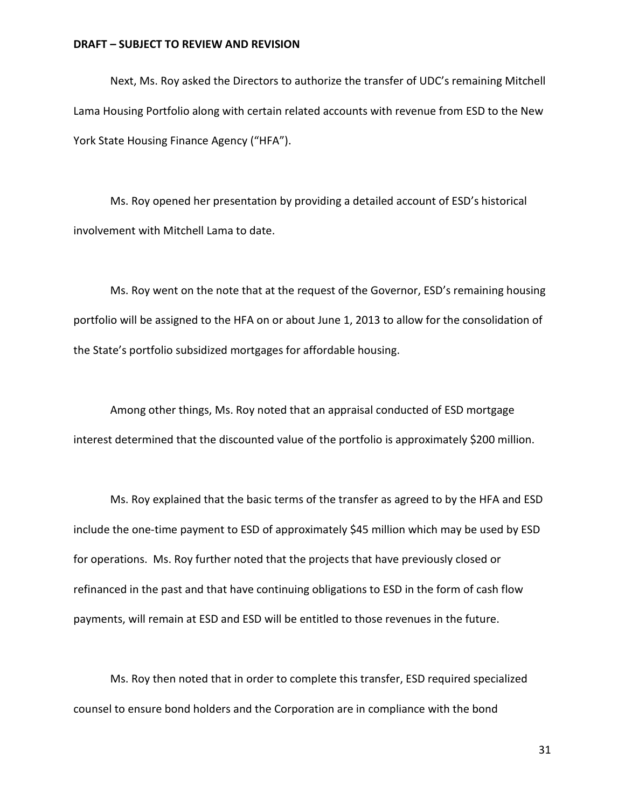Next, Ms. Roy asked the Directors to authorize the transfer of UDC's remaining Mitchell Lama Housing Portfolio along with certain related accounts with revenue from ESD to the New York State Housing Finance Agency ("HFA").

Ms. Roy opened her presentation by providing a detailed account of ESD's historical involvement with Mitchell Lama to date.

Ms. Roy went on the note that at the request of the Governor, ESD's remaining housing portfolio will be assigned to the HFA on or about June 1, 2013 to allow for the consolidation of the State's portfolio subsidized mortgages for affordable housing.

Among other things, Ms. Roy noted that an appraisal conducted of ESD mortgage interest determined that the discounted value of the portfolio is approximately \$200 million.

Ms. Roy explained that the basic terms of the transfer as agreed to by the HFA and ESD include the one-time payment to ESD of approximately \$45 million which may be used by ESD for operations. Ms. Roy further noted that the projects that have previously closed or refinanced in the past and that have continuing obligations to ESD in the form of cash flow payments, will remain at ESD and ESD will be entitled to those revenues in the future.

Ms. Roy then noted that in order to complete this transfer, ESD required specialized counsel to ensure bond holders and the Corporation are in compliance with the bond

31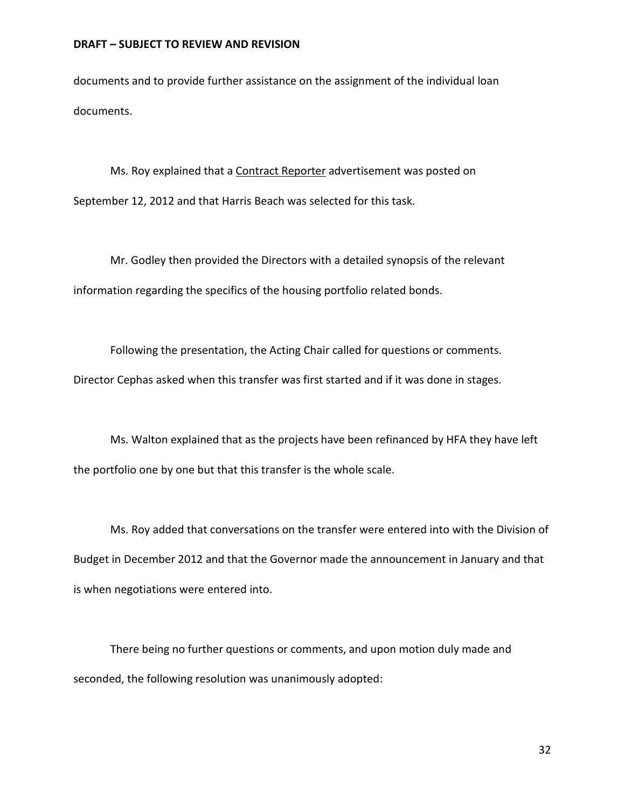documents and to provide further assistance on the assignment of the individual loan documents.

Ms. Roy explained that a Contract Reporter advertisement was posted on September 12, 2012 and that Harris Beach was selected for this task.

Mr. Godley then provided the Directors with a detailed synopsis of the relevant information regarding the specifics of the housing portfolio related bonds.

Following the presentation, the Acting Chair called for questions or comments. Director Cephas asked when this transfer was first started and if it was done in stages.

Ms. Walton explained that as the projects have been refinanced by HFA they have left the portfolio one by one but that this transfer is the whole scale.

Ms. Roy added that conversations on the transfer were entered into with the Division of Budget in December 2012 and that the Governor made the announcement in January and that is when negotiations were entered into.

There being no further questions or comments, and upon motion duly made and seconded, the following resolution was unanimously adopted: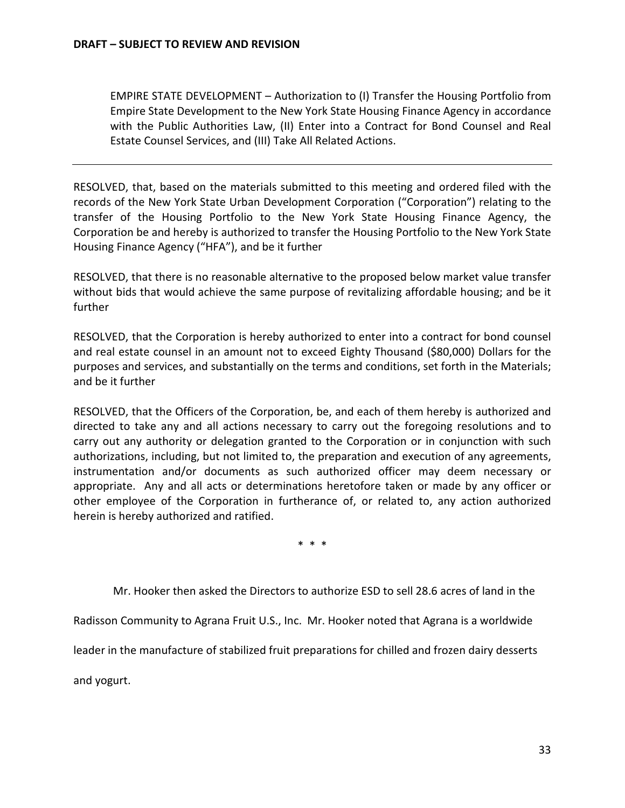EMPIRE STATE DEVELOPMENT – Authorization to (I) Transfer the Housing Portfolio from Empire State Development to the New York State Housing Finance Agency in accordance with the Public Authorities Law, (II) Enter into a Contract for Bond Counsel and Real Estate Counsel Services, and (III) Take All Related Actions.

RESOLVED, that, based on the materials submitted to this meeting and ordered filed with the records of the New York State Urban Development Corporation ("Corporation") relating to the transfer of the Housing Portfolio to the New York State Housing Finance Agency, the Corporation be and hereby is authorized to transfer the Housing Portfolio to the New York State Housing Finance Agency ("HFA"), and be it further

RESOLVED, that there is no reasonable alternative to the proposed below market value transfer without bids that would achieve the same purpose of revitalizing affordable housing; and be it further

RESOLVED, that the Corporation is hereby authorized to enter into a contract for bond counsel and real estate counsel in an amount not to exceed Eighty Thousand (\$80,000) Dollars for the purposes and services, and substantially on the terms and conditions, set forth in the Materials; and be it further

RESOLVED, that the Officers of the Corporation, be, and each of them hereby is authorized and directed to take any and all actions necessary to carry out the foregoing resolutions and to carry out any authority or delegation granted to the Corporation or in conjunction with such authorizations, including, but not limited to, the preparation and execution of any agreements, instrumentation and/or documents as such authorized officer may deem necessary or appropriate. Any and all acts or determinations heretofore taken or made by any officer or other employee of the Corporation in furtherance of, or related to, any action authorized herein is hereby authorized and ratified.

\* \* \*

Mr. Hooker then asked the Directors to authorize ESD to sell 28.6 acres of land in the

Radisson Community to Agrana Fruit U.S., Inc. Mr. Hooker noted that Agrana is a worldwide

leader in the manufacture of stabilized fruit preparations for chilled and frozen dairy desserts

and yogurt.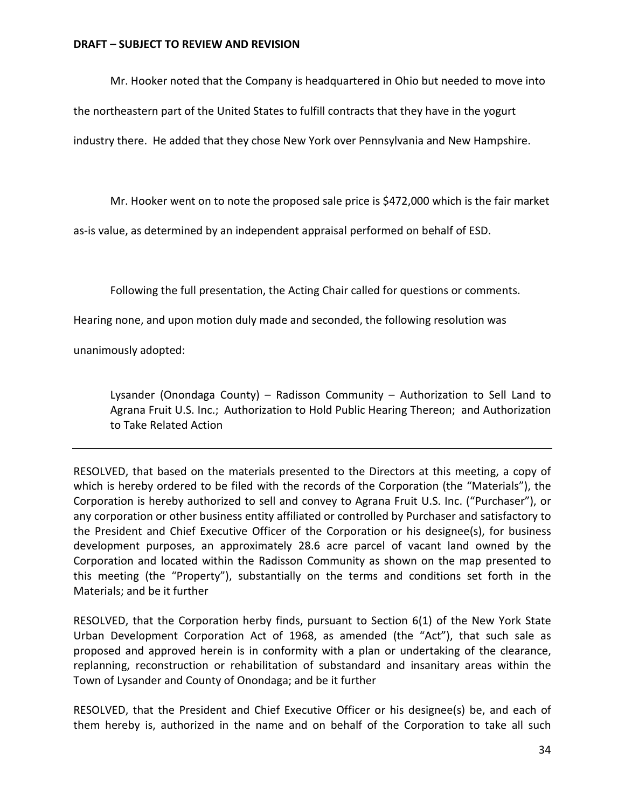Mr. Hooker noted that the Company is headquartered in Ohio but needed to move into

the northeastern part of the United States to fulfill contracts that they have in the yogurt

industry there. He added that they chose New York over Pennsylvania and New Hampshire.

Mr. Hooker went on to note the proposed sale price is \$472,000 which is the fair market

as-is value, as determined by an independent appraisal performed on behalf of ESD.

Following the full presentation, the Acting Chair called for questions or comments.

Hearing none, and upon motion duly made and seconded, the following resolution was

unanimously adopted:

Lysander (Onondaga County) – Radisson Community – Authorization to Sell Land to Agrana Fruit U.S. Inc.; Authorization to Hold Public Hearing Thereon; and Authorization to Take Related Action

RESOLVED, that based on the materials presented to the Directors at this meeting, a copy of which is hereby ordered to be filed with the records of the Corporation (the "Materials"), the Corporation is hereby authorized to sell and convey to Agrana Fruit U.S. Inc. ("Purchaser"), or any corporation or other business entity affiliated or controlled by Purchaser and satisfactory to the President and Chief Executive Officer of the Corporation or his designee(s), for business development purposes, an approximately 28.6 acre parcel of vacant land owned by the Corporation and located within the Radisson Community as shown on the map presented to this meeting (the "Property"), substantially on the terms and conditions set forth in the Materials; and be it further

RESOLVED, that the Corporation herby finds, pursuant to Section 6(1) of the New York State Urban Development Corporation Act of 1968, as amended (the "Act"), that such sale as proposed and approved herein is in conformity with a plan or undertaking of the clearance, replanning, reconstruction or rehabilitation of substandard and insanitary areas within the Town of Lysander and County of Onondaga; and be it further

RESOLVED, that the President and Chief Executive Officer or his designee(s) be, and each of them hereby is, authorized in the name and on behalf of the Corporation to take all such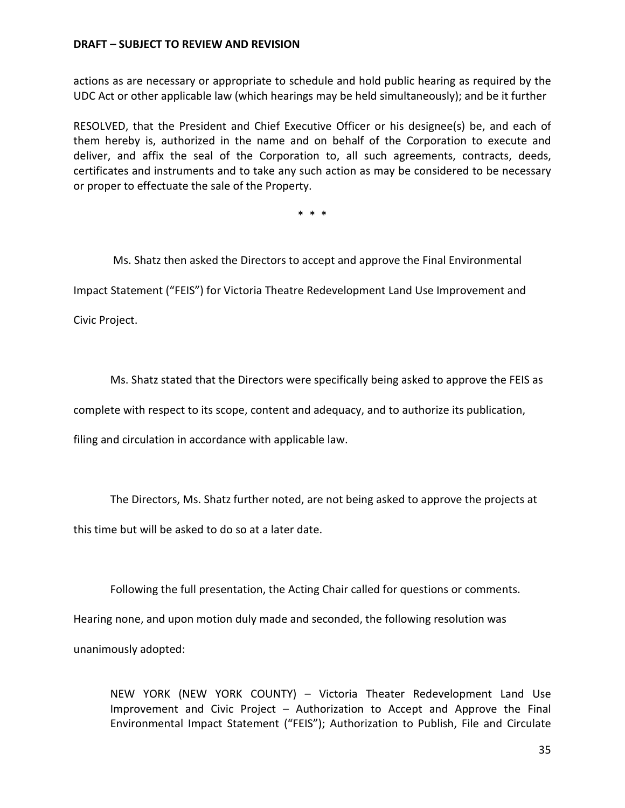actions as are necessary or appropriate to schedule and hold public hearing as required by the UDC Act or other applicable law (which hearings may be held simultaneously); and be it further

RESOLVED, that the President and Chief Executive Officer or his designee(s) be, and each of them hereby is, authorized in the name and on behalf of the Corporation to execute and deliver, and affix the seal of the Corporation to, all such agreements, contracts, deeds, certificates and instruments and to take any such action as may be considered to be necessary or proper to effectuate the sale of the Property.

\* \* \*

Ms. Shatz then asked the Directors to accept and approve the Final Environmental

Impact Statement ("FEIS") for Victoria Theatre Redevelopment Land Use Improvement and

Civic Project.

Ms. Shatz stated that the Directors were specifically being asked to approve the FEIS as

complete with respect to its scope, content and adequacy, and to authorize its publication,

filing and circulation in accordance with applicable law.

The Directors, Ms. Shatz further noted, are not being asked to approve the projects at this time but will be asked to do so at a later date.

Following the full presentation, the Acting Chair called for questions or comments. Hearing none, and upon motion duly made and seconded, the following resolution was unanimously adopted:

NEW YORK (NEW YORK COUNTY) – Victoria Theater Redevelopment Land Use Improvement and Civic Project – Authorization to Accept and Approve the Final Environmental Impact Statement ("FEIS"); Authorization to Publish, File and Circulate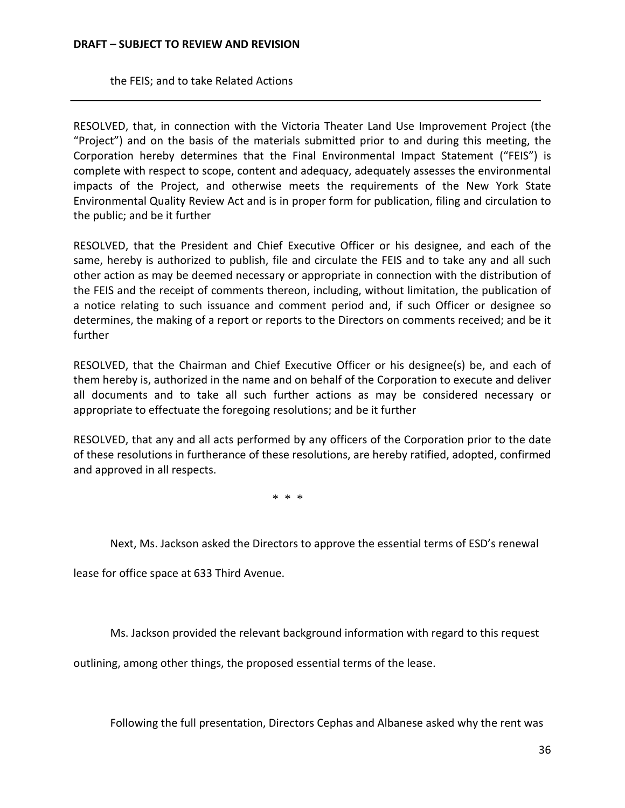the FEIS; and to take Related Actions

RESOLVED, that, in connection with the Victoria Theater Land Use Improvement Project (the "Project") and on the basis of the materials submitted prior to and during this meeting, the Corporation hereby determines that the Final Environmental Impact Statement ("FEIS") is complete with respect to scope, content and adequacy, adequately assesses the environmental impacts of the Project, and otherwise meets the requirements of the New York State Environmental Quality Review Act and is in proper form for publication, filing and circulation to the public; and be it further

RESOLVED, that the President and Chief Executive Officer or his designee, and each of the same, hereby is authorized to publish, file and circulate the FEIS and to take any and all such other action as may be deemed necessary or appropriate in connection with the distribution of the FEIS and the receipt of comments thereon, including, without limitation, the publication of a notice relating to such issuance and comment period and, if such Officer or designee so determines, the making of a report or reports to the Directors on comments received; and be it further

RESOLVED, that the Chairman and Chief Executive Officer or his designee(s) be, and each of them hereby is, authorized in the name and on behalf of the Corporation to execute and deliver all documents and to take all such further actions as may be considered necessary or appropriate to effectuate the foregoing resolutions; and be it further

RESOLVED, that any and all acts performed by any officers of the Corporation prior to the date of these resolutions in furtherance of these resolutions, are hereby ratified, adopted, confirmed and approved in all respects.

\* \* \*

Next, Ms. Jackson asked the Directors to approve the essential terms of ESD's renewal

lease for office space at 633 Third Avenue.

Ms. Jackson provided the relevant background information with regard to this request

outlining, among other things, the proposed essential terms of the lease.

Following the full presentation, Directors Cephas and Albanese asked why the rent was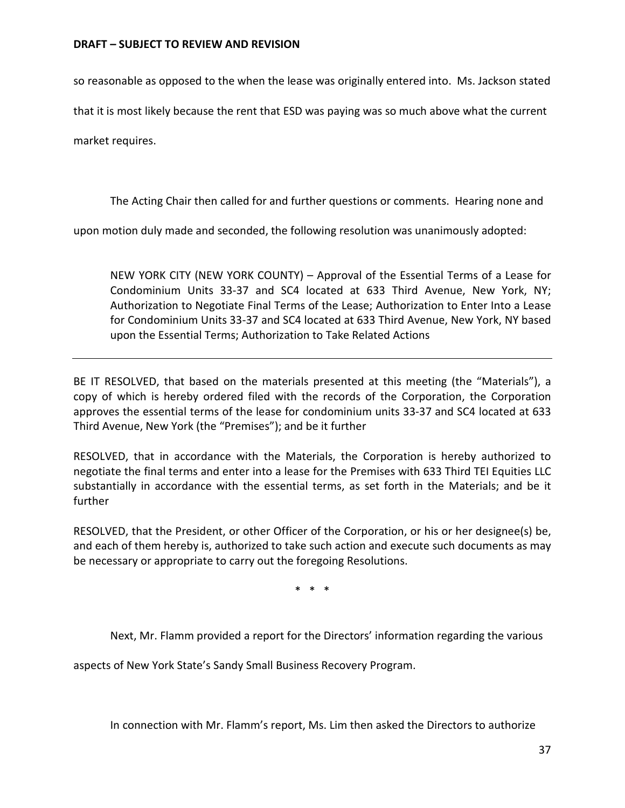so reasonable as opposed to the when the lease was originally entered into. Ms. Jackson stated

that it is most likely because the rent that ESD was paying was so much above what the current

market requires.

The Acting Chair then called for and further questions or comments. Hearing none and

upon motion duly made and seconded, the following resolution was unanimously adopted:

NEW YORK CITY (NEW YORK COUNTY) – Approval of the Essential Terms of a Lease for Condominium Units 33-37 and SC4 located at 633 Third Avenue, New York, NY; Authorization to Negotiate Final Terms of the Lease; Authorization to Enter Into a Lease for Condominium Units 33-37 and SC4 located at 633 Third Avenue, New York, NY based upon the Essential Terms; Authorization to Take Related Actions

BE IT RESOLVED, that based on the materials presented at this meeting (the "Materials"), a copy of which is hereby ordered filed with the records of the Corporation, the Corporation approves the essential terms of the lease for condominium units 33-37 and SC4 located at 633 Third Avenue, New York (the "Premises"); and be it further

RESOLVED, that in accordance with the Materials, the Corporation is hereby authorized to negotiate the final terms and enter into a lease for the Premises with 633 Third TEI Equities LLC substantially in accordance with the essential terms, as set forth in the Materials; and be it further

RESOLVED, that the President, or other Officer of the Corporation, or his or her designee(s) be, and each of them hereby is, authorized to take such action and execute such documents as may be necessary or appropriate to carry out the foregoing Resolutions.

\* \* \*

Next, Mr. Flamm provided a report for the Directors' information regarding the various

aspects of New York State's Sandy Small Business Recovery Program.

In connection with Mr. Flamm's report, Ms. Lim then asked the Directors to authorize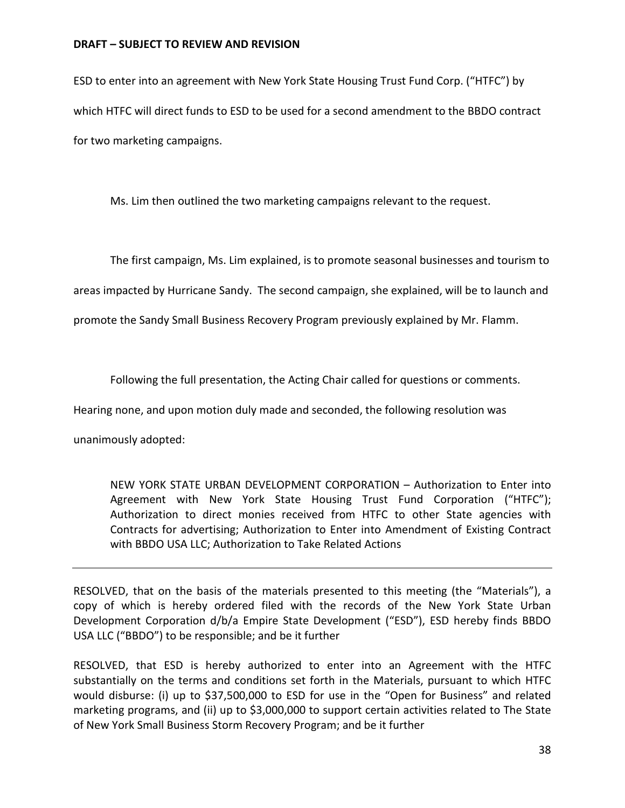ESD to enter into an agreement with New York State Housing Trust Fund Corp. ("HTFC") by which HTFC will direct funds to ESD to be used for a second amendment to the BBDO contract for two marketing campaigns.

Ms. Lim then outlined the two marketing campaigns relevant to the request.

The first campaign, Ms. Lim explained, is to promote seasonal businesses and tourism to

areas impacted by Hurricane Sandy. The second campaign, she explained, will be to launch and

promote the Sandy Small Business Recovery Program previously explained by Mr. Flamm.

Following the full presentation, the Acting Chair called for questions or comments.

Hearing none, and upon motion duly made and seconded, the following resolution was

unanimously adopted:

NEW YORK STATE URBAN DEVELOPMENT CORPORATION – Authorization to Enter into Agreement with New York State Housing Trust Fund Corporation ("HTFC"); Authorization to direct monies received from HTFC to other State agencies with Contracts for advertising; Authorization to Enter into Amendment of Existing Contract with BBDO USA LLC; Authorization to Take Related Actions

RESOLVED, that on the basis of the materials presented to this meeting (the "Materials"), a copy of which is hereby ordered filed with the records of the New York State Urban Development Corporation d/b/a Empire State Development ("ESD"), ESD hereby finds BBDO USA LLC ("BBDO") to be responsible; and be it further

RESOLVED, that ESD is hereby authorized to enter into an Agreement with the HTFC substantially on the terms and conditions set forth in the Materials, pursuant to which HTFC would disburse: (i) up to \$37,500,000 to ESD for use in the "Open for Business" and related marketing programs, and (ii) up to \$3,000,000 to support certain activities related to The State of New York Small Business Storm Recovery Program; and be it further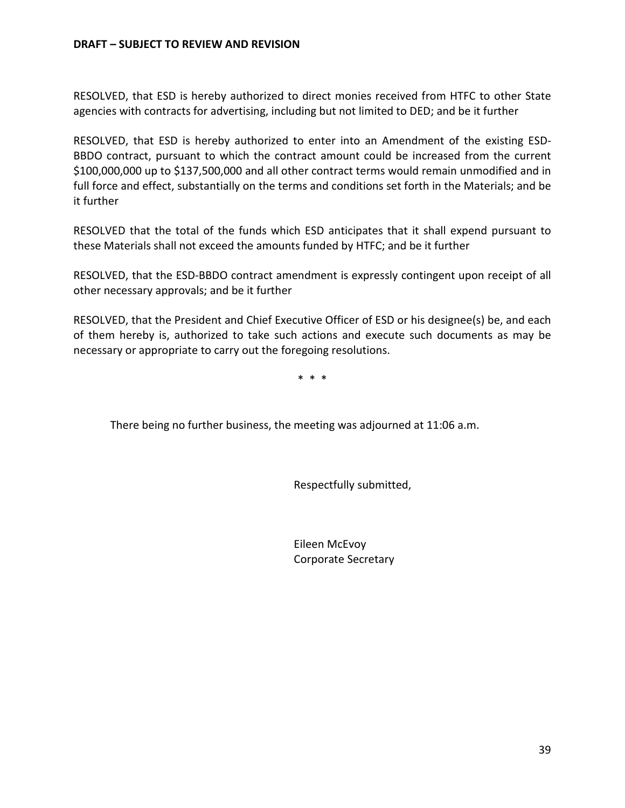RESOLVED, that ESD is hereby authorized to direct monies received from HTFC to other State agencies with contracts for advertising, including but not limited to DED; and be it further

RESOLVED, that ESD is hereby authorized to enter into an Amendment of the existing ESD-BBDO contract, pursuant to which the contract amount could be increased from the current \$100,000,000 up to \$137,500,000 and all other contract terms would remain unmodified and in full force and effect, substantially on the terms and conditions set forth in the Materials; and be it further

RESOLVED that the total of the funds which ESD anticipates that it shall expend pursuant to these Materials shall not exceed the amounts funded by HTFC; and be it further

RESOLVED, that the ESD-BBDO contract amendment is expressly contingent upon receipt of all other necessary approvals; and be it further

RESOLVED, that the President and Chief Executive Officer of ESD or his designee(s) be, and each of them hereby is, authorized to take such actions and execute such documents as may be necessary or appropriate to carry out the foregoing resolutions.

\* \* \*

There being no further business, the meeting was adjourned at 11:06 a.m.

Respectfully submitted,

Eileen McEvoy Corporate Secretary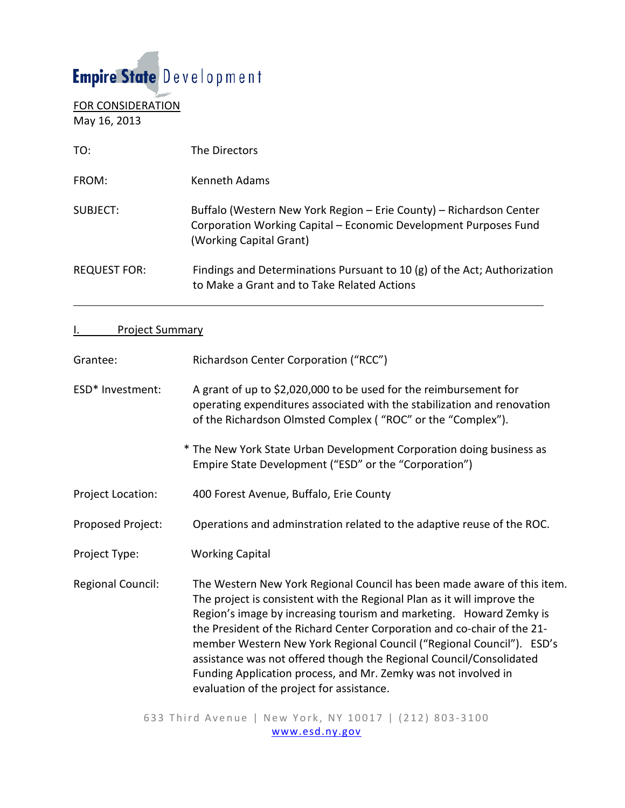# Empire State Development

FOR CONSIDERATION May 16, 2013

| TO:                 | The Directors                                                                                                                                                      |
|---------------------|--------------------------------------------------------------------------------------------------------------------------------------------------------------------|
| FROM:               | Kenneth Adams                                                                                                                                                      |
| SUBJFCT:            | Buffalo (Western New York Region - Erie County) - Richardson Center<br>Corporation Working Capital - Economic Development Purposes Fund<br>(Working Capital Grant) |
| <b>REQUEST FOR:</b> | Findings and Determinations Pursuant to 10 $(g)$ of the Act; Authorization<br>to Make a Grant and to Take Related Actions                                          |

# I. Project Summary

| Grantee:          | Richardson Center Corporation ("RCC")                                                                                                                                                                                                                                                                                                                                                                                                                                                                                                                              |
|-------------------|--------------------------------------------------------------------------------------------------------------------------------------------------------------------------------------------------------------------------------------------------------------------------------------------------------------------------------------------------------------------------------------------------------------------------------------------------------------------------------------------------------------------------------------------------------------------|
| ESD* Investment:  | A grant of up to \$2,020,000 to be used for the reimbursement for<br>operating expenditures associated with the stabilization and renovation<br>of the Richardson Olmsted Complex ("ROC" or the "Complex").                                                                                                                                                                                                                                                                                                                                                        |
|                   | * The New York State Urban Development Corporation doing business as<br>Empire State Development ("ESD" or the "Corporation")                                                                                                                                                                                                                                                                                                                                                                                                                                      |
| Project Location: | 400 Forest Avenue, Buffalo, Erie County                                                                                                                                                                                                                                                                                                                                                                                                                                                                                                                            |
| Proposed Project: | Operations and adminstration related to the adaptive reuse of the ROC.                                                                                                                                                                                                                                                                                                                                                                                                                                                                                             |
| Project Type:     | <b>Working Capital</b>                                                                                                                                                                                                                                                                                                                                                                                                                                                                                                                                             |
| Regional Council: | The Western New York Regional Council has been made aware of this item.<br>The project is consistent with the Regional Plan as it will improve the<br>Region's image by increasing tourism and marketing. Howard Zemky is<br>the President of the Richard Center Corporation and co-chair of the 21-<br>member Western New York Regional Council ("Regional Council"). ESD's<br>assistance was not offered though the Regional Council/Consolidated<br>Funding Application process, and Mr. Zemky was not involved in<br>evaluation of the project for assistance. |

633 Third Aven ue | New York, NY 10017 | (212) 803 - 3100 [www.esd.ny.gov](http://www.esd.ny.gov/)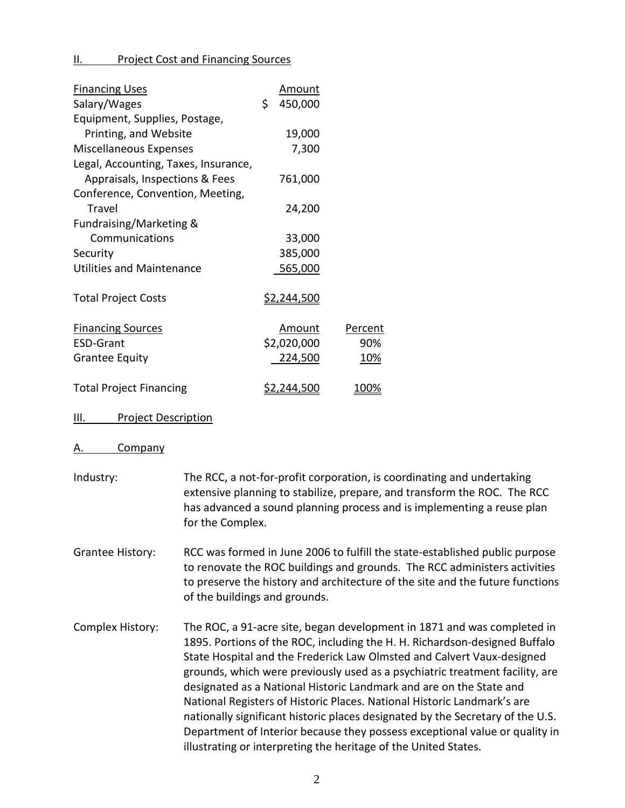II. Project Cost and Financing Sources

| <b>Financing Uses</b>                | <u>Amount</u>      |                |
|--------------------------------------|--------------------|----------------|
| Salary/Wages                         | \$<br>450,000      |                |
| Equipment, Supplies, Postage,        |                    |                |
| Printing, and Website                | 19,000             |                |
| <b>Miscellaneous Expenses</b>        | 7,300              |                |
| Legal, Accounting, Taxes, Insurance, |                    |                |
| Appraisals, Inspections & Fees       | 761,000            |                |
| Conference, Convention, Meeting,     |                    |                |
| Travel                               | 24,200             |                |
| Fundraising/Marketing &              |                    |                |
| Communications                       | 33,000             |                |
| Security                             | 385,000            |                |
| <b>Utilities and Maintenance</b>     | 565,000            |                |
|                                      |                    |                |
| <b>Total Project Costs</b>           | <u>\$2,244,500</u> |                |
|                                      |                    |                |
| <b>Financing Sources</b>             | Amount             | <b>Percent</b> |
| <b>ESD-Grant</b>                     | \$2,020,000        | 90%            |
| <b>Grantee Equity</b>                | 224,500            | <u>10%</u>     |
|                                      |                    |                |
| <b>Total Project Financing</b>       | \$2,244,500        | 100%           |

#### III. Project Description

#### A. Company

- Industry: The RCC, a not-for-profit corporation, is coordinating and undertaking extensive planning to stabilize, prepare, and transform the ROC. The RCC has advanced a sound planning process and is implementing a reuse plan for the Complex.
- Grantee History: RCC was formed in June 2006 to fulfill the state-established public purpose to renovate the ROC buildings and grounds. The RCC administers activities to preserve the history and architecture of the site and the future functions of the buildings and grounds.
- Complex History: The ROC, a 91-acre site, began development in 1871 and was completed in 1895. Portions of the ROC, including the H. H. Richardson-designed Buffalo State Hospital and the Frederick Law Olmsted and Calvert Vaux-designed grounds, which were previously used as a psychiatric treatment facility, are designated as a National Historic Landmark and are on the State and National Registers of Historic Places. National Historic Landmark's are nationally significant historic places designated by the Secretary of the U.S. Department of Interior because they possess exceptional value or quality in illustrating or interpreting the heritage of the United States.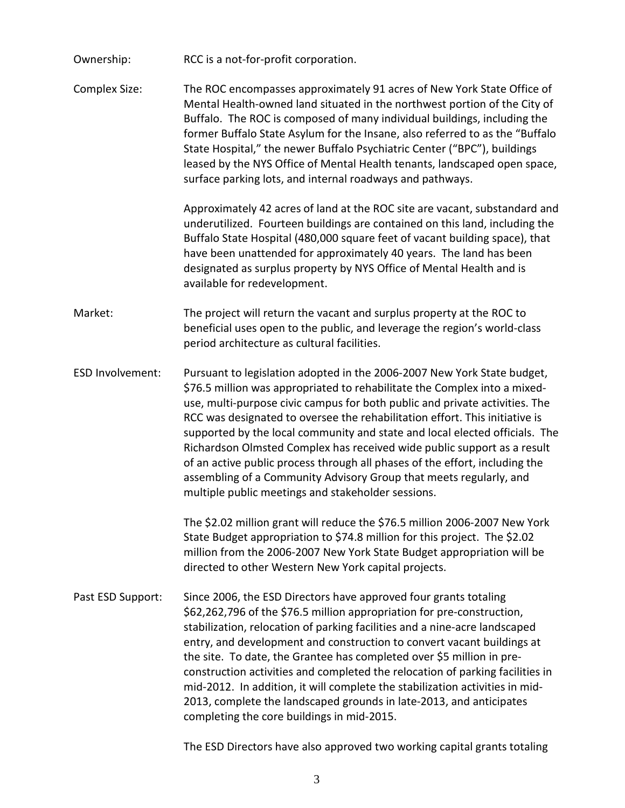- Ownership: RCC is a not-for-profit corporation.
- Complex Size: The ROC encompasses approximately 91 acres of New York State Office of Mental Health-owned land situated in the northwest portion of the City of Buffalo. The ROC is composed of many individual buildings, including the former Buffalo State Asylum for the Insane, also referred to as the "Buffalo State Hospital," the newer Buffalo Psychiatric Center ("BPC"), buildings leased by the NYS Office of Mental Health tenants, landscaped open space, surface parking lots, and internal roadways and pathways.

Approximately 42 acres of land at the ROC site are vacant, substandard and underutilized. Fourteen buildings are contained on this land, including the Buffalo State Hospital (480,000 square feet of vacant building space), that have been unattended for approximately 40 years. The land has been designated as surplus property by NYS Office of Mental Health and is available for redevelopment.

- Market: The project will return the vacant and surplus property at the ROC to beneficial uses open to the public, and leverage the region's world-class period architecture as cultural facilities.
- ESD Involvement: Pursuant to legislation adopted in the 2006-2007 New York State budget, \$76.5 million was appropriated to rehabilitate the Complex into a mixeduse, multi-purpose civic campus for both public and private activities. The RCC was designated to oversee the rehabilitation effort. This initiative is supported by the local community and state and local elected officials. The Richardson Olmsted Complex has received wide public support as a result of an active public process through all phases of the effort, including the assembling of a Community Advisory Group that meets regularly, and multiple public meetings and stakeholder sessions.

The \$2.02 million grant will reduce the \$76.5 million 2006-2007 New York State Budget appropriation to \$74.8 million for this project. The \$2.02 million from the 2006-2007 New York State Budget appropriation will be directed to other Western New York capital projects.

Past ESD Support: Since 2006, the ESD Directors have approved four grants totaling \$62,262,796 of the \$76.5 million appropriation for pre-construction, stabilization, relocation of parking facilities and a nine-acre landscaped entry, and development and construction to convert vacant buildings at the site. To date, the Grantee has completed over \$5 million in preconstruction activities and completed the relocation of parking facilities in mid-2012. In addition, it will complete the stabilization activities in mid-2013, complete the landscaped grounds in late-2013, and anticipates completing the core buildings in mid-2015.

The ESD Directors have also approved two working capital grants totaling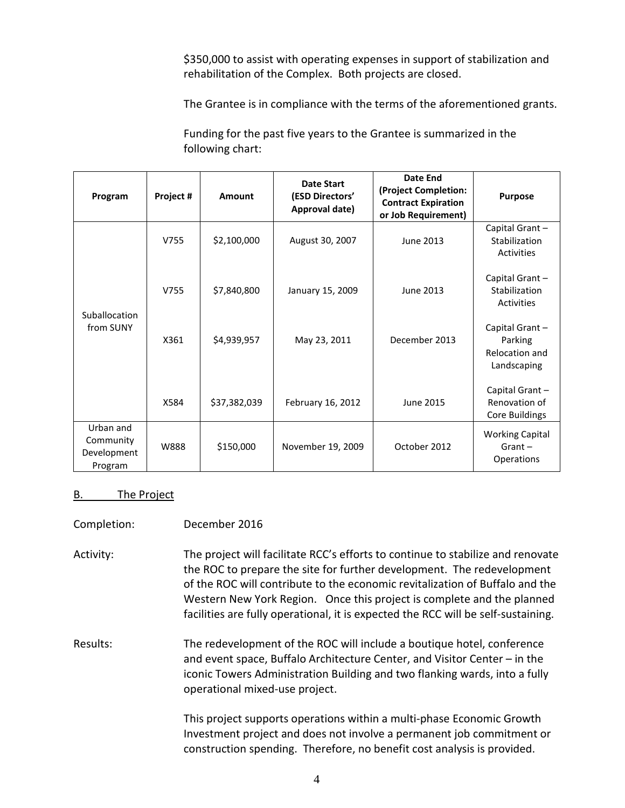\$350,000 to assist with operating expenses in support of stabilization and rehabilitation of the Complex. Both projects are closed.

The Grantee is in compliance with the terms of the aforementioned grants.

Funding for the past five years to the Grantee is summarized in the following chart:

| Program                                          | Project # | Amount       | <b>Date Start</b><br>(ESD Directors'<br>Approval date) | Date End<br>(Project Completion:<br><b>Contract Expiration</b><br>or Job Requirement) | <b>Purpose</b>                                              |
|--------------------------------------------------|-----------|--------------|--------------------------------------------------------|---------------------------------------------------------------------------------------|-------------------------------------------------------------|
|                                                  | V755      | \$2,100,000  | August 30, 2007                                        | June 2013                                                                             | Capital Grant-<br>Stabilization<br>Activities               |
| Suballocation                                    | V755      | \$7,840,800  | January 15, 2009                                       | June 2013                                                                             | Capital Grant -<br>Stabilization<br>Activities              |
| from SUNY                                        | X361      | \$4,939,957  | May 23, 2011                                           | December 2013                                                                         | Capital Grant -<br>Parking<br>Relocation and<br>Landscaping |
|                                                  | X584      | \$37,382,039 | February 16, 2012                                      | June 2015                                                                             | Capital Grant-<br>Renovation of<br>Core Buildings           |
| Urban and<br>Community<br>Development<br>Program | W888      | \$150,000    | November 19, 2009                                      | October 2012                                                                          | <b>Working Capital</b><br>$Grant -$<br>Operations           |

## B. The Project

| Completion: | December 2016 |
|-------------|---------------|
|             |               |

Activity: The project will facilitate RCC's efforts to continue to stabilize and renovate the ROC to prepare the site for further development. The redevelopment of the ROC will contribute to the economic revitalization of Buffalo and the Western New York Region. Once this project is complete and the planned facilities are fully operational, it is expected the RCC will be self-sustaining.

Results: The redevelopment of the ROC will include a boutique hotel, conference and event space, Buffalo Architecture Center, and Visitor Center – in the iconic Towers Administration Building and two flanking wards, into a fully operational mixed-use project.

> This project supports operations within a multi-phase Economic Growth Investment project and does not involve a permanent job commitment or construction spending. Therefore, no benefit cost analysis is provided.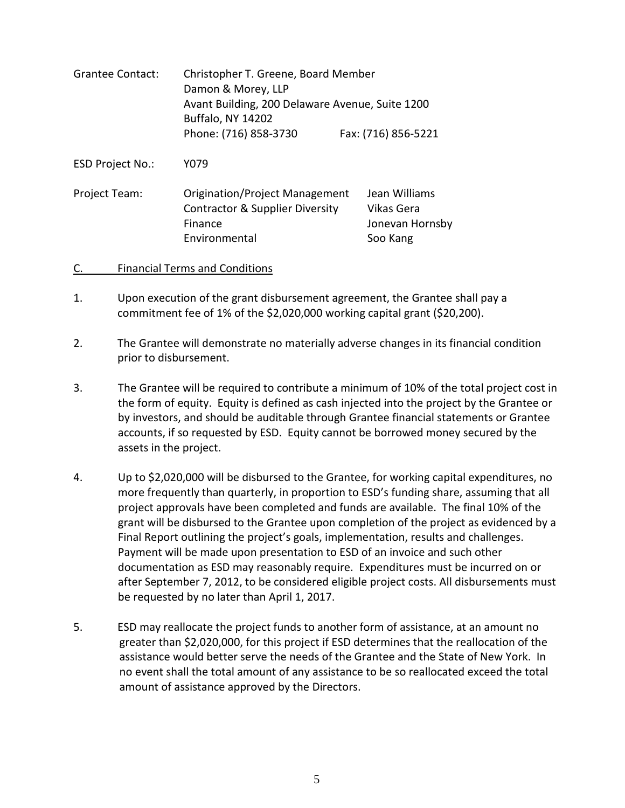| <b>Grantee Contact:</b> | Christopher T. Greene, Board Member<br>Damon & Morey, LLP<br>Avant Building, 200 Delaware Avenue, Suite 1200<br><b>Buffalo, NY 14202</b> |                                                            |  |  |
|-------------------------|------------------------------------------------------------------------------------------------------------------------------------------|------------------------------------------------------------|--|--|
|                         | Phone: (716) 858-3730                                                                                                                    | Fax: (716) 856-5221                                        |  |  |
| <b>ESD Project No.:</b> | Y079                                                                                                                                     |                                                            |  |  |
| Project Team:           | <b>Origination/Project Management</b><br><b>Contractor &amp; Supplier Diversity</b><br>Finance<br>Environmental                          | Jean Williams<br>Vikas Gera<br>Jonevan Hornsby<br>Soo Kang |  |  |

### C. Financial Terms and Conditions

- 1. Upon execution of the grant disbursement agreement, the Grantee shall pay a commitment fee of 1% of the \$2,020,000 working capital grant (\$20,200).
- 2. The Grantee will demonstrate no materially adverse changes in its financial condition prior to disbursement.
- 3. The Grantee will be required to contribute a minimum of 10% of the total project cost in the form of equity. Equity is defined as cash injected into the project by the Grantee or by investors, and should be auditable through Grantee financial statements or Grantee accounts, if so requested by ESD. Equity cannot be borrowed money secured by the assets in the project.
- 4. Up to \$2,020,000 will be disbursed to the Grantee, for working capital expenditures, no more frequently than quarterly, in proportion to ESD's funding share, assuming that all project approvals have been completed and funds are available. The final 10% of the grant will be disbursed to the Grantee upon completion of the project as evidenced by a Final Report outlining the project's goals, implementation, results and challenges. Payment will be made upon presentation to ESD of an invoice and such other documentation as ESD may reasonably require. Expenditures must be incurred on or after September 7, 2012, to be considered eligible project costs. All disbursements must be requested by no later than April 1, 2017.
- 5. ESD may reallocate the project funds to another form of assistance, at an amount no greater than \$2,020,000, for this project if ESD determines that the reallocation of the assistance would better serve the needs of the Grantee and the State of New York. In no event shall the total amount of any assistance to be so reallocated exceed the total amount of assistance approved by the Directors.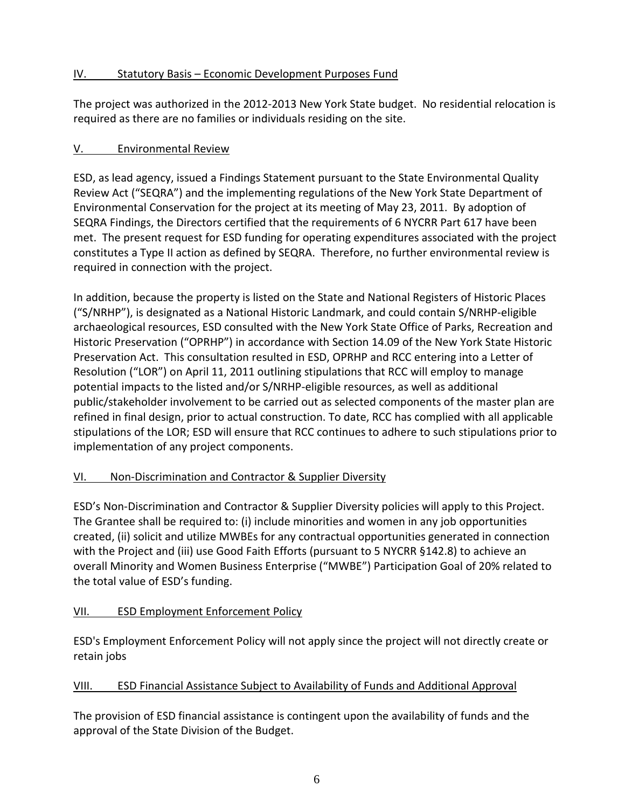# IV. Statutory Basis – Economic Development Purposes Fund

The project was authorized in the 2012-2013 New York State budget. No residential relocation is required as there are no families or individuals residing on the site.

# V. Environmental Review

ESD, as lead agency, issued a Findings Statement pursuant to the State Environmental Quality Review Act ("SEQRA") and the implementing regulations of the New York State Department of Environmental Conservation for the project at its meeting of May 23, 2011. By adoption of SEQRA Findings, the Directors certified that the requirements of 6 NYCRR Part 617 have been met. The present request for ESD funding for operating expenditures associated with the project constitutes a Type II action as defined by SEQRA. Therefore, no further environmental review is required in connection with the project.

In addition, because the property is listed on the State and National Registers of Historic Places ("S/NRHP"), is designated as a National Historic Landmark, and could contain S/NRHP-eligible archaeological resources, ESD consulted with the New York State Office of Parks, Recreation and Historic Preservation ("OPRHP") in accordance with Section 14.09 of the New York State Historic Preservation Act. This consultation resulted in ESD, OPRHP and RCC entering into a Letter of Resolution ("LOR") on April 11, 2011 outlining stipulations that RCC will employ to manage potential impacts to the listed and/or S/NRHP-eligible resources, as well as additional public/stakeholder involvement to be carried out as selected components of the master plan are refined in final design, prior to actual construction. To date, RCC has complied with all applicable stipulations of the LOR; ESD will ensure that RCC continues to adhere to such stipulations prior to implementation of any project components.

# VI. Non-Discrimination and Contractor & Supplier Diversity

ESD's Non-Discrimination and Contractor & Supplier Diversity policies will apply to this Project. The Grantee shall be required to: (i) include minorities and women in any job opportunities created, (ii) solicit and utilize MWBEs for any contractual opportunities generated in connection with the Project and (iii) use Good Faith Efforts (pursuant to 5 NYCRR §142.8) to achieve an overall Minority and Women Business Enterprise ("MWBE") Participation Goal of 20% related to the total value of ESD's funding.

# VII. ESD Employment Enforcement Policy

ESD's Employment Enforcement Policy will not apply since the project will not directly create or retain jobs

# VIII. ESD Financial Assistance Subject to Availability of Funds and Additional Approval

The provision of ESD financial assistance is contingent upon the availability of funds and the approval of the State Division of the Budget.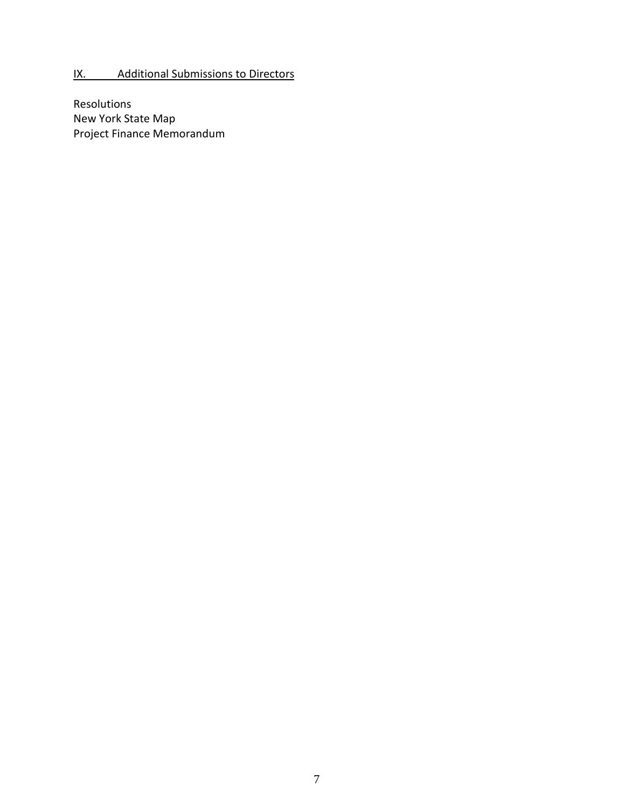# IX. Additional Submissions to Directors

Resolutions New York State Map Project Finance Memorandum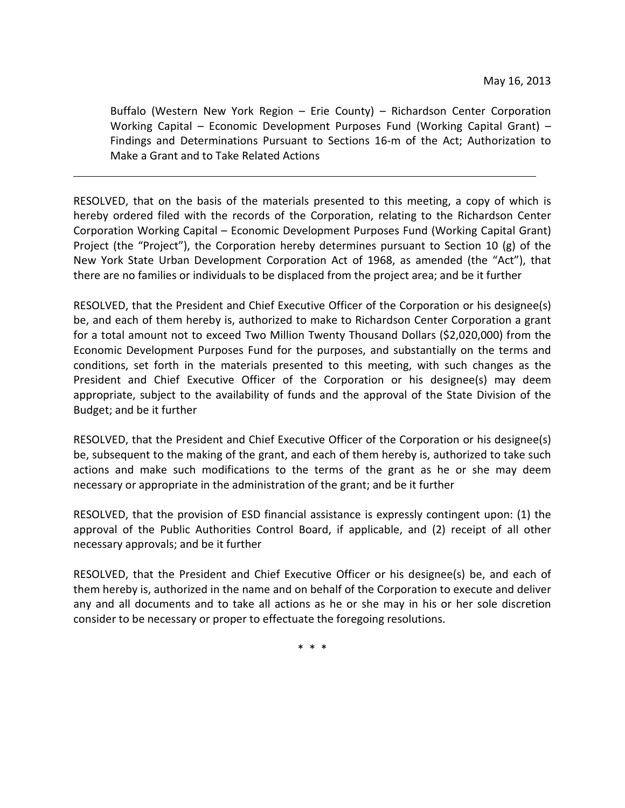Buffalo (Western New York Region – Erie County) – Richardson Center Corporation Working Capital – Economic Development Purposes Fund (Working Capital Grant) – Findings and Determinations Pursuant to Sections 16-m of the Act; Authorization to Make a Grant and to Take Related Actions

RESOLVED, that on the basis of the materials presented to this meeting, a copy of which is hereby ordered filed with the records of the Corporation, relating to the Richardson Center Corporation Working Capital – Economic Development Purposes Fund (Working Capital Grant) Project (the "Project"), the Corporation hereby determines pursuant to Section 10 (g) of the New York State Urban Development Corporation Act of 1968, as amended (the "Act"), that there are no families or individuals to be displaced from the project area; and be it further

RESOLVED, that the President and Chief Executive Officer of the Corporation or his designee(s) be, and each of them hereby is, authorized to make to Richardson Center Corporation a grant for a total amount not to exceed Two Million Twenty Thousand Dollars (\$2,020,000) from the Economic Development Purposes Fund for the purposes, and substantially on the terms and conditions, set forth in the materials presented to this meeting, with such changes as the President and Chief Executive Officer of the Corporation or his designee(s) may deem appropriate, subject to the availability of funds and the approval of the State Division of the Budget; and be it further

RESOLVED, that the President and Chief Executive Officer of the Corporation or his designee(s) be, subsequent to the making of the grant, and each of them hereby is, authorized to take such actions and make such modifications to the terms of the grant as he or she may deem necessary or appropriate in the administration of the grant; and be it further

RESOLVED, that the provision of ESD financial assistance is expressly contingent upon: (1) the approval of the Public Authorities Control Board, if applicable, and (2) receipt of all other necessary approvals; and be it further

RESOLVED, that the President and Chief Executive Officer or his designee(s) be, and each of them hereby is, authorized in the name and on behalf of the Corporation to execute and deliver any and all documents and to take all actions as he or she may in his or her sole discretion consider to be necessary or proper to effectuate the foregoing resolutions.

\* \* \*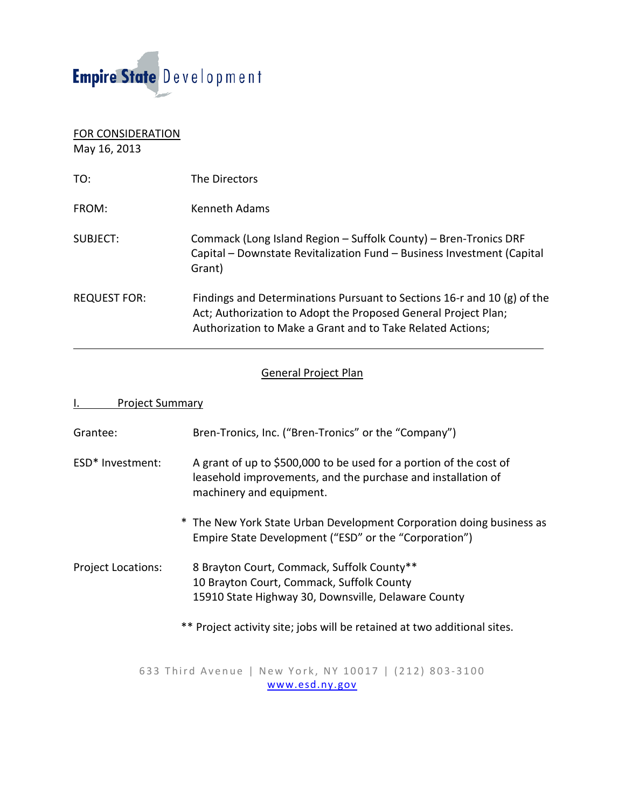

| <b>FOR CONSIDERATION</b><br>May 16, 2013 |                                                                                                                                                                                                         |
|------------------------------------------|---------------------------------------------------------------------------------------------------------------------------------------------------------------------------------------------------------|
| TO:                                      | The Directors                                                                                                                                                                                           |
| FROM:                                    | <b>Kenneth Adams</b>                                                                                                                                                                                    |
| SUBJECT:                                 | Commack (Long Island Region – Suffolk County) – Bren-Tronics DRF<br>Capital - Downstate Revitalization Fund - Business Investment (Capital<br>Grant)                                                    |
| <b>REQUEST FOR:</b>                      | Findings and Determinations Pursuant to Sections 16-r and 10 (g) of the<br>Act; Authorization to Adopt the Proposed General Project Plan;<br>Authorization to Make a Grant and to Take Related Actions; |

## General Project Plan

| <b>Project Summary</b>    |                                                                                                                                                                |
|---------------------------|----------------------------------------------------------------------------------------------------------------------------------------------------------------|
| Grantee:                  | Bren-Tronics, Inc. ("Bren-Tronics" or the "Company")                                                                                                           |
| ESD* Investment:          | A grant of up to \$500,000 to be used for a portion of the cost of<br>leasehold improvements, and the purchase and installation of<br>machinery and equipment. |
|                           | * The New York State Urban Development Corporation doing business as<br>Empire State Development ("ESD" or the "Corporation")                                  |
| <b>Project Locations:</b> | 8 Brayton Court, Commack, Suffolk County**<br>10 Brayton Court, Commack, Suffolk County                                                                        |

15910 State Highway 30, Downsville, Delaware County

\*\* Project activity site; jobs will be retained at two additional sites.

633 Third Avenue | New York, NY 10017 | (212) 803 - 3100 [www.esd.ny.gov](http://www.esd.ny.gov/)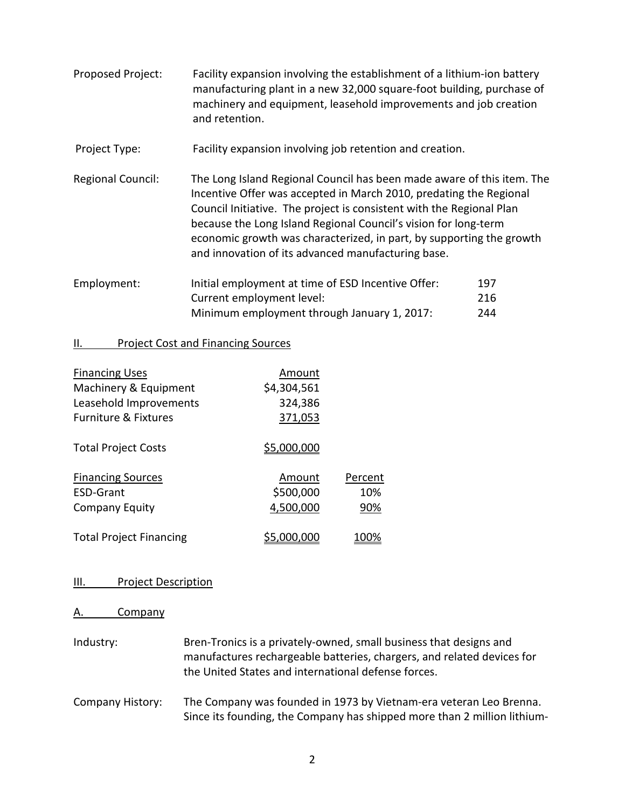- Proposed Project: Facility expansion involving the establishment of a lithium-ion battery manufacturing plant in a new 32,000 square-foot building, purchase of machinery and equipment, leasehold improvements and job creation and retention.
- Project Type: Facility expansion involving job retention and creation.
- Regional Council: The Long Island Regional Council has been made aware of this item. The Incentive Offer was accepted in March 2010, predating the Regional Council Initiative. The project is consistent with the Regional Plan because the Long Island Regional Council's vision for long-term economic growth was characterized, in part, by supporting the growth and innovation of its advanced manufacturing base.
- Employment: Initial employment at time of ESD Incentive Offer: 197 Current employment level: 216 Minimum employment through January 1, 2017: 244

## II. Project Cost and Financing Sources

| <b>Financing Uses</b><br>Machinery & Equipment<br>Leasehold Improvements<br><b>Furniture &amp; Fixtures</b> | Amount<br>\$4,304,561<br>324,386<br>371,053 |                       |
|-------------------------------------------------------------------------------------------------------------|---------------------------------------------|-----------------------|
| <b>Total Project Costs</b>                                                                                  | \$5,000,000                                 |                       |
| <b>Financing Sources</b><br>FSD-Grant<br><b>Company Equity</b>                                              | Amount<br>\$500,000<br>4,500,000            | Percent<br>10%<br>90% |
| <b>Total Project Financing</b>                                                                              |                                             |                       |

## III. Project Description

## A. Company

Industry: Bren-Tronics is a privately-owned, small business that designs and manufactures rechargeable batteries, chargers, and related devices for the United States and international defense forces.

Company History: The Company was founded in 1973 by Vietnam-era veteran Leo Brenna. Since its founding, the Company has shipped more than 2 million lithium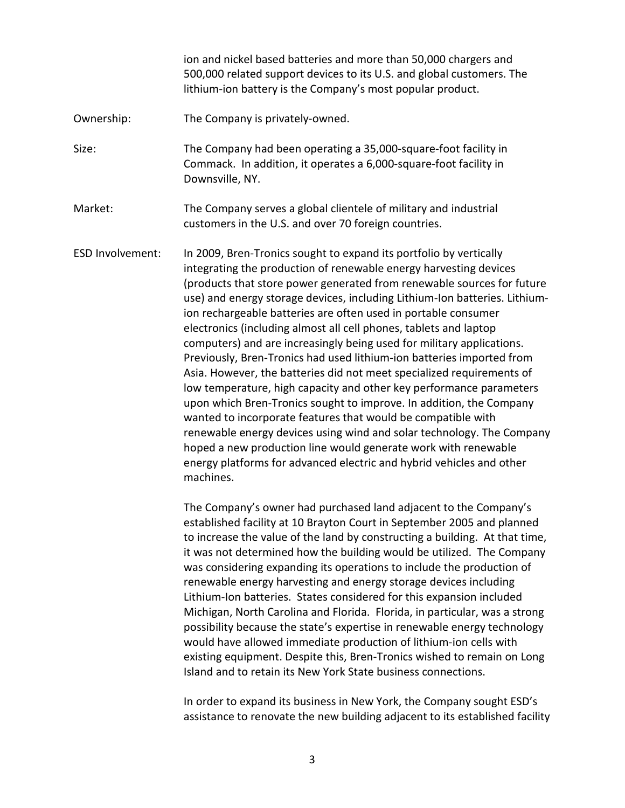ion and nickel based batteries and more than 50,000 chargers and 500,000 related support devices to its U.S. and global customers. The lithium-ion battery is the Company's most popular product.

- Ownership: The Company is privately-owned.
- Size: The Company had been operating a 35,000-square-foot facility in Commack. In addition, it operates a 6,000-square-foot facility in Downsville, NY.
- Market: The Company serves a global clientele of military and industrial customers in the U.S. and over 70 foreign countries.
- ESD Involvement: In 2009, Bren-Tronics sought to expand its portfolio by vertically integrating the production of renewable energy harvesting devices (products that store power generated from renewable sources for future use) and energy storage devices, including Lithium-Ion batteries. Lithiumion rechargeable batteries are often used in portable consumer electronics (including almost all cell phones, tablets and laptop computers) and are increasingly being used for military applications. Previously, Bren-Tronics had used lithium-ion batteries imported from Asia. However, the batteries did not meet specialized requirements of low temperature, high capacity and other key performance parameters upon which Bren-Tronics sought to improve. In addition, the Company wanted to incorporate features that would be compatible with renewable energy devices using wind and solar technology. The Company hoped a new production line would generate work with renewable energy platforms for advanced electric and hybrid vehicles and other machines.

The Company's owner had purchased land adjacent to the Company's established facility at 10 Brayton Court in September 2005 and planned to increase the value of the land by constructing a building. At that time, it was not determined how the building would be utilized. The Company was considering expanding its operations to include the production of renewable energy harvesting and energy storage devices including Lithium-Ion batteries. States considered for this expansion included Michigan, North Carolina and Florida. Florida, in particular, was a strong possibility because the state's expertise in renewable energy technology would have allowed immediate production of lithium-ion cells with existing equipment. Despite this, Bren-Tronics wished to remain on Long Island and to retain its New York State business connections.

In order to expand its business in New York, the Company sought ESD's assistance to renovate the new building adjacent to its established facility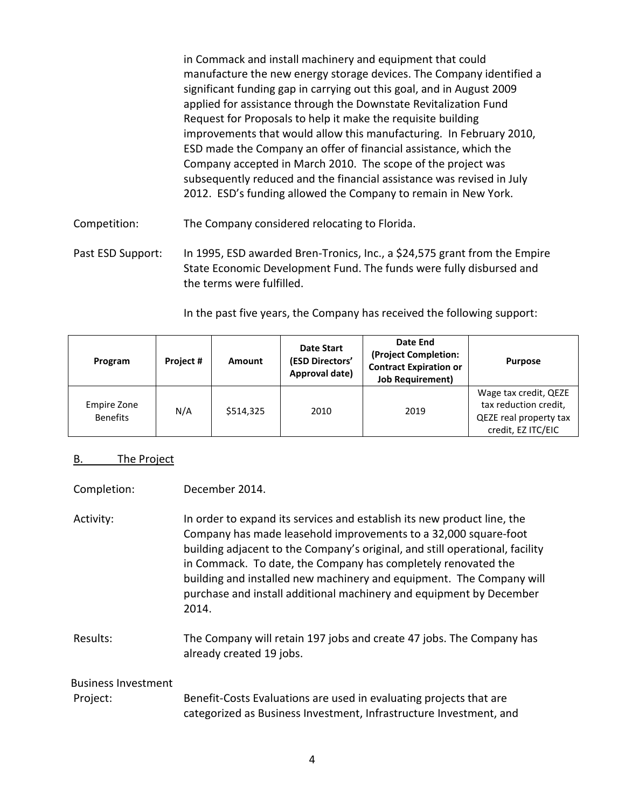in Commack and install machinery and equipment that could manufacture the new energy storage devices. The Company identified a significant funding gap in carrying out this goal, and in August 2009 applied for assistance through the Downstate Revitalization Fund Request for Proposals to help it make the requisite building improvements that would allow this manufacturing. In February 2010, ESD made the Company an offer of financial assistance, which the Company accepted in March 2010. The scope of the project was subsequently reduced and the financial assistance was revised in July 2012. ESD's funding allowed the Company to remain in New York.

Competition: The Company considered relocating to Florida.

Past ESD Support: In 1995, ESD awarded Bren-Tronics, Inc., a \$24,575 grant from the Empire State Economic Development Fund. The funds were fully disbursed and the terms were fulfilled.

In the past five years, the Company has received the following support:

| Program                               | Project# | Amount    | <b>Date Start</b><br>(ESD Directors'<br>Approval date) | Date End<br>(Project Completion:<br><b>Contract Expiration or</b><br><b>Job Requirement)</b> | <b>Purpose</b>                                                                                 |
|---------------------------------------|----------|-----------|--------------------------------------------------------|----------------------------------------------------------------------------------------------|------------------------------------------------------------------------------------------------|
| <b>Empire Zone</b><br><b>Benefits</b> | N/A      | \$514,325 | 2010                                                   | 2019                                                                                         | Wage tax credit, QEZE<br>tax reduction credit,<br>QEZE real property tax<br>credit, EZ ITC/EIC |

## B. The Project

- Completion: December 2014.
- Activity: In order to expand its services and establish its new product line, the Company has made leasehold improvements to a 32,000 square-foot building adjacent to the Company's original, and still operational, facility in Commack. To date, the Company has completely renovated the building and installed new machinery and equipment. The Company will purchase and install additional machinery and equipment by December 2014.
- Results: The Company will retain 197 jobs and create 47 jobs. The Company has already created 19 jobs.

## Business Investment

Project: Benefit-Costs Evaluations are used in evaluating projects that are categorized as Business Investment, Infrastructure Investment, and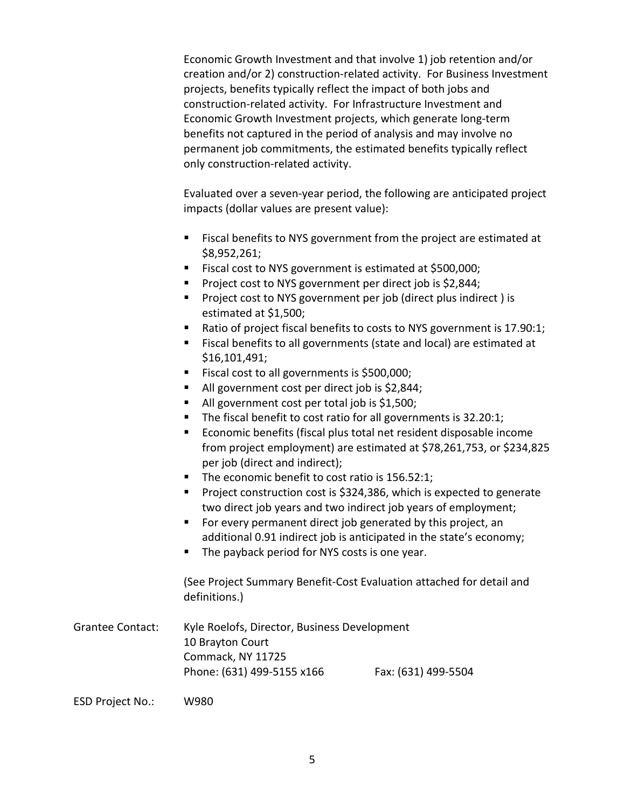Economic Growth Investment and that involve 1) job retention and/or creation and/or 2) construction-related activity. For Business Investment projects, benefits typically reflect the impact of both jobs and construction-related activity. For Infrastructure Investment and Economic Growth Investment projects, which generate long-term benefits not captured in the period of analysis and may involve no permanent job commitments, the estimated benefits typically reflect only construction-related activity.

Evaluated over a seven-year period, the following are anticipated project impacts (dollar values are present value):

- Fiscal benefits to NYS government from the project are estimated at \$8,952,261;
- Fiscal cost to NYS government is estimated at \$500,000;
- **Project cost to NYS government per direct job is \$2,844;**
- **Project cost to NYS government per job (direct plus indirect) is** estimated at \$1,500;
- Ratio of project fiscal benefits to costs to NYS government is 17.90:1;
- Fiscal benefits to all governments (state and local) are estimated at \$16,101,491;
- Fiscal cost to all governments is \$500,000;
- All government cost per direct job is \$2,844;
- All government cost per total job is \$1,500;
- The fiscal benefit to cost ratio for all governments is 32.20:1;
- Economic benefits (fiscal plus total net resident disposable income from project employment) are estimated at \$78,261,753, or \$234,825 per job (direct and indirect);
- The economic benefit to cost ratio is 156.52:1;
- **Project construction cost is \$324,386, which is expected to generate** two direct job years and two indirect job years of employment;
- For every permanent direct job generated by this project, an additional 0.91 indirect job is anticipated in the state's economy;
- The payback period for NYS costs is one year.

(See Project Summary Benefit-Cost Evaluation attached for detail and definitions.)

Grantee Contact: Kyle Roelofs, Director, Business Development 10 Brayton Court Commack, NY 11725 Phone: (631) 499-5155 x166 Fax: (631) 499-5504

ESD Project No.: W980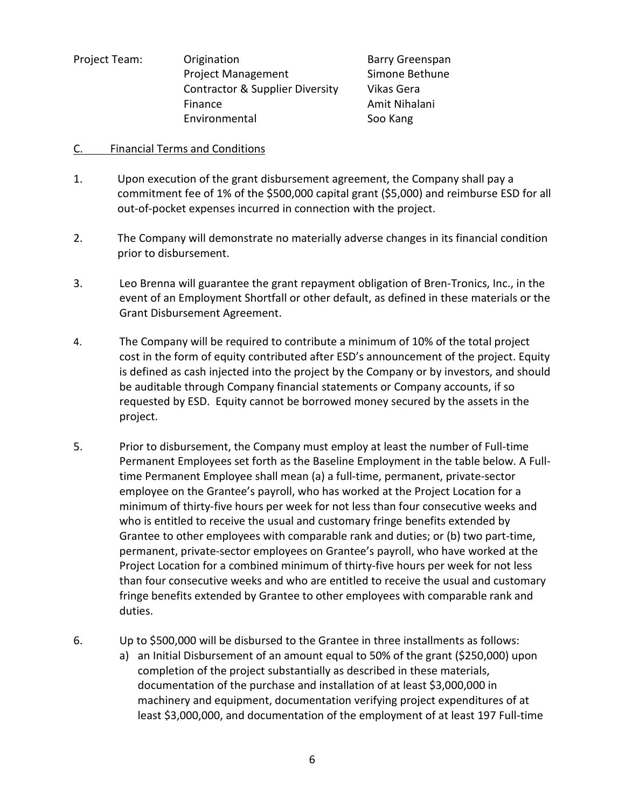Project Team: Origination Barry Greenspan Project Management Simone Bethune Contractor & Supplier Diversity Vikas Gera Finance **Amit Nihalani** Environmental Soo Kang

## C. Financial Terms and Conditions

- 1. Upon execution of the grant disbursement agreement, the Company shall pay a commitment fee of 1% of the \$500,000 capital grant (\$5,000) and reimburse ESD for all out-of-pocket expenses incurred in connection with the project.
- 2. The Company will demonstrate no materially adverse changes in its financial condition prior to disbursement.
- 3. Leo Brenna will guarantee the grant repayment obligation of Bren-Tronics, Inc., in the event of an Employment Shortfall or other default, as defined in these materials or the Grant Disbursement Agreement.
- 4. The Company will be required to contribute a minimum of 10% of the total project cost in the form of equity contributed after ESD's announcement of the project. Equity is defined as cash injected into the project by the Company or by investors, and should be auditable through Company financial statements or Company accounts, if so requested by ESD. Equity cannot be borrowed money secured by the assets in the project.
- 5. Prior to disbursement, the Company must employ at least the number of Full-time Permanent Employees set forth as the Baseline Employment in the table below. A Fulltime Permanent Employee shall mean (a) a full-time, permanent, private-sector employee on the Grantee's payroll, who has worked at the Project Location for a minimum of thirty-five hours per week for not less than four consecutive weeks and who is entitled to receive the usual and customary fringe benefits extended by Grantee to other employees with comparable rank and duties; or (b) two part-time, permanent, private-sector employees on Grantee's payroll, who have worked at the Project Location for a combined minimum of thirty-five hours per week for not less than four consecutive weeks and who are entitled to receive the usual and customary fringe benefits extended by Grantee to other employees with comparable rank and duties.
- 6. Up to \$500,000 will be disbursed to the Grantee in three installments as follows:
	- a) an Initial Disbursement of an amount equal to 50% of the grant (\$250,000) upon completion of the project substantially as described in these materials, documentation of the purchase and installation of at least \$3,000,000 in machinery and equipment, documentation verifying project expenditures of at least \$3,000,000, and documentation of the employment of at least 197 Full-time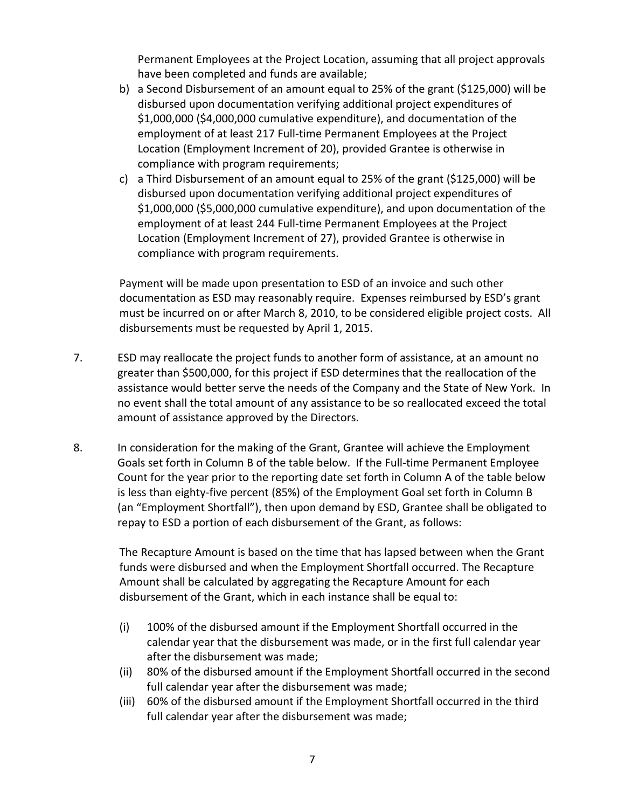Permanent Employees at the Project Location, assuming that all project approvals have been completed and funds are available;

- b) a Second Disbursement of an amount equal to 25% of the grant (\$125,000) will be disbursed upon documentation verifying additional project expenditures of \$1,000,000 (\$4,000,000 cumulative expenditure), and documentation of the employment of at least 217 Full-time Permanent Employees at the Project Location (Employment Increment of 20), provided Grantee is otherwise in compliance with program requirements;
- c) a Third Disbursement of an amount equal to 25% of the grant (\$125,000) will be disbursed upon documentation verifying additional project expenditures of \$1,000,000 (\$5,000,000 cumulative expenditure), and upon documentation of the employment of at least 244 Full-time Permanent Employees at the Project Location (Employment Increment of 27), provided Grantee is otherwise in compliance with program requirements.

Payment will be made upon presentation to ESD of an invoice and such other documentation as ESD may reasonably require. Expenses reimbursed by ESD's grant must be incurred on or after March 8, 2010, to be considered eligible project costs. All disbursements must be requested by April 1, 2015.

- 7. ESD may reallocate the project funds to another form of assistance, at an amount no greater than \$500,000, for this project if ESD determines that the reallocation of the assistance would better serve the needs of the Company and the State of New York. In no event shall the total amount of any assistance to be so reallocated exceed the total amount of assistance approved by the Directors.
- 8. In consideration for the making of the Grant, Grantee will achieve the Employment Goals set forth in Column B of the table below. If the Full-time Permanent Employee Count for the year prior to the reporting date set forth in Column A of the table below is less than eighty-five percent (85%) of the Employment Goal set forth in Column B (an "Employment Shortfall"), then upon demand by ESD, Grantee shall be obligated to repay to ESD a portion of each disbursement of the Grant, as follows:

The Recapture Amount is based on the time that has lapsed between when the Grant funds were disbursed and when the Employment Shortfall occurred. The Recapture Amount shall be calculated by aggregating the Recapture Amount for each disbursement of the Grant, which in each instance shall be equal to:

- (i) 100% of the disbursed amount if the Employment Shortfall occurred in the calendar year that the disbursement was made, or in the first full calendar year after the disbursement was made;
- (ii) 80% of the disbursed amount if the Employment Shortfall occurred in the second full calendar year after the disbursement was made;
- (iii) 60% of the disbursed amount if the Employment Shortfall occurred in the third full calendar year after the disbursement was made;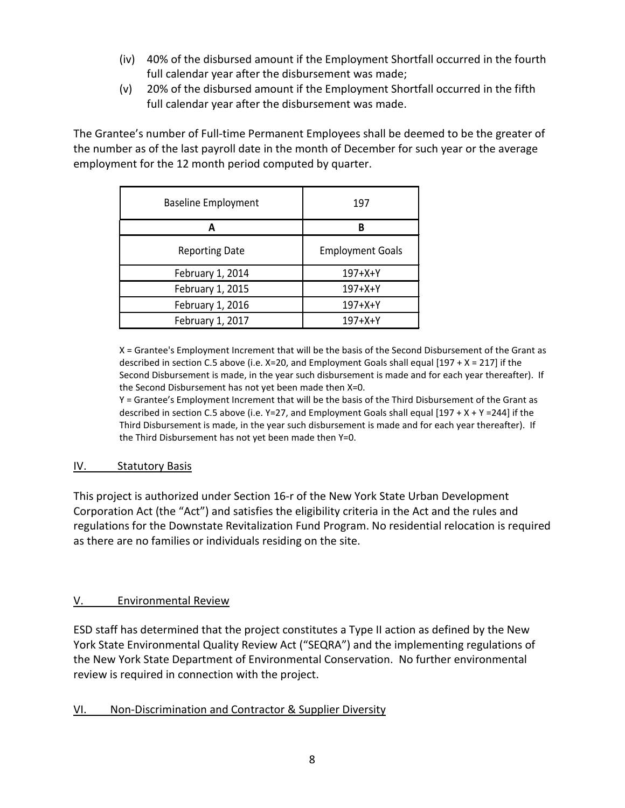- (iv) 40% of the disbursed amount if the Employment Shortfall occurred in the fourth full calendar year after the disbursement was made;
- (v) 20% of the disbursed amount if the Employment Shortfall occurred in the fifth full calendar year after the disbursement was made.

The Grantee's number of Full-time Permanent Employees shall be deemed to be the greater of the number as of the last payroll date in the month of December for such year or the average employment for the 12 month period computed by quarter.

| <b>Baseline Employment</b> | 197                     |
|----------------------------|-------------------------|
| А                          | B                       |
| <b>Reporting Date</b>      | <b>Employment Goals</b> |
| February 1, 2014           | $197 + X + Y$           |
| February 1, 2015           | 197+X+Y                 |
| February 1, 2016           | 197+X+Y                 |
| February 1, 2017           | $197+X+Y$               |

X = Grantee's Employment Increment that will be the basis of the Second Disbursement of the Grant as described in section C.5 above (i.e. X=20, and Employment Goals shall equal [197 + X = 217] if the Second Disbursement is made, in the year such disbursement is made and for each year thereafter). If the Second Disbursement has not yet been made then X=0.

Y = Grantee's Employment Increment that will be the basis of the Third Disbursement of the Grant as described in section C.5 above (i.e.  $Y=27$ , and Employment Goals shall equal [197 + X + Y = 244] if the Third Disbursement is made, in the year such disbursement is made and for each year thereafter). If the Third Disbursement has not yet been made then Y=0.

# IV. Statutory Basis

This project is authorized under Section 16-r of the New York State Urban Development Corporation Act (the "Act") and satisfies the eligibility criteria in the Act and the rules and regulations for the Downstate Revitalization Fund Program. No residential relocation is required as there are no families or individuals residing on the site.

# V. Environmental Review

ESD staff has determined that the project constitutes a Type II action as defined by the New York State Environmental Quality Review Act ("SEQRA") and the implementing regulations of the New York State Department of Environmental Conservation. No further environmental review is required in connection with the project.

# VI. Non-Discrimination and Contractor & Supplier Diversity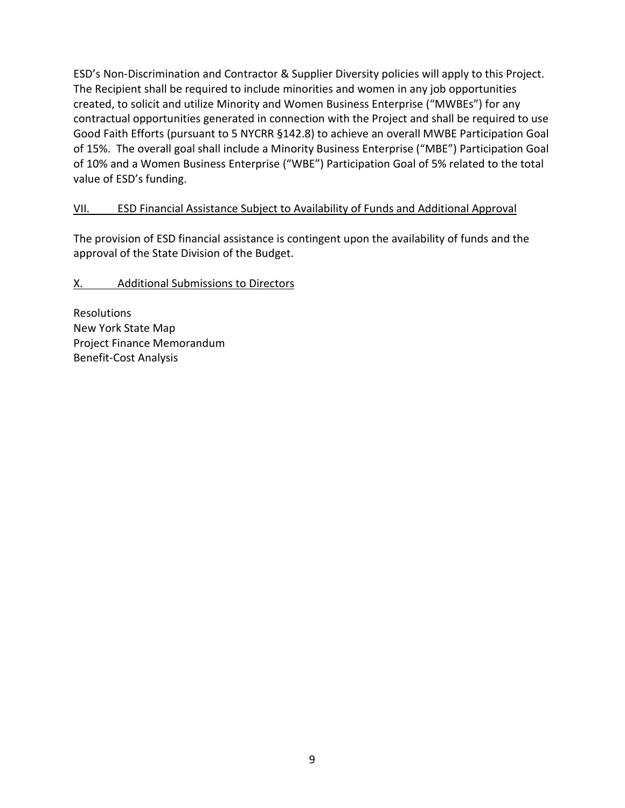ESD's Non-Discrimination and Contractor & Supplier Diversity policies will apply to this Project. The Recipient shall be required to include minorities and women in any job opportunities created, to solicit and utilize Minority and Women Business Enterprise ("MWBEs") for any contractual opportunities generated in connection with the Project and shall be required to use Good Faith Efforts (pursuant to 5 NYCRR §142.8) to achieve an overall MWBE Participation Goal of 15%. The overall goal shall include a Minority Business Enterprise ("MBE") Participation Goal of 10% and a Women Business Enterprise ("WBE") Participation Goal of 5% related to the total value of ESD's funding.

# VII. ESD Financial Assistance Subject to Availability of Funds and Additional Approval

The provision of ESD financial assistance is contingent upon the availability of funds and the approval of the State Division of the Budget.

# X. Additional Submissions to Directors

Resolutions New York State Map Project Finance Memorandum Benefit-Cost Analysis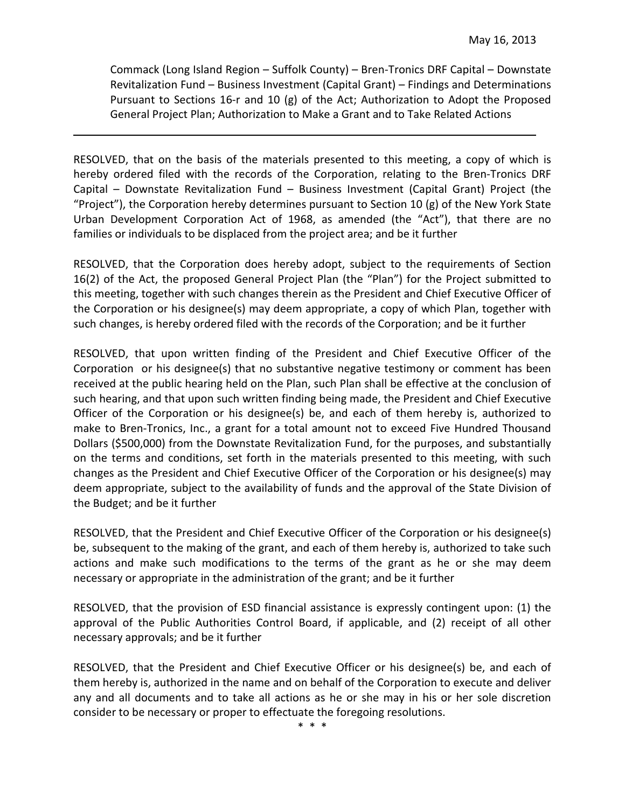Commack (Long Island Region – Suffolk County) – Bren-Tronics DRF Capital – Downstate Revitalization Fund – Business Investment (Capital Grant) – Findings and Determinations Pursuant to Sections 16-r and 10 (g) of the Act; Authorization to Adopt the Proposed General Project Plan; Authorization to Make a Grant and to Take Related Actions

RESOLVED, that on the basis of the materials presented to this meeting, a copy of which is hereby ordered filed with the records of the Corporation, relating to the Bren-Tronics DRF Capital – Downstate Revitalization Fund – Business Investment (Capital Grant) Project (the "Project"), the Corporation hereby determines pursuant to Section 10 (g) of the New York State Urban Development Corporation Act of 1968, as amended (the "Act"), that there are no families or individuals to be displaced from the project area; and be it further

RESOLVED, that the Corporation does hereby adopt, subject to the requirements of Section 16(2) of the Act, the proposed General Project Plan (the "Plan") for the Project submitted to this meeting, together with such changes therein as the President and Chief Executive Officer of the Corporation or his designee(s) may deem appropriate, a copy of which Plan, together with such changes, is hereby ordered filed with the records of the Corporation; and be it further

RESOLVED, that upon written finding of the President and Chief Executive Officer of the Corporation or his designee(s) that no substantive negative testimony or comment has been received at the public hearing held on the Plan, such Plan shall be effective at the conclusion of such hearing, and that upon such written finding being made, the President and Chief Executive Officer of the Corporation or his designee(s) be, and each of them hereby is, authorized to make to Bren-Tronics, Inc., a grant for a total amount not to exceed Five Hundred Thousand Dollars (\$500,000) from the Downstate Revitalization Fund, for the purposes, and substantially on the terms and conditions, set forth in the materials presented to this meeting, with such changes as the President and Chief Executive Officer of the Corporation or his designee(s) may deem appropriate, subject to the availability of funds and the approval of the State Division of the Budget; and be it further

RESOLVED, that the President and Chief Executive Officer of the Corporation or his designee(s) be, subsequent to the making of the grant, and each of them hereby is, authorized to take such actions and make such modifications to the terms of the grant as he or she may deem necessary or appropriate in the administration of the grant; and be it further

RESOLVED, that the provision of ESD financial assistance is expressly contingent upon: (1) the approval of the Public Authorities Control Board, if applicable, and (2) receipt of all other necessary approvals; and be it further

RESOLVED, that the President and Chief Executive Officer or his designee(s) be, and each of them hereby is, authorized in the name and on behalf of the Corporation to execute and deliver any and all documents and to take all actions as he or she may in his or her sole discretion consider to be necessary or proper to effectuate the foregoing resolutions.

\* \* \*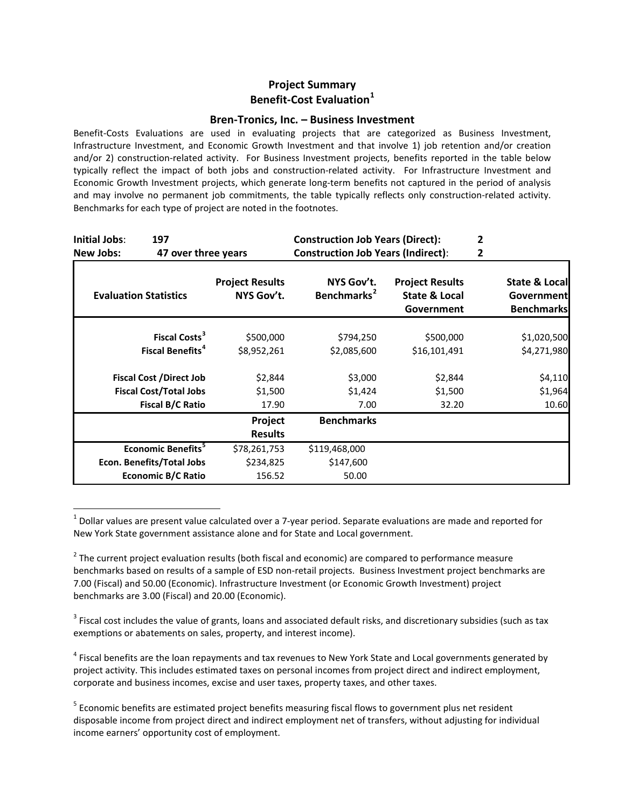## **Project Summary Benefit-Cost Evaluation[1](#page-59-0)**

#### **Bren-Tronics, Inc. – Business Investment**

Benefit-Costs Evaluations are used in evaluating projects that are categorized as Business Investment, Infrastructure Investment, and Economic Growth Investment and that involve 1) job retention and/or creation and/or 2) construction-related activity. For Business Investment projects, benefits reported in the table below typically reflect the impact of both jobs and construction-related activity. For Infrastructure Investment and Economic Growth Investment projects, which generate long-term benefits not captured in the period of analysis and may involve no permanent job commitments, the table typically reflects only construction-related activity. Benchmarks for each type of project are noted in the footnotes.

| Initial Jobs:<br>197<br>New Jobs:                         | 47 over three years                  | <b>Construction Job Years (Direct):</b><br><b>Construction Job Years (Indirect):</b> |                                                                  |  |                                                         |
|-----------------------------------------------------------|--------------------------------------|--------------------------------------------------------------------------------------|------------------------------------------------------------------|--|---------------------------------------------------------|
| <b>Evaluation Statistics</b>                              | <b>Project Results</b><br>NYS Gov't. | NYS Gov't.<br>Benchmarks <sup>2</sup>                                                | <b>Project Results</b><br><b>State &amp; Local</b><br>Government |  | State & Local<br><b>Government</b><br><b>Benchmarks</b> |
| Fiscal Costs <sup>3</sup><br>Fiscal Benefits <sup>4</sup> | \$500,000<br>\$8,952,261             | \$794,250<br>\$2,085,600                                                             | \$500,000<br>\$16,101,491                                        |  | \$1,020,500<br>\$4,271,980                              |
| <b>Fiscal Cost /Direct Job</b>                            | \$2,844                              | \$3,000                                                                              | \$2,844                                                          |  | \$4,110                                                 |
| <b>Fiscal Cost/Total Jobs</b>                             | \$1,500                              | \$1,424                                                                              | \$1,500                                                          |  | \$1,964                                                 |
| <b>Fiscal B/C Ratio</b>                                   | 17.90                                | 7.00                                                                                 | 32.20                                                            |  | 10.60                                                   |
|                                                           | Project                              | <b>Benchmarks</b>                                                                    |                                                                  |  |                                                         |
|                                                           | <b>Results</b>                       |                                                                                      |                                                                  |  |                                                         |
| Economic Benefits <sup>5</sup>                            | \$78,261,753                         | \$119,468,000                                                                        |                                                                  |  |                                                         |
| Econ. Benefits/Total Jobs                                 | \$234,825                            | \$147,600                                                                            |                                                                  |  |                                                         |
| <b>Economic B/C Ratio</b>                                 | 156.52                               | 50.00                                                                                |                                                                  |  |                                                         |

<span id="page-59-0"></span> $<sup>1</sup>$  Dollar values are present value calculated over a 7-year period. Separate evaluations are made and reported for</sup> New York State government assistance alone and for State and Local government.

<span id="page-59-1"></span> $2$  The current project evaluation results (both fiscal and economic) are compared to performance measure benchmarks based on results of a sample of ESD non-retail projects. Business Investment project benchmarks are 7.00 (Fiscal) and 50.00 (Economic). Infrastructure Investment (or Economic Growth Investment) project benchmarks are 3.00 (Fiscal) and 20.00 (Economic).

<span id="page-59-2"></span> $3$  Fiscal cost includes the value of grants, loans and associated default risks, and discretionary subsidies (such as tax exemptions or abatements on sales, property, and interest income).

<span id="page-59-3"></span><sup>4</sup> Fiscal benefits are the loan repayments and tax revenues to New York State and Local governments generated by project activity. This includes estimated taxes on personal incomes from project direct and indirect employment, corporate and business incomes, excise and user taxes, property taxes, and other taxes.

<span id="page-59-4"></span><sup>5</sup> Economic benefits are estimated project benefits measuring fiscal flows to government plus net resident disposable income from project direct and indirect employment net of transfers, without adjusting for individual income earners' opportunity cost of employment.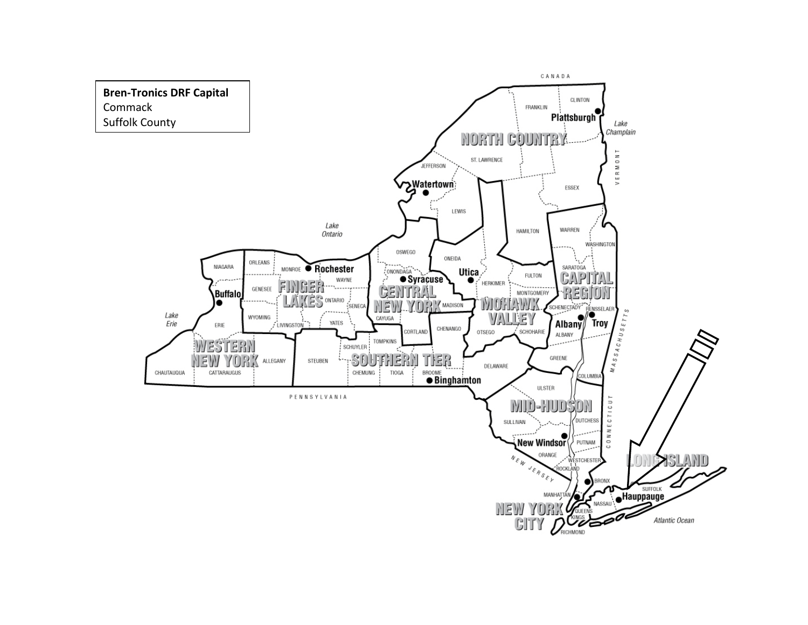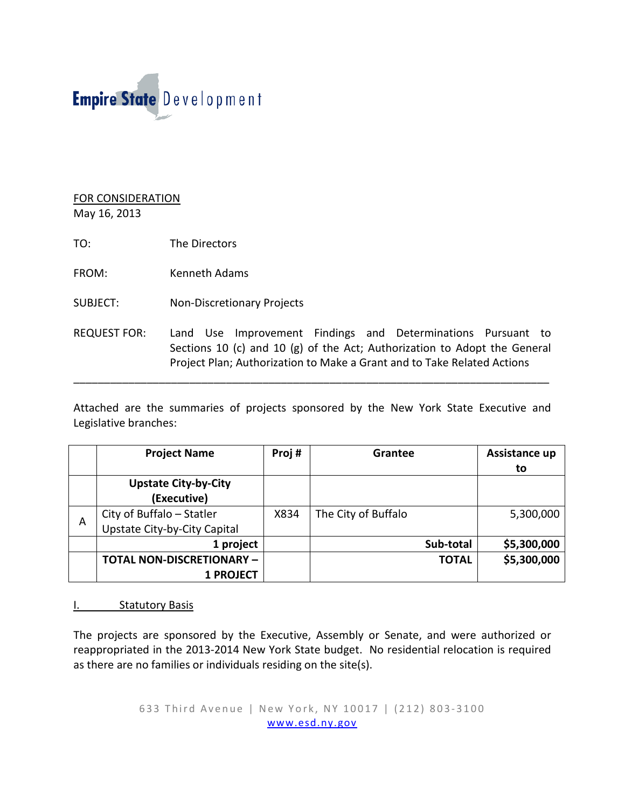# Empire State Development

# FOR CONSIDERATION

May 16, 2013

- TO: The Directors
- FROM: Kenneth Adams
- SUBJECT: Non-Discretionary Projects
- REQUEST FOR: Land Use Improvement Findings and Determinations Pursuant to Sections 10 (c) and 10 (g) of the Act; Authorization to Adopt the General Project Plan; Authorization to Make a Grant and to Take Related Actions

\_\_\_\_\_\_\_\_\_\_\_\_\_\_\_\_\_\_\_\_\_\_\_\_\_\_\_\_\_\_\_\_\_\_\_\_\_\_\_\_\_\_\_\_\_\_\_\_\_\_\_\_\_\_\_\_\_\_\_\_\_\_\_\_\_\_\_\_\_\_\_\_\_\_\_\_\_\_

Attached are the summaries of projects sponsored by the New York State Executive and Legislative branches:

|   | <b>Project Name</b>              | Proj# | Grantee             | Assistance up |
|---|----------------------------------|-------|---------------------|---------------|
|   |                                  |       |                     | to            |
|   | <b>Upstate City-by-City</b>      |       |                     |               |
|   | (Executive)                      |       |                     |               |
| A | City of Buffalo - Statler        | X834  | The City of Buffalo | 5,300,000     |
|   | Upstate City-by-City Capital     |       |                     |               |
|   | 1 project                        |       | Sub-total           | \$5,300,000   |
|   | <b>TOTAL NON-DISCRETIONARY -</b> |       | <b>TOTAL</b>        | \$5,300,000   |
|   | <b>1 PROJECT</b>                 |       |                     |               |

# I. Statutory Basis

The projects are sponsored by the Executive, Assembly or Senate, and were authorized or reappropriated in the 2013-2014 New York State budget. No residential relocation is required as there are no families or individuals residing on the site(s).

> 633 Third Avenue | New York, NY 10017 | (212) 803 - 3100 [www.esd.ny.gov](http://www.esd.ny.gov/)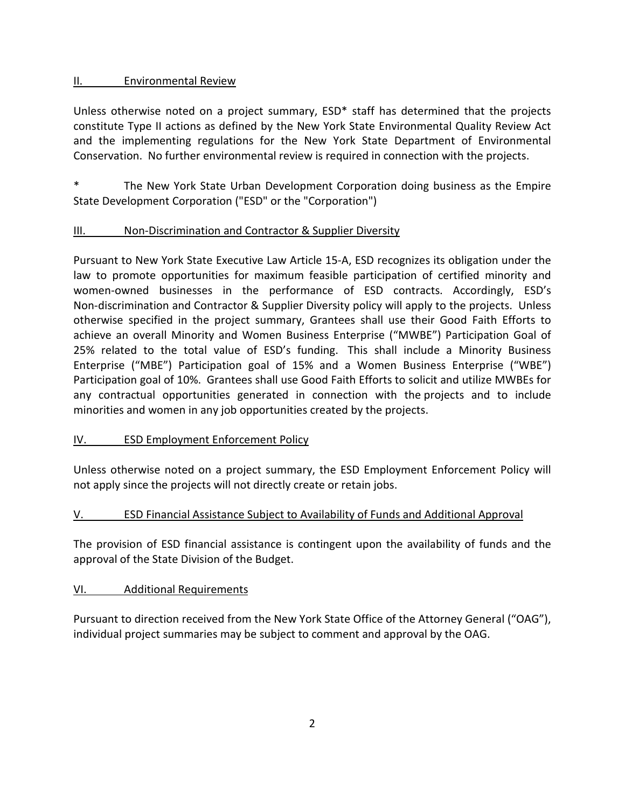# II. Environmental Review

Unless otherwise noted on a project summary, ESD\* staff has determined that the projects constitute Type II actions as defined by the New York State Environmental Quality Review Act and the implementing regulations for the New York State Department of Environmental Conservation. No further environmental review is required in connection with the projects.

The New York State Urban Development Corporation doing business as the Empire State Development Corporation ("ESD" or the "Corporation")

# III. Non-Discrimination and Contractor & Supplier Diversity

Pursuant to New York State Executive Law Article 15-A, ESD recognizes its obligation under the law to promote opportunities for maximum feasible participation of certified minority and women-owned businesses in the performance of ESD contracts. Accordingly, ESD's Non-discrimination and Contractor & Supplier Diversity policy will apply to the projects. Unless otherwise specified in the project summary, Grantees shall use their Good Faith Efforts to achieve an overall Minority and Women Business Enterprise ("MWBE") Participation Goal of 25% related to the total value of ESD's funding. This shall include a Minority Business Enterprise ("MBE") Participation goal of 15% and a Women Business Enterprise ("WBE") Participation goal of 10%. Grantees shall use Good Faith Efforts to solicit and utilize MWBEs for any contractual opportunities generated in connection with the projects and to include minorities and women in any job opportunities created by the projects.

# IV. ESD Employment Enforcement Policy

Unless otherwise noted on a project summary, the ESD Employment Enforcement Policy will not apply since the projects will not directly create or retain jobs.

# V. ESD Financial Assistance Subject to Availability of Funds and Additional Approval

The provision of ESD financial assistance is contingent upon the availability of funds and the approval of the State Division of the Budget.

## VI. Additional Requirements

Pursuant to direction received from the New York State Office of the Attorney General ("OAG"), individual project summaries may be subject to comment and approval by the OAG.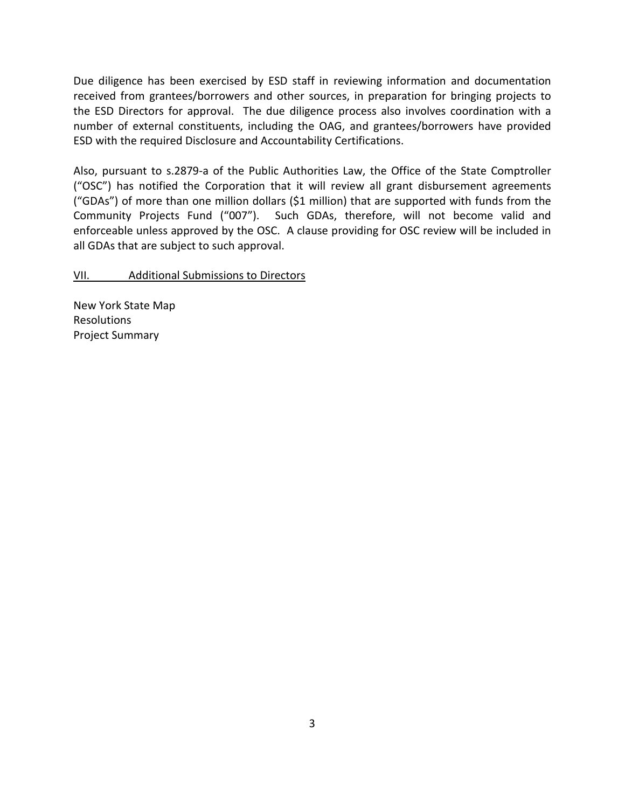Due diligence has been exercised by ESD staff in reviewing information and documentation received from grantees/borrowers and other sources, in preparation for bringing projects to the ESD Directors for approval. The due diligence process also involves coordination with a number of external constituents, including the OAG, and grantees/borrowers have provided ESD with the required Disclosure and Accountability Certifications.

Also, pursuant to s.2879-a of the Public Authorities Law, the Office of the State Comptroller ("OSC") has notified the Corporation that it will review all grant disbursement agreements ("GDAs") of more than one million dollars (\$1 million) that are supported with funds from the Community Projects Fund ("007"). Such GDAs, therefore, will not become valid and enforceable unless approved by the OSC. A clause providing for OSC review will be included in all GDAs that are subject to such approval.

#### VII. Additional Submissions to Directors

New York State Map Resolutions Project Summary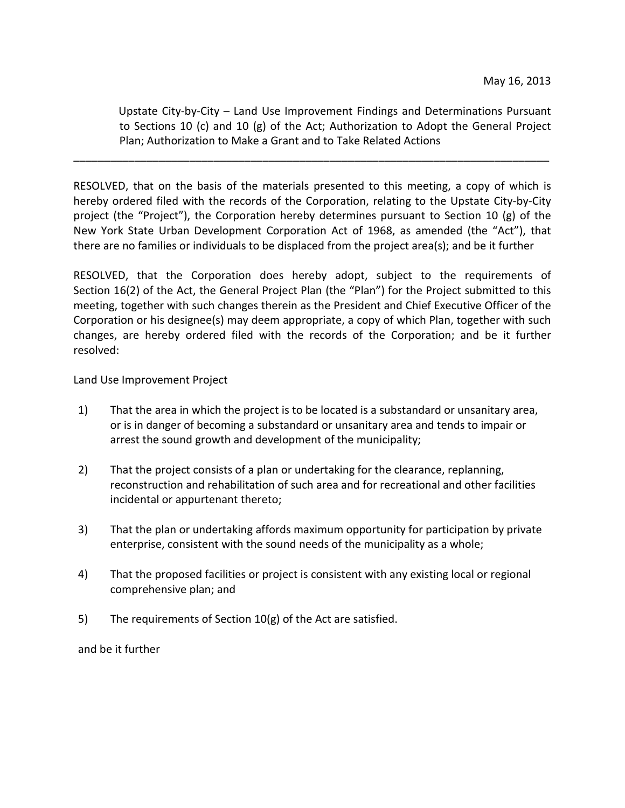Upstate City-by-City – Land Use Improvement Findings and Determinations Pursuant to Sections 10 (c) and 10 (g) of the Act; Authorization to Adopt the General Project Plan; Authorization to Make a Grant and to Take Related Actions

RESOLVED, that on the basis of the materials presented to this meeting, a copy of which is hereby ordered filed with the records of the Corporation, relating to the Upstate City-by-City project (the "Project"), the Corporation hereby determines pursuant to Section 10 (g) of the New York State Urban Development Corporation Act of 1968, as amended (the "Act"), that there are no families or individuals to be displaced from the project area(s); and be it further

\_\_\_\_\_\_\_\_\_\_\_\_\_\_\_\_\_\_\_\_\_\_\_\_\_\_\_\_\_\_\_\_\_\_\_\_\_\_\_\_\_\_\_\_\_\_\_\_\_\_\_\_\_\_\_\_\_\_\_\_\_\_\_\_\_\_\_\_\_\_\_\_\_\_\_\_\_\_

RESOLVED, that the Corporation does hereby adopt, subject to the requirements of Section 16(2) of the Act, the General Project Plan (the "Plan") for the Project submitted to this meeting, together with such changes therein as the President and Chief Executive Officer of the Corporation or his designee(s) may deem appropriate, a copy of which Plan, together with such changes, are hereby ordered filed with the records of the Corporation; and be it further resolved:

Land Use Improvement Project

- 1) That the area in which the project is to be located is a substandard or unsanitary area, or is in danger of becoming a substandard or unsanitary area and tends to impair or arrest the sound growth and development of the municipality;
- 2) That the project consists of a plan or undertaking for the clearance, replanning, reconstruction and rehabilitation of such area and for recreational and other facilities incidental or appurtenant thereto;
- 3) That the plan or undertaking affords maximum opportunity for participation by private enterprise, consistent with the sound needs of the municipality as a whole;
- 4) That the proposed facilities or project is consistent with any existing local or regional comprehensive plan; and
- 5) The requirements of Section 10(g) of the Act are satisfied.

and be it further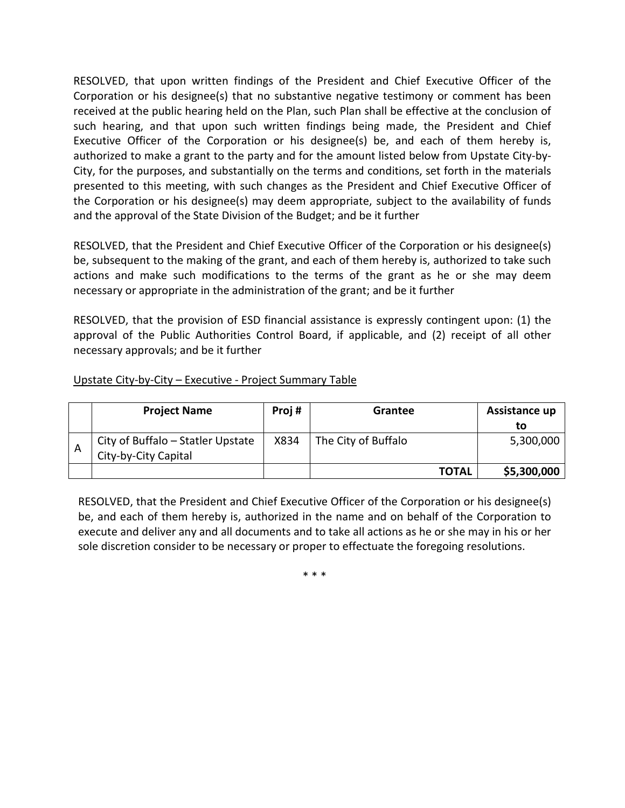RESOLVED, that upon written findings of the President and Chief Executive Officer of the Corporation or his designee(s) that no substantive negative testimony or comment has been received at the public hearing held on the Plan, such Plan shall be effective at the conclusion of such hearing, and that upon such written findings being made, the President and Chief Executive Officer of the Corporation or his designee(s) be, and each of them hereby is, authorized to make a grant to the party and for the amount listed below from Upstate City-by-City, for the purposes, and substantially on the terms and conditions, set forth in the materials presented to this meeting, with such changes as the President and Chief Executive Officer of the Corporation or his designee(s) may deem appropriate, subject to the availability of funds and the approval of the State Division of the Budget; and be it further

RESOLVED, that the President and Chief Executive Officer of the Corporation or his designee(s) be, subsequent to the making of the grant, and each of them hereby is, authorized to take such actions and make such modifications to the terms of the grant as he or she may deem necessary or appropriate in the administration of the grant; and be it further

RESOLVED, that the provision of ESD financial assistance is expressly contingent upon: (1) the approval of the Public Authorities Control Board, if applicable, and (2) receipt of all other necessary approvals; and be it further

## Upstate City-by-City – Executive - Project Summary Table

|   | <b>Project Name</b>                                       | Proj# | Grantee             | Assistance up |
|---|-----------------------------------------------------------|-------|---------------------|---------------|
|   |                                                           |       |                     | to            |
| A | City of Buffalo - Statler Upstate<br>City-by-City Capital | X834  | The City of Buffalo | 5,300,000     |
|   |                                                           |       | <b>TOTAL</b>        | \$5,300,000   |

RESOLVED, that the President and Chief Executive Officer of the Corporation or his designee(s) be, and each of them hereby is, authorized in the name and on behalf of the Corporation to execute and deliver any and all documents and to take all actions as he or she may in his or her sole discretion consider to be necessary or proper to effectuate the foregoing resolutions.

\* \* \*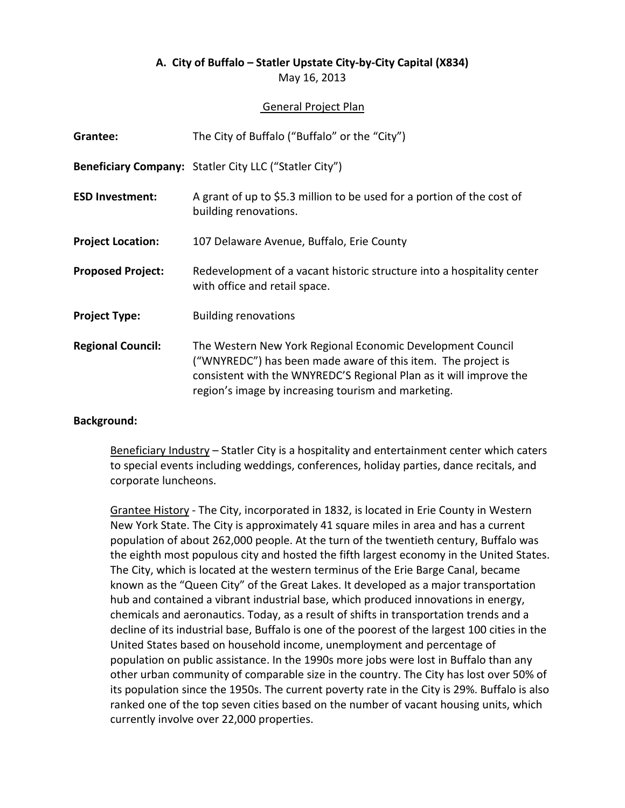May 16, 2013

## General Project Plan

| Grantee:                 | The City of Buffalo ("Buffalo" or the "City")                                                                                                                                                                                                           |
|--------------------------|---------------------------------------------------------------------------------------------------------------------------------------------------------------------------------------------------------------------------------------------------------|
|                          | <b>Beneficiary Company:</b> Statler City LLC ("Statler City")                                                                                                                                                                                           |
| <b>ESD Investment:</b>   | A grant of up to \$5.3 million to be used for a portion of the cost of<br>building renovations.                                                                                                                                                         |
| <b>Project Location:</b> | 107 Delaware Avenue, Buffalo, Erie County                                                                                                                                                                                                               |
| <b>Proposed Project:</b> | Redevelopment of a vacant historic structure into a hospitality center<br>with office and retail space.                                                                                                                                                 |
| <b>Project Type:</b>     | <b>Building renovations</b>                                                                                                                                                                                                                             |
| <b>Regional Council:</b> | The Western New York Regional Economic Development Council<br>("WNYREDC") has been made aware of this item. The project is<br>consistent with the WNYREDC'S Regional Plan as it will improve the<br>region's image by increasing tourism and marketing. |

## **Background:**

Beneficiary Industry – Statler City is a hospitality and entertainment center which caters to special events including weddings, conferences, holiday parties, dance recitals, and corporate luncheons.

Grantee History - The City, incorporated in 1832, is located in Erie County in Western New York State. The City is approximately 41 square miles in area and has a current population of about 262,000 people. At the turn of the twentieth century, Buffalo was the eighth most populous city and hosted the fifth largest economy in the United States. The City, which is located at the western terminus of the Erie Barge Canal, became known as the "Queen City" of the Great Lakes. It developed as a major transportation hub and contained a vibrant industrial base, which produced innovations in energy, chemicals and aeronautics. Today, as a result of shifts in transportation trends and a decline of its industrial base, Buffalo is one of the poorest of the largest 100 cities in the United States based on household income, unemployment and percentage of population on public assistance. In the 1990s more jobs were lost in Buffalo than any other urban community of comparable size in the country. The City has lost over 50% of its population since the 1950s. The current poverty rate in the City is 29%. Buffalo is also ranked one of the top seven cities based on the number of vacant housing units, which currently involve over 22,000 properties.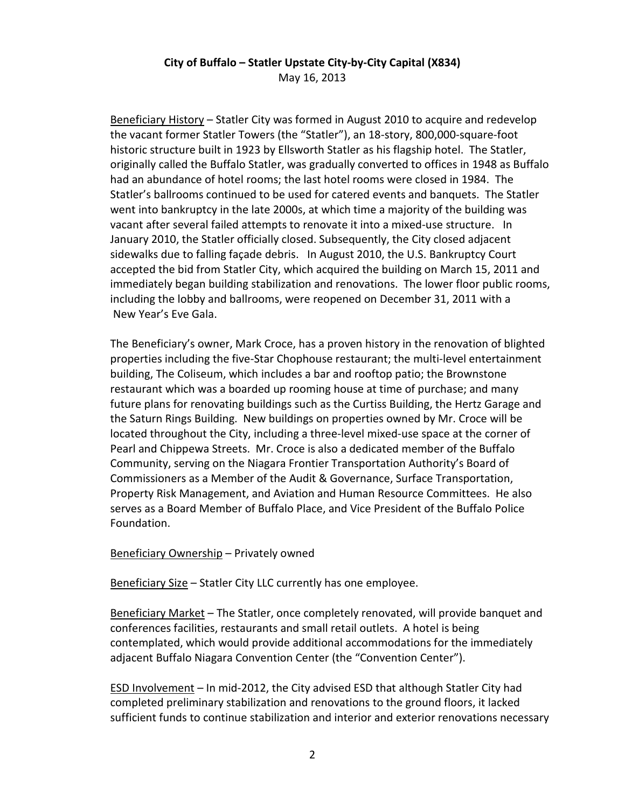Beneficiary History – Statler City was formed in August 2010 to acquire and redevelop the vacant former Statler Towers (the "Statler"), an 18-story, 800,000-square-foot historic structure built in 1923 by Ellsworth Statler as his flagship hotel. The Statler, originally called the Buffalo Statler, was gradually converted to offices in 1948 as Buffalo had an abundance of hotel rooms; the last hotel rooms were closed in 1984. The Statler's ballrooms continued to be used for catered events and banquets. The Statler went into bankruptcy in the late 2000s, at which time a majority of the building was vacant after several failed attempts to renovate it into a mixed-use structure. In January 2010, the Statler officially closed. Subsequently, the City closed adjacent sidewalks due to falling façade debris. In August 2010, the U.S. Bankruptcy Court accepted the bid from Statler City, which acquired the building on March 15, 2011 and immediately began building stabilization and renovations. The lower floor public rooms, including the lobby and ballrooms, were reopened on December 31, 2011 with a New Year's Eve Gala.

The Beneficiary's owner, Mark Croce, has a proven history in the renovation of blighted properties including the five-Star Chophouse restaurant; the multi-level entertainment building, The Coliseum, which includes a bar and rooftop patio; the Brownstone restaurant which was a boarded up rooming house at time of purchase; and many future plans for renovating buildings such as the Curtiss Building, the Hertz Garage and the Saturn Rings Building. New buildings on properties owned by Mr. Croce will be located throughout the City, including a three-level mixed-use space at the corner of Pearl and Chippewa Streets. Mr. Croce is also a dedicated member of the Buffalo Community, serving on the Niagara Frontier Transportation Authority's Board of Commissioners as a Member of the Audit & Governance, Surface Transportation, Property Risk Management, and Aviation and Human Resource Committees. He also serves as a Board Member of Buffalo Place, and Vice President of the Buffalo Police Foundation.

## Beneficiary Ownership – Privately owned

Beneficiary Size – Statler City LLC currently has one employee.

Beneficiary Market – The Statler, once completely renovated, will provide banquet and conferences facilities, restaurants and small retail outlets. A hotel is being contemplated, which would provide additional accommodations for the immediately adjacent Buffalo Niagara Convention Center (the "Convention Center").

ESD Involvement – In mid-2012, the City advised ESD that although Statler City had completed preliminary stabilization and renovations to the ground floors, it lacked sufficient funds to continue stabilization and interior and exterior renovations necessary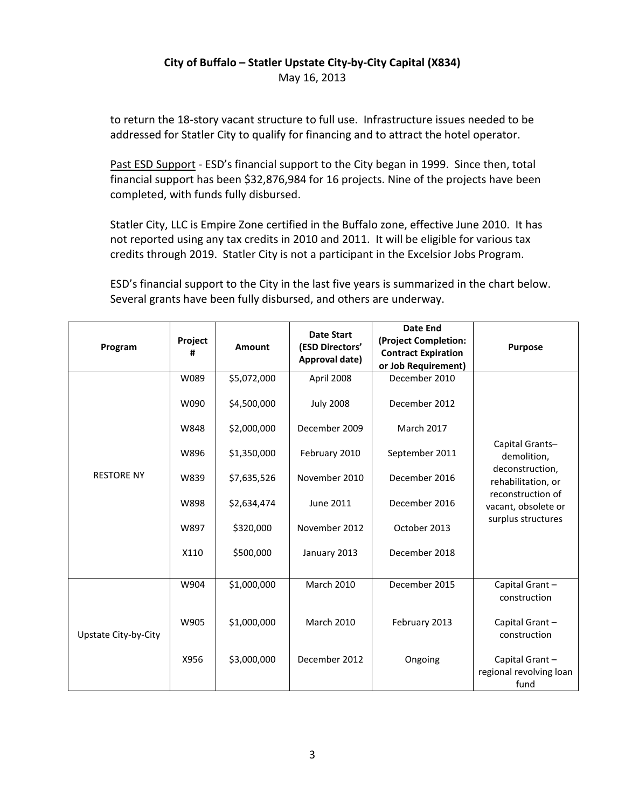to return the 18-story vacant structure to full use. Infrastructure issues needed to be addressed for Statler City to qualify for financing and to attract the hotel operator.

Past ESD Support - ESD's financial support to the City began in 1999. Since then, total financial support has been \$32,876,984 for 16 projects. Nine of the projects have been completed, with funds fully disbursed.

Statler City, LLC is Empire Zone certified in the Buffalo zone, effective June 2010. It has not reported using any tax credits in 2010 and 2011. It will be eligible for various tax credits through 2019. Statler City is not a participant in the Excelsior Jobs Program.

ESD's financial support to the City in the last five years is summarized in the chart below. Several grants have been fully disbursed, and others are underway.

| Program              | Project<br># | Amount      | <b>Date Start</b><br>(ESD Directors'<br>Approval date) | Date End<br>(Project Completion:<br><b>Contract Expiration</b><br>or Job Requirement) | <b>Purpose</b>                                    |
|----------------------|--------------|-------------|--------------------------------------------------------|---------------------------------------------------------------------------------------|---------------------------------------------------|
|                      | W089         | \$5,072,000 | April 2008                                             | December 2010                                                                         |                                                   |
|                      | W090         | \$4,500,000 | <b>July 2008</b>                                       | December 2012                                                                         |                                                   |
|                      | W848         | \$2,000,000 | December 2009                                          | <b>March 2017</b>                                                                     |                                                   |
|                      | W896         | \$1,350,000 | February 2010                                          | September 2011                                                                        | Capital Grants-<br>demolition,                    |
| <b>RESTORE NY</b>    | W839         | \$7,635,526 | November 2010                                          | December 2016                                                                         | deconstruction,<br>rehabilitation, or             |
|                      | W898         | \$2,634,474 | <b>June 2011</b>                                       | December 2016                                                                         | reconstruction of<br>vacant, obsolete or          |
|                      | W897         | \$320,000   | November 2012                                          | October 2013                                                                          | surplus structures                                |
|                      | X110         | \$500,000   | January 2013                                           | December 2018                                                                         |                                                   |
|                      | W904         | \$1,000,000 | <b>March 2010</b>                                      | December 2015                                                                         | Capital Grant-<br>construction                    |
| Upstate City-by-City | W905         | \$1,000,000 | <b>March 2010</b>                                      | February 2013                                                                         | Capital Grant-<br>construction                    |
|                      | X956         | \$3,000,000 | December 2012                                          | Ongoing                                                                               | Capital Grant-<br>regional revolving loan<br>fund |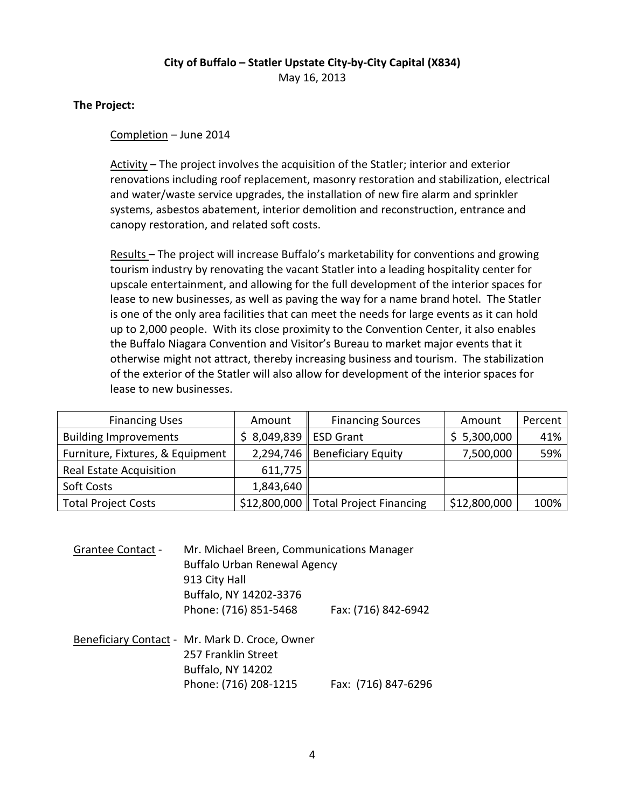# **The Project:**

# Completion – June 2014

Activity – The project involves the acquisition of the Statler; interior and exterior renovations including roof replacement, masonry restoration and stabilization, electrical and water/waste service upgrades, the installation of new fire alarm and sprinkler systems, asbestos abatement, interior demolition and reconstruction, entrance and canopy restoration, and related soft costs.

Results – The project will increase Buffalo's marketability for conventions and growing tourism industry by renovating the vacant Statler into a leading hospitality center for upscale entertainment, and allowing for the full development of the interior spaces for lease to new businesses, as well as paving the way for a name brand hotel. The Statler is one of the only area facilities that can meet the needs for large events as it can hold up to 2,000 people. With its close proximity to the Convention Center, it also enables the Buffalo Niagara Convention and Visitor's Bureau to market major events that it otherwise might not attract, thereby increasing business and tourism. The stabilization of the exterior of the Statler will also allow for development of the interior spaces for lease to new businesses.

| <b>Financing Uses</b>            | Amount                 | <b>Financing Sources</b>             | Amount       | Percent |
|----------------------------------|------------------------|--------------------------------------|--------------|---------|
| <b>Building Improvements</b>     | \$ 8,049,839 ESD Grant |                                      | \$5,300,000  | 41%     |
| Furniture, Fixtures, & Equipment |                        | 2,294,746   Beneficiary Equity       | 7,500,000    | 59%     |
| <b>Real Estate Acquisition</b>   | 611,775                |                                      |              |         |
| Soft Costs                       | 1,843,640              |                                      |              |         |
| <b>Total Project Costs</b>       |                        | \$12,800,000 Total Project Financing | \$12,800,000 | 100%    |

| <b>Grantee Contact -</b> | Mr. Michael Breen, Communications Manager    |                     |  |  |
|--------------------------|----------------------------------------------|---------------------|--|--|
|                          | <b>Buffalo Urban Renewal Agency</b>          |                     |  |  |
|                          | 913 City Hall                                |                     |  |  |
|                          | Buffalo, NY 14202-3376                       |                     |  |  |
|                          | Phone: (716) 851-5468                        | Fax: (716) 842-6942 |  |  |
|                          | Beneficiary Contact - Mr Mark D. Croce Owner |                     |  |  |

Beneficiary Contact - Mr. Mark D. Croce, Owner 257 Franklin Street Buffalo, NY 14202 Phone: (716) 208-1215 Fax: (716) 847-6296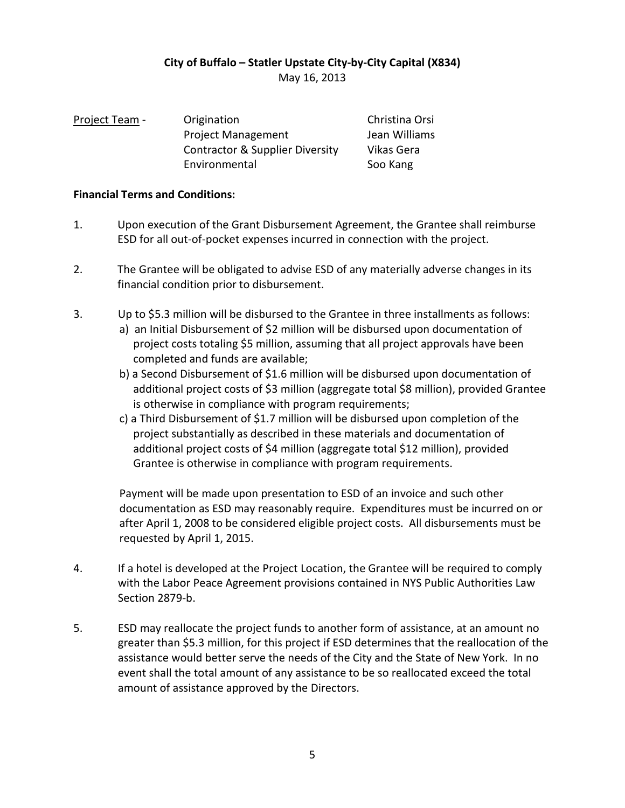| Project Team - | Origination                                | Christina Orsi |
|----------------|--------------------------------------------|----------------|
|                | <b>Project Management</b>                  | Jean Williams  |
|                | <b>Contractor &amp; Supplier Diversity</b> | Vikas Gera     |
|                | Environmental                              | Soo Kang       |

## **Financial Terms and Conditions:**

- 1. Upon execution of the Grant Disbursement Agreement, the Grantee shall reimburse ESD for all out-of-pocket expenses incurred in connection with the project.
- 2. The Grantee will be obligated to advise ESD of any materially adverse changes in its financial condition prior to disbursement.
- 3. Up to \$5.3 million will be disbursed to the Grantee in three installments as follows: a) an Initial Disbursement of \$2 million will be disbursed upon documentation of project costs totaling \$5 million, assuming that all project approvals have been completed and funds are available;
	- b) a Second Disbursement of \$1.6 million will be disbursed upon documentation of additional project costs of \$3 million (aggregate total \$8 million), provided Grantee is otherwise in compliance with program requirements;
	- c) a Third Disbursement of \$1.7 million will be disbursed upon completion of the project substantially as described in these materials and documentation of additional project costs of \$4 million (aggregate total \$12 million), provided Grantee is otherwise in compliance with program requirements.

Payment will be made upon presentation to ESD of an invoice and such other documentation as ESD may reasonably require. Expenditures must be incurred on or after April 1, 2008 to be considered eligible project costs. All disbursements must be requested by April 1, 2015.

- 4. If a hotel is developed at the Project Location, the Grantee will be required to comply with the Labor Peace Agreement provisions contained in NYS Public Authorities Law Section 2879-b.
- 5. ESD may reallocate the project funds to another form of assistance, at an amount no greater than \$5.3 million, for this project if ESD determines that the reallocation of the assistance would better serve the needs of the City and the State of New York. In no event shall the total amount of any assistance to be so reallocated exceed the total amount of assistance approved by the Directors.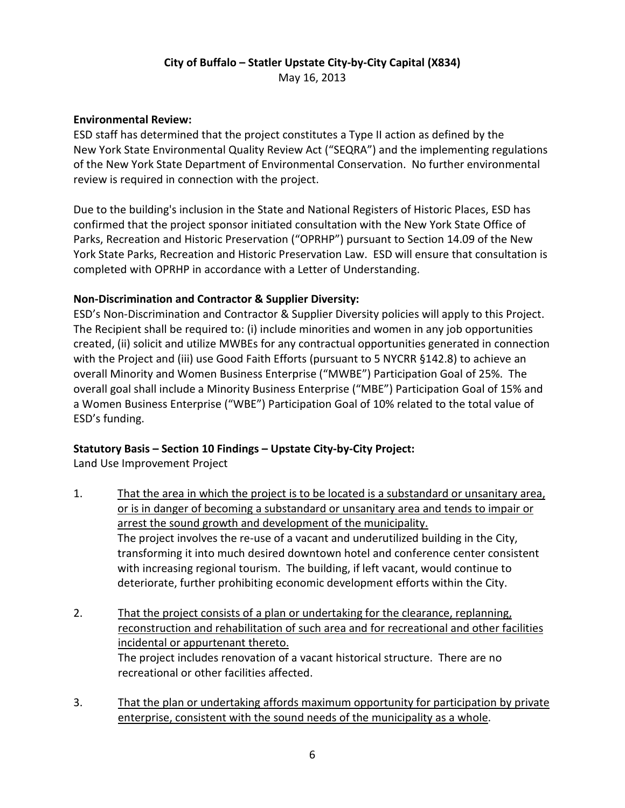# **Environmental Review:**

ESD staff has determined that the project constitutes a Type II action as defined by the New York State Environmental Quality Review Act ("SEQRA") and the implementing regulations of the New York State Department of Environmental Conservation. No further environmental review is required in connection with the project.

Due to the building's inclusion in the State and National Registers of Historic Places, ESD has confirmed that the project sponsor initiated consultation with the New York State Office of Parks, Recreation and Historic Preservation ("OPRHP") pursuant to Section 14.09 of the New York State Parks, Recreation and Historic Preservation Law. ESD will ensure that consultation is completed with OPRHP in accordance with a Letter of Understanding.

# **Non-Discrimination and Contractor & Supplier Diversity:**

ESD's Non-Discrimination and Contractor & Supplier Diversity policies will apply to this Project. The Recipient shall be required to: (i) include minorities and women in any job opportunities created, (ii) solicit and utilize MWBEs for any contractual opportunities generated in connection with the Project and (iii) use Good Faith Efforts (pursuant to 5 NYCRR §142.8) to achieve an overall Minority and Women Business Enterprise ("MWBE") Participation Goal of 25%. The overall goal shall include a Minority Business Enterprise ("MBE") Participation Goal of 15% and a Women Business Enterprise ("WBE") Participation Goal of 10% related to the total value of ESD's funding.

# **Statutory Basis – Section 10 Findings – Upstate City-by-City Project:**

Land Use Improvement Project

- 1. That the area in which the project is to be located is a substandard or unsanitary area, or is in danger of becoming a substandard or unsanitary area and tends to impair or arrest the sound growth and development of the municipality. The project involves the re-use of a vacant and underutilized building in the City, transforming it into much desired downtown hotel and conference center consistent with increasing regional tourism. The building, if left vacant, would continue to deteriorate, further prohibiting economic development efforts within the City.
- 2. That the project consists of a plan or undertaking for the clearance, replanning, reconstruction and rehabilitation of such area and for recreational and other facilities incidental or appurtenant thereto. The project includes renovation of a vacant historical structure. There are no recreational or other facilities affected.
- 3. That the plan or undertaking affords maximum opportunity for participation by private enterprise, consistent with the sound needs of the municipality as a whole.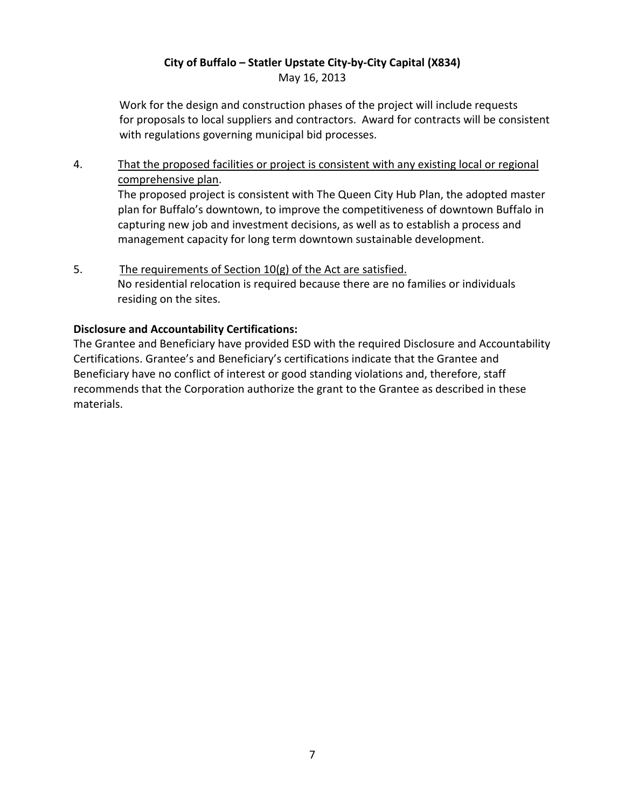# **City of Buffalo – Statler Upstate City-by-City Capital (X834)** May 16, 2013

Work for the design and construction phases of the project will include requests for proposals to local suppliers and contractors. Award for contracts will be consistent with regulations governing municipal bid processes.

# 4. That the proposed facilities or project is consistent with any existing local or regional comprehensive plan.

The proposed project is consistent with The Queen City Hub Plan, the adopted master plan for Buffalo's downtown, to improve the competitiveness of downtown Buffalo in capturing new job and investment decisions, as well as to establish a process and management capacity for long term downtown sustainable development.

5. The requirements of Section 10(g) of the Act are satisfied. No residential relocation is required because there are no families or individuals residing on the sites.

## **Disclosure and Accountability Certifications:**

The Grantee and Beneficiary have provided ESD with the required Disclosure and Accountability Certifications. Grantee's and Beneficiary's certifications indicate that the Grantee and Beneficiary have no conflict of interest or good standing violations and, therefore, staff recommends that the Corporation authorize the grant to the Grantee as described in these materials.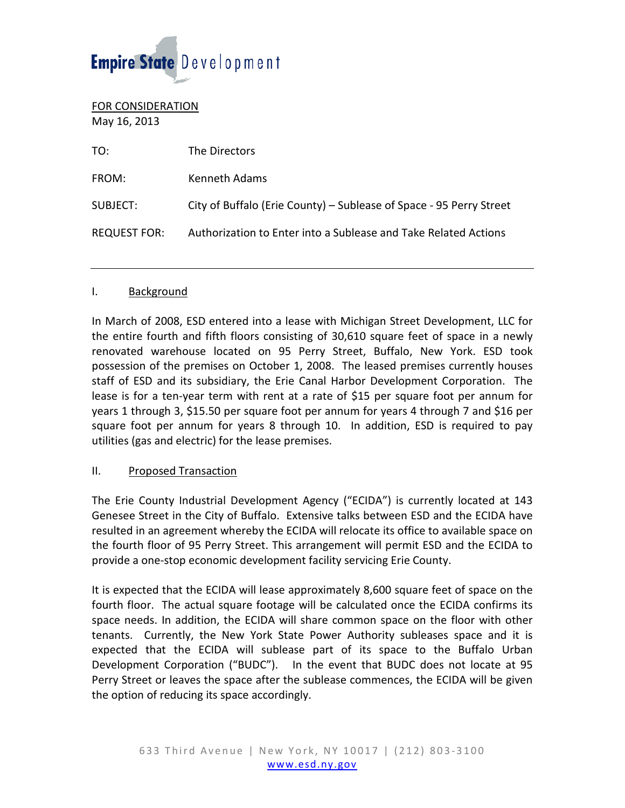# Empire State Development

FOR CONSIDERATION May 16, 2013

| TO:                 | The Directors                                                       |
|---------------------|---------------------------------------------------------------------|
| FROM:               | Kenneth Adams                                                       |
| SUBJECT:            | City of Buffalo (Erie County) – Sublease of Space - 95 Perry Street |
| <b>REQUEST FOR:</b> | Authorization to Enter into a Sublease and Take Related Actions     |

#### I. Background

In March of 2008, ESD entered into a lease with Michigan Street Development, LLC for the entire fourth and fifth floors consisting of 30,610 square feet of space in a newly renovated warehouse located on 95 Perry Street, Buffalo, New York. ESD took possession of the premises on October 1, 2008. The leased premises currently houses staff of ESD and its subsidiary, the Erie Canal Harbor Development Corporation. The lease is for a ten-year term with rent at a rate of \$15 per square foot per annum for years 1 through 3, \$15.50 per square foot per annum for years 4 through 7 and \$16 per square foot per annum for years 8 through 10. In addition, ESD is required to pay utilities (gas and electric) for the lease premises.

#### II. Proposed Transaction

The Erie County Industrial Development Agency ("ECIDA") is currently located at 143 Genesee Street in the City of Buffalo. Extensive talks between ESD and the ECIDA have resulted in an agreement whereby the ECIDA will relocate its office to available space on the fourth floor of 95 Perry Street. This arrangement will permit ESD and the ECIDA to provide a one-stop economic development facility servicing Erie County.

It is expected that the ECIDA will lease approximately 8,600 square feet of space on the fourth floor. The actual square footage will be calculated once the ECIDA confirms its space needs. In addition, the ECIDA will share common space on the floor with other tenants. Currently, the New York State Power Authority subleases space and it is expected that the ECIDA will sublease part of its space to the Buffalo Urban Development Corporation ("BUDC"). In the event that BUDC does not locate at 95 Perry Street or leaves the space after the sublease commences, the ECIDA will be given the option of reducing its space accordingly.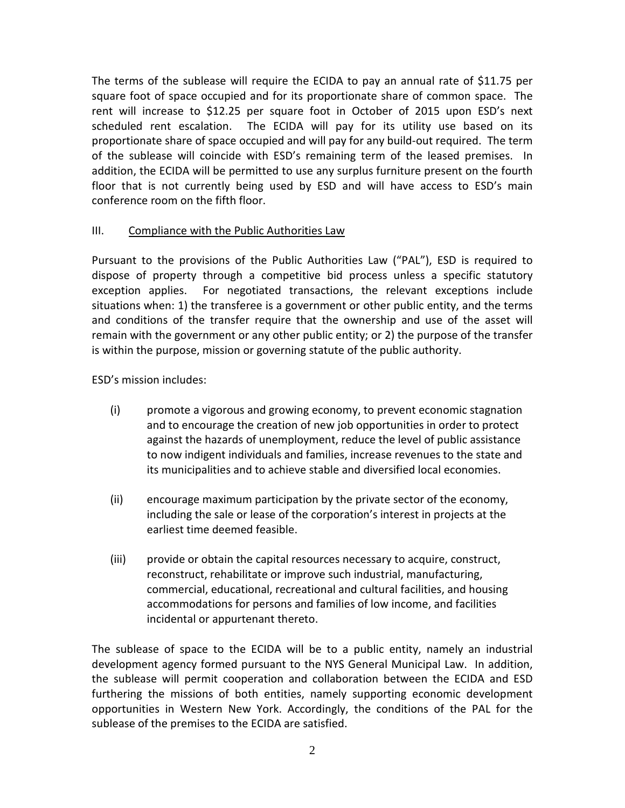The terms of the sublease will require the ECIDA to pay an annual rate of \$11.75 per square foot of space occupied and for its proportionate share of common space. The rent will increase to \$12.25 per square foot in October of 2015 upon ESD's next scheduled rent escalation. The ECIDA will pay for its utility use based on its proportionate share of space occupied and will pay for any build-out required. The term of the sublease will coincide with ESD's remaining term of the leased premises. In addition, the ECIDA will be permitted to use any surplus furniture present on the fourth floor that is not currently being used by ESD and will have access to ESD's main conference room on the fifth floor.

## III. Compliance with the Public Authorities Law

Pursuant to the provisions of the Public Authorities Law ("PAL"), ESD is required to dispose of property through a competitive bid process unless a specific statutory exception applies. For negotiated transactions, the relevant exceptions include situations when: 1) the transferee is a government or other public entity, and the terms and conditions of the transfer require that the ownership and use of the asset will remain with the government or any other public entity; or 2) the purpose of the transfer is within the purpose, mission or governing statute of the public authority.

ESD's mission includes:

- (i) promote a vigorous and growing economy, to prevent economic stagnation and to encourage the creation of new job opportunities in order to protect against the hazards of unemployment, reduce the level of public assistance to now indigent individuals and families, increase revenues to the state and its municipalities and to achieve stable and diversified local economies.
- (ii) encourage maximum participation by the private sector of the economy, including the sale or lease of the corporation's interest in projects at the earliest time deemed feasible.
- (iii) provide or obtain the capital resources necessary to acquire, construct, reconstruct, rehabilitate or improve such industrial, manufacturing, commercial, educational, recreational and cultural facilities, and housing accommodations for persons and families of low income, and facilities incidental or appurtenant thereto.

The sublease of space to the ECIDA will be to a public entity, namely an industrial development agency formed pursuant to the NYS General Municipal Law. In addition, the sublease will permit cooperation and collaboration between the ECIDA and ESD furthering the missions of both entities, namely supporting economic development opportunities in Western New York. Accordingly, the conditions of the PAL for the sublease of the premises to the ECIDA are satisfied.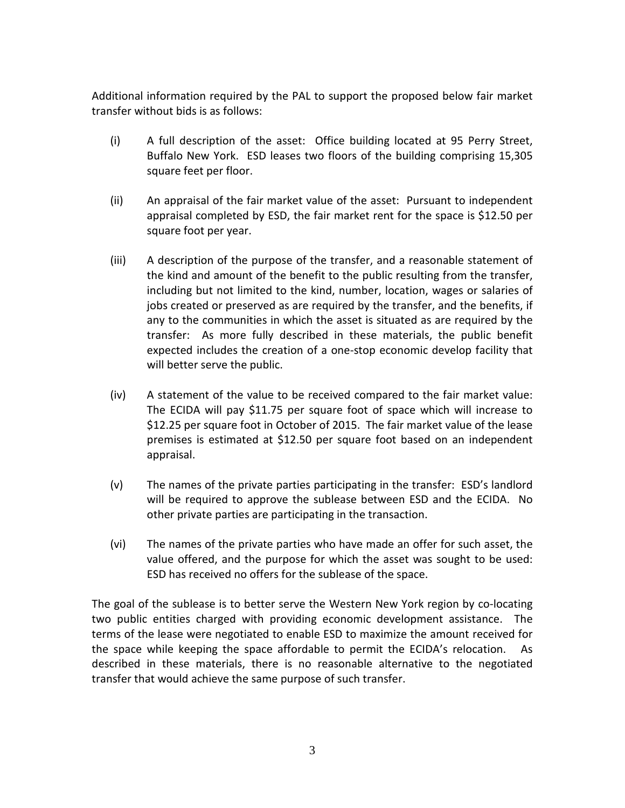Additional information required by the PAL to support the proposed below fair market transfer without bids is as follows:

- (i) A full description of the asset: Office building located at 95 Perry Street, Buffalo New York. ESD leases two floors of the building comprising 15,305 square feet per floor.
- (ii) An appraisal of the fair market value of the asset: Pursuant to independent appraisal completed by ESD, the fair market rent for the space is \$12.50 per square foot per year.
- (iii) A description of the purpose of the transfer, and a reasonable statement of the kind and amount of the benefit to the public resulting from the transfer, including but not limited to the kind, number, location, wages or salaries of jobs created or preserved as are required by the transfer, and the benefits, if any to the communities in which the asset is situated as are required by the transfer: As more fully described in these materials, the public benefit expected includes the creation of a one-stop economic develop facility that will better serve the public.
- (iv) A statement of the value to be received compared to the fair market value: The ECIDA will pay \$11.75 per square foot of space which will increase to \$12.25 per square foot in October of 2015. The fair market value of the lease premises is estimated at \$12.50 per square foot based on an independent appraisal.
- (v) The names of the private parties participating in the transfer: ESD's landlord will be required to approve the sublease between ESD and the ECIDA. No other private parties are participating in the transaction.
- (vi) The names of the private parties who have made an offer for such asset, the value offered, and the purpose for which the asset was sought to be used: ESD has received no offers for the sublease of the space.

The goal of the sublease is to better serve the Western New York region by co-locating two public entities charged with providing economic development assistance. The terms of the lease were negotiated to enable ESD to maximize the amount received for the space while keeping the space affordable to permit the ECIDA's relocation. As described in these materials, there is no reasonable alternative to the negotiated transfer that would achieve the same purpose of such transfer.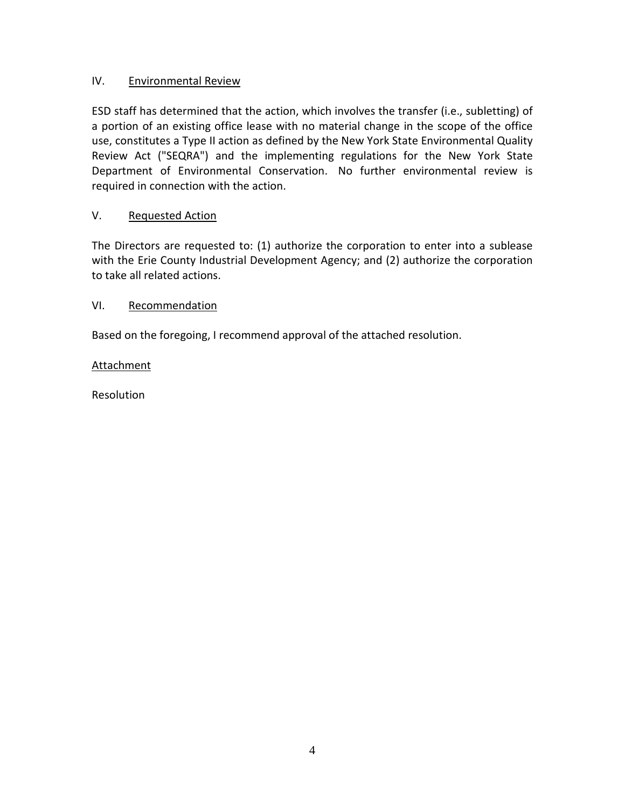# IV. Environmental Review

ESD staff has determined that the action, which involves the transfer (i.e., subletting) of a portion of an existing office lease with no material change in the scope of the office use, constitutes a Type II action as defined by the New York State Environmental Quality Review Act ("SEQRA") and the implementing regulations for the New York State Department of Environmental Conservation. No further environmental review is required in connection with the action.

## V. Requested Action

The Directors are requested to: (1) authorize the corporation to enter into a sublease with the Erie County Industrial Development Agency; and (2) authorize the corporation to take all related actions.

#### VI. Recommendation

Based on the foregoing, I recommend approval of the attached resolution.

#### Attachment

Resolution